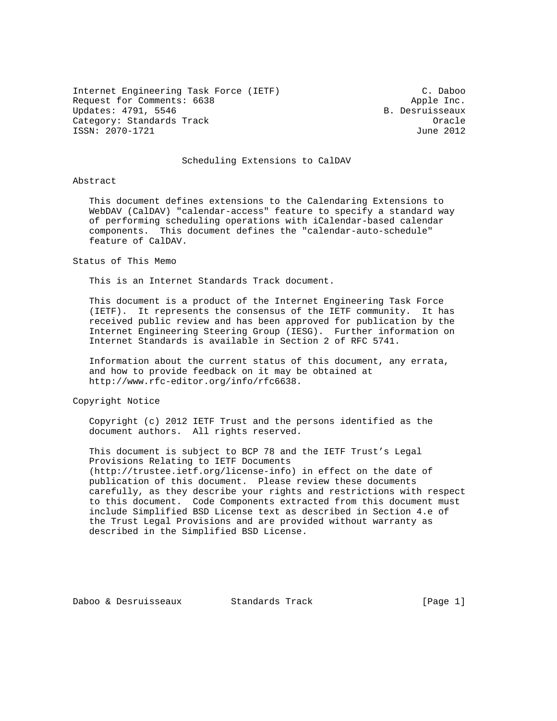Internet Engineering Task Force (IETF) C. Daboo Request for Comments: 6638 Apple Inc. Updates: 4791, 5546 B. Desruisseaux Category: Standards Track Oracle ISSN: 2070-1721

#### Scheduling Extensions to CalDAV

#### Abstract

 This document defines extensions to the Calendaring Extensions to WebDAV (CalDAV) "calendar-access" feature to specify a standard way of performing scheduling operations with iCalendar-based calendar components. This document defines the "calendar-auto-schedule" feature of CalDAV.

#### Status of This Memo

This is an Internet Standards Track document.

 This document is a product of the Internet Engineering Task Force (IETF). It represents the consensus of the IETF community. It has received public review and has been approved for publication by the Internet Engineering Steering Group (IESG). Further information on Internet Standards is available in Section 2 of RFC 5741.

 Information about the current status of this document, any errata, and how to provide feedback on it may be obtained at http://www.rfc-editor.org/info/rfc6638.

Copyright Notice

 Copyright (c) 2012 IETF Trust and the persons identified as the document authors. All rights reserved.

 This document is subject to BCP 78 and the IETF Trust's Legal Provisions Relating to IETF Documents (http://trustee.ietf.org/license-info) in effect on the date of publication of this document. Please review these documents carefully, as they describe your rights and restrictions with respect to this document. Code Components extracted from this document must include Simplified BSD License text as described in Section 4.e of the Trust Legal Provisions and are provided without warranty as described in the Simplified BSD License.

Daboo & Desruisseaux Standards Track [Page 1]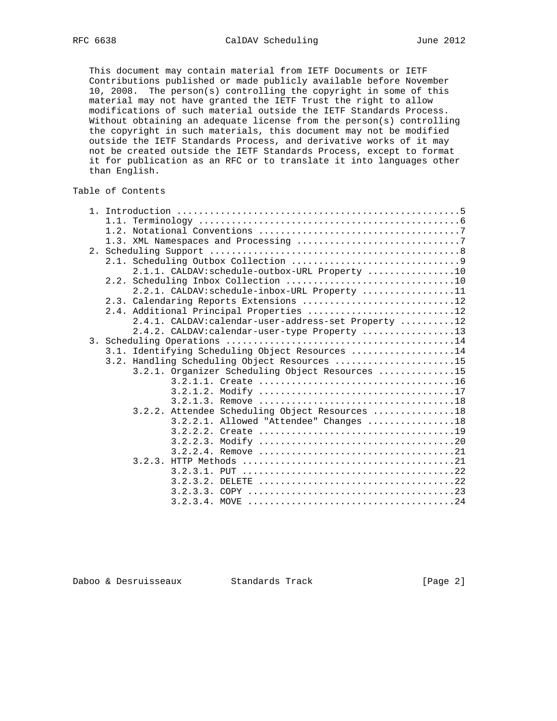This document may contain material from IETF Documents or IETF Contributions published or made publicly available before November 10, 2008. The person(s) controlling the copyright in some of this material may not have granted the IETF Trust the right to allow modifications of such material outside the IETF Standards Process. Without obtaining an adequate license from the person(s) controlling the copyright in such materials, this document may not be modified outside the IETF Standards Process, and derivative works of it may not be created outside the IETF Standards Process, except to format it for publication as an RFC or to translate it into languages other than English.

## Table of Contents

| 2.1.1. CALDAV: schedule-outbox-URL Property 10      |
|-----------------------------------------------------|
|                                                     |
| 2.2.1. CALDAV: schedule-inbox-URL Property 11       |
| 2.3. Calendaring Reports Extensions 12              |
| 2.4. Additional Principal Properties 12             |
| 2.4.1. CALDAV:calendar-user-address-set Property 12 |
| 2.4.2. CALDAV: calendar-user-type Property 13       |
|                                                     |
| 3.1. Identifying Scheduling Object Resources 14     |
| 3.2. Handling Scheduling Object Resources 15        |
| 3.2.1. Organizer Scheduling Object Resources 15     |
|                                                     |
|                                                     |
|                                                     |
| 3.2.2. Attendee Scheduling Object Resources 18      |
| 3.2.2.1. Allowed "Attendee" Changes 18              |
|                                                     |
| 3.2.2.3.                                            |
|                                                     |
|                                                     |
|                                                     |
| 3.2.3.2.                                            |
|                                                     |
|                                                     |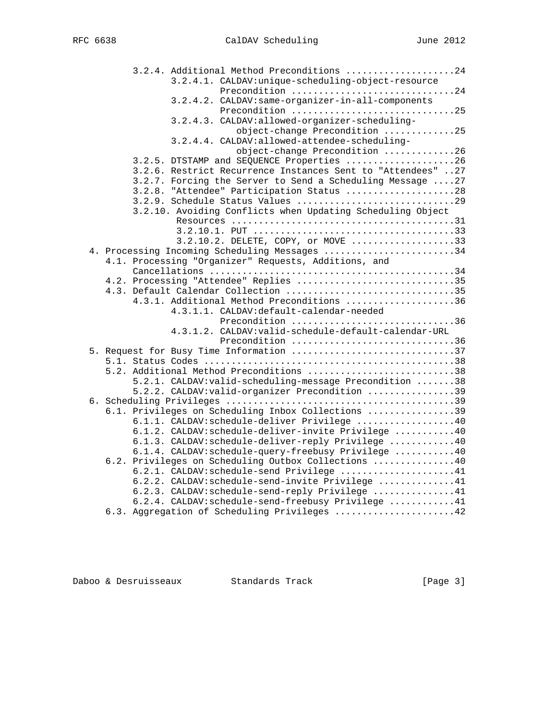|  | 3.2.4. Additional Method Preconditions 24                   |  |
|--|-------------------------------------------------------------|--|
|  | 3.2.4.1. CALDAV: unique-scheduling-object-resource          |  |
|  | Precondition 24                                             |  |
|  | 3.2.4.2. CALDAV: same-organizer-in-all-components           |  |
|  | Precondition 25                                             |  |
|  | 3.2.4.3. CALDAV:allowed-organizer-scheduling-               |  |
|  | object-change Precondition 25                               |  |
|  | 3.2.4.4. CALDAV: allowed-attendee-scheduling-               |  |
|  | object-change Precondition 26                               |  |
|  | 3.2.5. DTSTAMP and SEQUENCE Properties 26                   |  |
|  | 3.2.6. Restrict Recurrence Instances Sent to "Attendees" 27 |  |
|  | 3.2.7. Forcing the Server to Send a Scheduling Message 27   |  |
|  | 3.2.8. "Attendee" Participation Status 28                   |  |
|  | 3.2.9. Schedule Status Values 29                            |  |
|  | 3.2.10. Avoiding Conflicts when Updating Scheduling Object  |  |
|  |                                                             |  |
|  |                                                             |  |
|  | 3.2.10.2. DELETE, COPY, or MOVE 33                          |  |
|  | 4. Processing Incoming Scheduling Messages 34               |  |
|  | 4.1. Processing "Organizer" Requests, Additions, and        |  |
|  |                                                             |  |
|  | 4.2. Processing "Attendee" Replies 35                       |  |
|  | 4.3. Default Calendar Collection 35                         |  |
|  | 4.3.1. Additional Method Preconditions 36                   |  |
|  | 4.3.1.1. CALDAV:default-calendar-needed                     |  |
|  | Precondition 36                                             |  |
|  | 4.3.1.2. CALDAV: valid-schedule-default-calendar-URL        |  |
|  | Precondition 36                                             |  |
|  | 5. Request for Busy Time Information 37                     |  |
|  | 5.2. Additional Method Preconditions 38                     |  |
|  | 5.2.1. CALDAV: valid-scheduling-message Precondition 38     |  |
|  | 5.2.2. CALDAV: valid-organizer Precondition 39              |  |
|  |                                                             |  |
|  | 6.1. Privileges on Scheduling Inbox Collections 39          |  |
|  | 6.1.1. CALDAV: schedule-deliver Privilege 40                |  |
|  | 6.1.2. CALDAV:schedule-deliver-invite Privilege 40          |  |
|  | 6.1.3. CALDAV:schedule-deliver-reply Privilege 40           |  |
|  | 6.1.4. CALDAV:schedule-query-freebusy Privilege 40          |  |
|  | 6.2. Privileges on Scheduling Outbox Collections 40         |  |
|  | 6.2.1. CALDAV: schedule-send Privilege 41                   |  |
|  | 6.2.2. CALDAV: schedule-send-invite Privilege 41            |  |
|  | 6.2.3. CALDAV:schedule-send-reply Privilege 41              |  |
|  | 6.2.4. CALDAV: schedule-send-freebusy Privilege 41          |  |
|  | 6.3. Aggregation of Scheduling Privileges 42                |  |
|  |                                                             |  |

Daboo & Desruisseaux Standards Track [Page 3]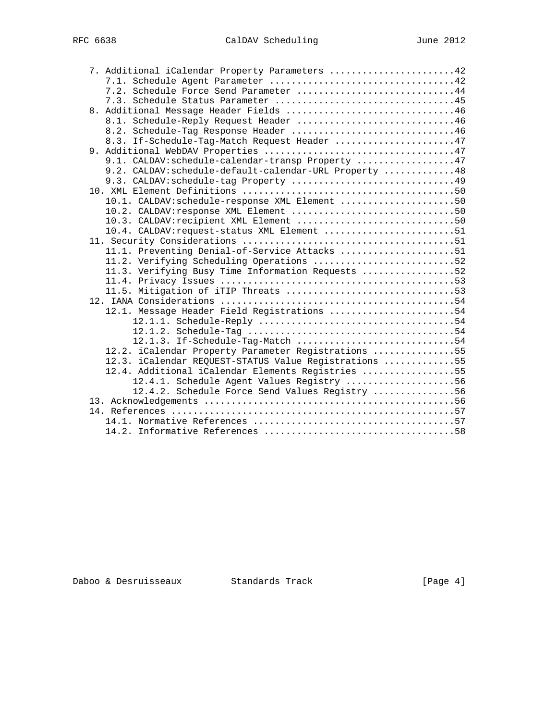|  | 7. Additional iCalendar Property Parameters 42         |  |
|--|--------------------------------------------------------|--|
|  |                                                        |  |
|  | 7.2. Schedule Force Send Parameter 44                  |  |
|  |                                                        |  |
|  | 8. Additional Message Header Fields 46                 |  |
|  | 8.1. Schedule-Reply Request Header 46                  |  |
|  | 8.2. Schedule-Tag Response Header 46                   |  |
|  | 8.3. If-Schedule-Tag-Match Request Header 47           |  |
|  |                                                        |  |
|  | 9.1. CALDAV:schedule-calendar-transp Property 47       |  |
|  | 9.2. CALDAV: schedule-default-calendar-URL Property 48 |  |
|  | 9.3. CALDAV: schedule-tag Property 49                  |  |
|  |                                                        |  |
|  | 10.1. CALDAV: schedule-response XML Element 50         |  |
|  | 10.2. CALDAV: response XML Element 50                  |  |
|  | 10.3. CALDAV: recipient XML Element 50                 |  |
|  | 10.4. CALDAV: request-status XML Element 51            |  |
|  |                                                        |  |
|  | 11.1. Preventing Denial-of-Service Attacks 51          |  |
|  | 11.2. Verifying Scheduling Operations 52               |  |
|  | 11.3. Verifying Busy Time Information Requests 52      |  |
|  |                                                        |  |
|  |                                                        |  |
|  |                                                        |  |
|  | 12.1. Message Header Field Registrations 54            |  |
|  |                                                        |  |
|  |                                                        |  |
|  | 12.1.3. If-Schedule-Tag-Match 54                       |  |
|  | 12.2. iCalendar Property Parameter Registrations 55    |  |
|  | 12.3. iCalendar REQUEST-STATUS Value Registrations 55  |  |
|  | 12.4. Additional iCalendar Elements Registries 55      |  |
|  | 12.4.1. Schedule Agent Values Registry 56              |  |
|  | 12.4.2. Schedule Force Send Values Registry 56         |  |
|  |                                                        |  |
|  |                                                        |  |
|  |                                                        |  |
|  |                                                        |  |

# Daboo & Desruisseaux Standards Track [Page 4]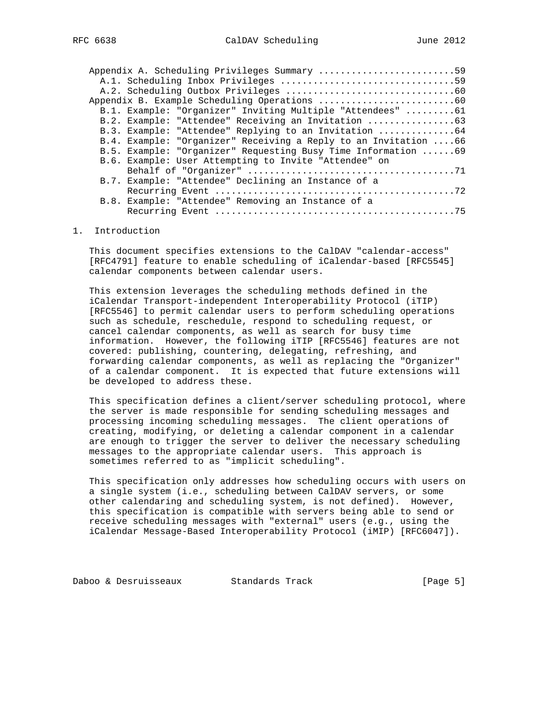| Appendix A. Scheduling Privileges Summary 59                     |
|------------------------------------------------------------------|
|                                                                  |
|                                                                  |
|                                                                  |
| B.1. Example: "Organizer" Inviting Multiple "Attendees" 61       |
| B.2. Example: "Attendee" Receiving an Invitation 63              |
| B.3. Example: "Attendee" Replying to an Invitation 64            |
| B.4. Example: "Organizer" Receiving a Reply to an Invitation  66 |
| B.5. Example: "Organizer" Requesting Busy Time Information 69    |
| B.6. Example: User Attempting to Invite "Attendee" on            |
|                                                                  |
| B.7. Example: "Attendee" Declining an Instance of a              |
|                                                                  |
| B.8. Example: "Attendee" Removing an Instance of a               |
|                                                                  |
|                                                                  |

#### 1. Introduction

 This document specifies extensions to the CalDAV "calendar-access" [RFC4791] feature to enable scheduling of iCalendar-based [RFC5545] calendar components between calendar users.

 This extension leverages the scheduling methods defined in the iCalendar Transport-independent Interoperability Protocol (iTIP) [RFC5546] to permit calendar users to perform scheduling operations such as schedule, reschedule, respond to scheduling request, or cancel calendar components, as well as search for busy time information. However, the following iTIP [RFC5546] features are not covered: publishing, countering, delegating, refreshing, and forwarding calendar components, as well as replacing the "Organizer" of a calendar component. It is expected that future extensions will be developed to address these.

 This specification defines a client/server scheduling protocol, where the server is made responsible for sending scheduling messages and processing incoming scheduling messages. The client operations of creating, modifying, or deleting a calendar component in a calendar are enough to trigger the server to deliver the necessary scheduling messages to the appropriate calendar users. This approach is sometimes referred to as "implicit scheduling".

 This specification only addresses how scheduling occurs with users on a single system (i.e., scheduling between CalDAV servers, or some other calendaring and scheduling system, is not defined). However, this specification is compatible with servers being able to send or receive scheduling messages with "external" users (e.g., using the iCalendar Message-Based Interoperability Protocol (iMIP) [RFC6047]).

Daboo & Desruisseaux Standards Track [Page 5]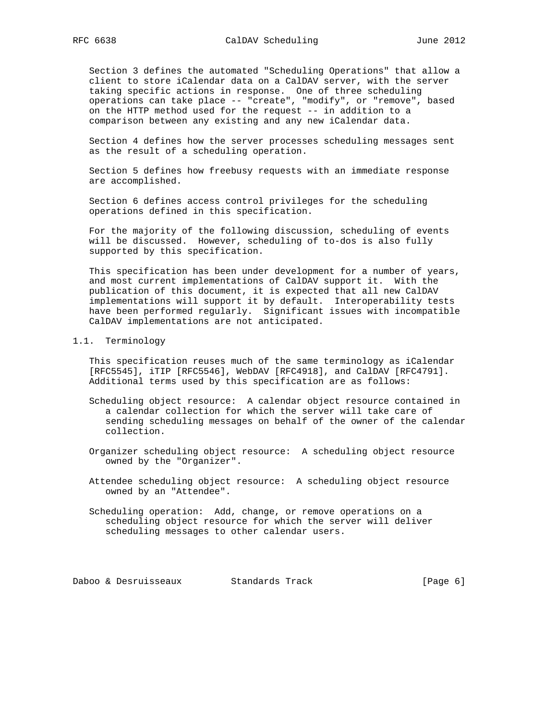Section 3 defines the automated "Scheduling Operations" that allow a client to store iCalendar data on a CalDAV server, with the server taking specific actions in response. One of three scheduling operations can take place -- "create", "modify", or "remove", based on the HTTP method used for the request -- in addition to a comparison between any existing and any new iCalendar data.

 Section 4 defines how the server processes scheduling messages sent as the result of a scheduling operation.

 Section 5 defines how freebusy requests with an immediate response are accomplished.

 Section 6 defines access control privileges for the scheduling operations defined in this specification.

 For the majority of the following discussion, scheduling of events will be discussed. However, scheduling of to-dos is also fully supported by this specification.

 This specification has been under development for a number of years, and most current implementations of CalDAV support it. With the publication of this document, it is expected that all new CalDAV implementations will support it by default. Interoperability tests have been performed regularly. Significant issues with incompatible CalDAV implementations are not anticipated.

#### 1.1. Terminology

 This specification reuses much of the same terminology as iCalendar [RFC5545], iTIP [RFC5546], WebDAV [RFC4918], and CalDAV [RFC4791]. Additional terms used by this specification are as follows:

- Scheduling object resource: A calendar object resource contained in a calendar collection for which the server will take care of sending scheduling messages on behalf of the owner of the calendar collection.
- Organizer scheduling object resource: A scheduling object resource owned by the "Organizer".
- Attendee scheduling object resource: A scheduling object resource owned by an "Attendee".
- Scheduling operation: Add, change, or remove operations on a scheduling object resource for which the server will deliver scheduling messages to other calendar users.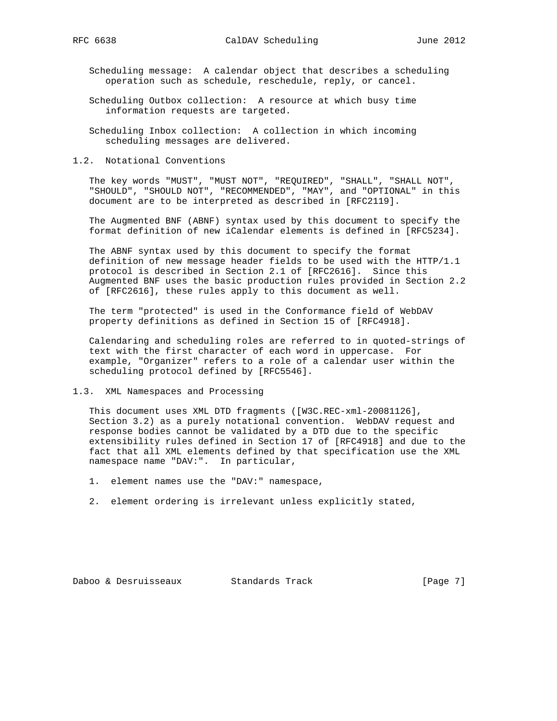Scheduling message: A calendar object that describes a scheduling operation such as schedule, reschedule, reply, or cancel.

 Scheduling Outbox collection: A resource at which busy time information requests are targeted.

 Scheduling Inbox collection: A collection in which incoming scheduling messages are delivered.

1.2. Notational Conventions

 The key words "MUST", "MUST NOT", "REQUIRED", "SHALL", "SHALL NOT", "SHOULD", "SHOULD NOT", "RECOMMENDED", "MAY", and "OPTIONAL" in this document are to be interpreted as described in [RFC2119].

 The Augmented BNF (ABNF) syntax used by this document to specify the format definition of new iCalendar elements is defined in [RFC5234].

 The ABNF syntax used by this document to specify the format definition of new message header fields to be used with the HTTP/1.1 protocol is described in Section 2.1 of [RFC2616]. Since this Augmented BNF uses the basic production rules provided in Section 2.2 of [RFC2616], these rules apply to this document as well.

 The term "protected" is used in the Conformance field of WebDAV property definitions as defined in Section 15 of [RFC4918].

 Calendaring and scheduling roles are referred to in quoted-strings of text with the first character of each word in uppercase. For example, "Organizer" refers to a role of a calendar user within the scheduling protocol defined by [RFC5546].

1.3. XML Namespaces and Processing

 This document uses XML DTD fragments ([W3C.REC-xml-20081126], Section 3.2) as a purely notational convention. WebDAV request and response bodies cannot be validated by a DTD due to the specific extensibility rules defined in Section 17 of [RFC4918] and due to the fact that all XML elements defined by that specification use the XML namespace name "DAV:". In particular,

- 1. element names use the "DAV:" namespace,
- 2. element ordering is irrelevant unless explicitly stated,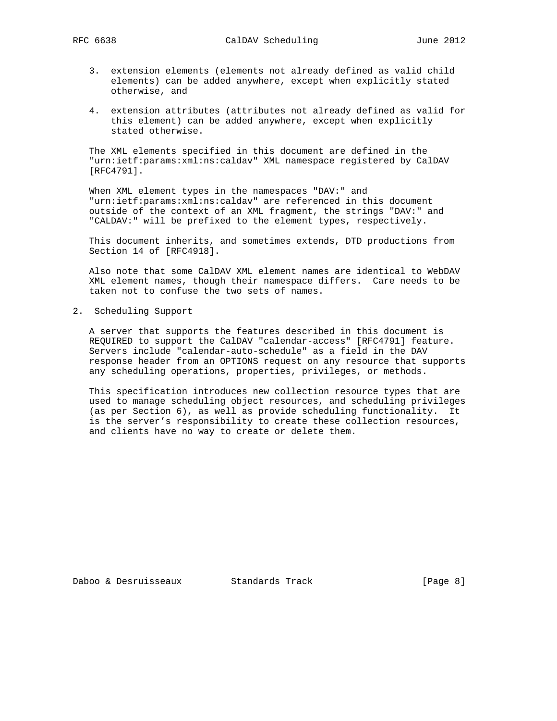- 3. extension elements (elements not already defined as valid child elements) can be added anywhere, except when explicitly stated otherwise, and
- 4. extension attributes (attributes not already defined as valid for this element) can be added anywhere, except when explicitly stated otherwise.

 The XML elements specified in this document are defined in the "urn:ietf:params:xml:ns:caldav" XML namespace registered by CalDAV [RFC4791].

 When XML element types in the namespaces "DAV:" and "urn:ietf:params:xml:ns:caldav" are referenced in this document outside of the context of an XML fragment, the strings "DAV:" and "CALDAV:" will be prefixed to the element types, respectively.

 This document inherits, and sometimes extends, DTD productions from Section 14 of [RFC4918].

 Also note that some CalDAV XML element names are identical to WebDAV XML element names, though their namespace differs. Care needs to be taken not to confuse the two sets of names.

2. Scheduling Support

 A server that supports the features described in this document is REQUIRED to support the CalDAV "calendar-access" [RFC4791] feature. Servers include "calendar-auto-schedule" as a field in the DAV response header from an OPTIONS request on any resource that supports any scheduling operations, properties, privileges, or methods.

 This specification introduces new collection resource types that are used to manage scheduling object resources, and scheduling privileges (as per Section 6), as well as provide scheduling functionality. It is the server's responsibility to create these collection resources, and clients have no way to create or delete them.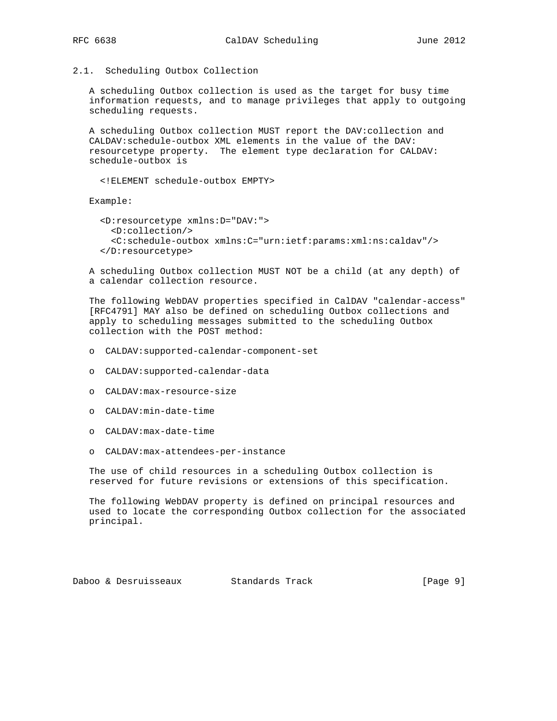2.1. Scheduling Outbox Collection

 A scheduling Outbox collection is used as the target for busy time information requests, and to manage privileges that apply to outgoing scheduling requests.

 A scheduling Outbox collection MUST report the DAV:collection and CALDAV:schedule-outbox XML elements in the value of the DAV: resourcetype property. The element type declaration for CALDAV: schedule-outbox is

<!ELEMENT schedule-outbox EMPTY>

Example:

 <D:resourcetype xmlns:D="DAV:"> <D:collection/> <C:schedule-outbox xmlns:C="urn:ietf:params:xml:ns:caldav"/> </D:resourcetype>

 A scheduling Outbox collection MUST NOT be a child (at any depth) of a calendar collection resource.

 The following WebDAV properties specified in CalDAV "calendar-access" [RFC4791] MAY also be defined on scheduling Outbox collections and apply to scheduling messages submitted to the scheduling Outbox collection with the POST method:

- o CALDAV:supported-calendar-component-set
- o CALDAV:supported-calendar-data
- o CALDAV:max-resource-size
- o CALDAV:min-date-time
- o CALDAV:max-date-time
- o CALDAV:max-attendees-per-instance

 The use of child resources in a scheduling Outbox collection is reserved for future revisions or extensions of this specification.

 The following WebDAV property is defined on principal resources and used to locate the corresponding Outbox collection for the associated principal.

Daboo & Desruisseaux Standards Track [Page 9]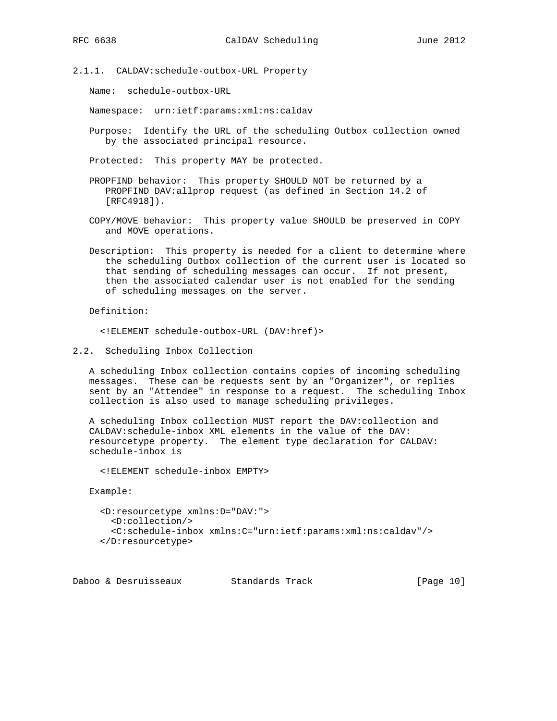2.1.1. CALDAV:schedule-outbox-URL Property

Name: schedule-outbox-URL

Namespace: urn:ietf:params:xml:ns:caldav

 Purpose: Identify the URL of the scheduling Outbox collection owned by the associated principal resource.

Protected: This property MAY be protected.

 PROPFIND behavior: This property SHOULD NOT be returned by a PROPFIND DAV:allprop request (as defined in Section 14.2 of [RFC4918]).

- COPY/MOVE behavior: This property value SHOULD be preserved in COPY and MOVE operations.
- Description: This property is needed for a client to determine where the scheduling Outbox collection of the current user is located so that sending of scheduling messages can occur. If not present, then the associated calendar user is not enabled for the sending of scheduling messages on the server.

Definition:

<!ELEMENT schedule-outbox-URL (DAV:href)>

2.2. Scheduling Inbox Collection

 A scheduling Inbox collection contains copies of incoming scheduling messages. These can be requests sent by an "Organizer", or replies sent by an "Attendee" in response to a request. The scheduling Inbox collection is also used to manage scheduling privileges.

 A scheduling Inbox collection MUST report the DAV:collection and CALDAV:schedule-inbox XML elements in the value of the DAV: resourcetype property. The element type declaration for CALDAV: schedule-inbox is

<!ELEMENT schedule-inbox EMPTY>

Example:

```
 <D:resourcetype xmlns:D="DAV:">
 <D:collection/>
 <C:schedule-inbox xmlns:C="urn:ietf:params:xml:ns:caldav"/>
</D:resourcetype>
```
Daboo & Desruisseaux Standards Track [Page 10]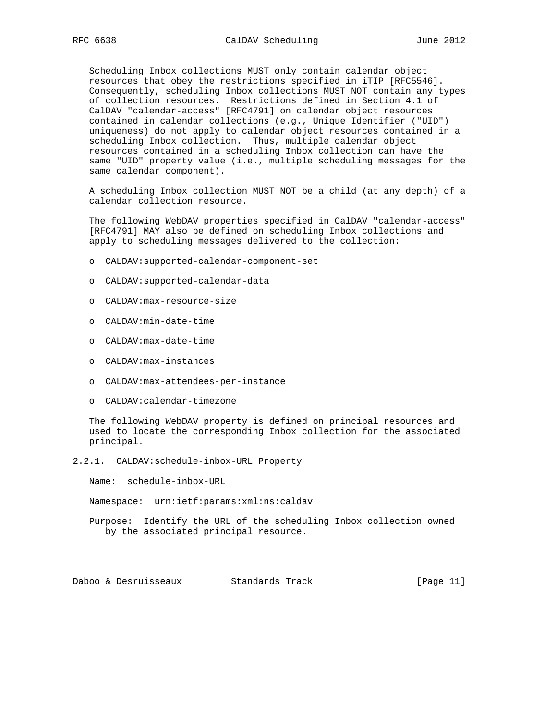Scheduling Inbox collections MUST only contain calendar object resources that obey the restrictions specified in iTIP [RFC5546]. Consequently, scheduling Inbox collections MUST NOT contain any types of collection resources. Restrictions defined in Section 4.1 of CalDAV "calendar-access" [RFC4791] on calendar object resources contained in calendar collections (e.g., Unique Identifier ("UID") uniqueness) do not apply to calendar object resources contained in a scheduling Inbox collection. Thus, multiple calendar object resources contained in a scheduling Inbox collection can have the same "UID" property value (i.e., multiple scheduling messages for the same calendar component).

 A scheduling Inbox collection MUST NOT be a child (at any depth) of a calendar collection resource.

 The following WebDAV properties specified in CalDAV "calendar-access" [RFC4791] MAY also be defined on scheduling Inbox collections and apply to scheduling messages delivered to the collection:

- o CALDAV:supported-calendar-component-set
- o CALDAV:supported-calendar-data
- o CALDAV:max-resource-size
- o CALDAV:min-date-time
- o CALDAV:max-date-time
- o CALDAV:max-instances
- o CALDAV:max-attendees-per-instance
- o CALDAV:calendar-timezone

 The following WebDAV property is defined on principal resources and used to locate the corresponding Inbox collection for the associated principal.

2.2.1. CALDAV:schedule-inbox-URL Property

Name: schedule-inbox-URL

Namespace: urn:ietf:params:xml:ns:caldav

 Purpose: Identify the URL of the scheduling Inbox collection owned by the associated principal resource.

Daboo & Desruisseaux Standards Track [Page 11]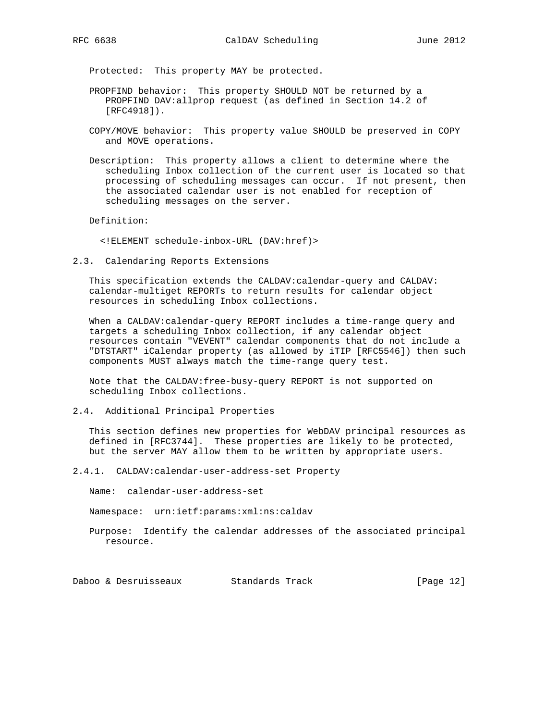Protected: This property MAY be protected.

- PROPFIND behavior: This property SHOULD NOT be returned by a PROPFIND DAV:allprop request (as defined in Section 14.2 of [RFC4918]).
- COPY/MOVE behavior: This property value SHOULD be preserved in COPY and MOVE operations.
- Description: This property allows a client to determine where the scheduling Inbox collection of the current user is located so that processing of scheduling messages can occur. If not present, then the associated calendar user is not enabled for reception of scheduling messages on the server.

Definition:

<!ELEMENT schedule-inbox-URL (DAV:href)>

2.3. Calendaring Reports Extensions

 This specification extends the CALDAV:calendar-query and CALDAV: calendar-multiget REPORTs to return results for calendar object resources in scheduling Inbox collections.

 When a CALDAV:calendar-query REPORT includes a time-range query and targets a scheduling Inbox collection, if any calendar object resources contain "VEVENT" calendar components that do not include a "DTSTART" iCalendar property (as allowed by iTIP [RFC5546]) then such components MUST always match the time-range query test.

 Note that the CALDAV:free-busy-query REPORT is not supported on scheduling Inbox collections.

2.4. Additional Principal Properties

 This section defines new properties for WebDAV principal resources as defined in [RFC3744]. These properties are likely to be protected, but the server MAY allow them to be written by appropriate users.

2.4.1. CALDAV:calendar-user-address-set Property

Name: calendar-user-address-set

Namespace: urn:ietf:params:xml:ns:caldav

 Purpose: Identify the calendar addresses of the associated principal resource.

Daboo & Desruisseaux Standards Track [Page 12]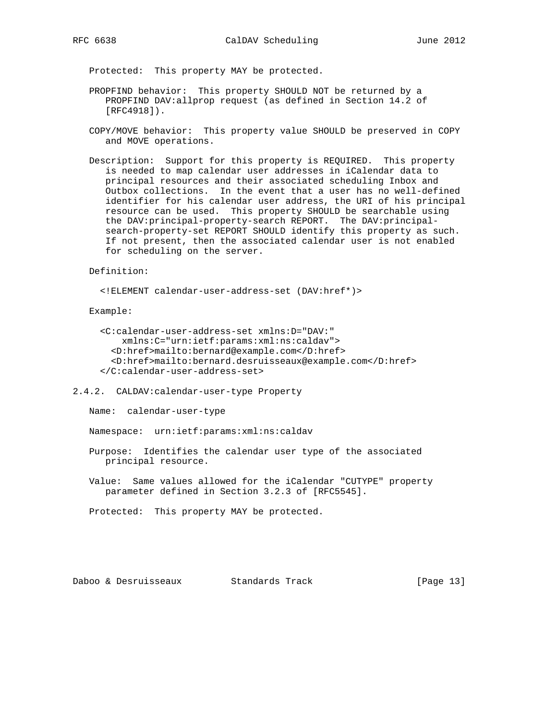Protected: This property MAY be protected.

- PROPFIND behavior: This property SHOULD NOT be returned by a PROPFIND DAV:allprop request (as defined in Section 14.2 of [RFC4918]).
- COPY/MOVE behavior: This property value SHOULD be preserved in COPY and MOVE operations.
- Description: Support for this property is REQUIRED. This property is needed to map calendar user addresses in iCalendar data to principal resources and their associated scheduling Inbox and Outbox collections. In the event that a user has no well-defined identifier for his calendar user address, the URI of his principal resource can be used. This property SHOULD be searchable using the DAV:principal-property-search REPORT. The DAV:principal search-property-set REPORT SHOULD identify this property as such. If not present, then the associated calendar user is not enabled for scheduling on the server.

Definition:

```
 <!ELEMENT calendar-user-address-set (DAV:href*)>
```
Example:

```
 <C:calendar-user-address-set xmlns:D="DAV:"
   xmlns:C="urn:ietf:params:xml:ns:caldav">
 <D:href>mailto:bernard@example.com</D:href>
 <D:href>mailto:bernard.desruisseaux@example.com</D:href>
</C:calendar-user-address-set>
```
2.4.2. CALDAV:calendar-user-type Property

Name: calendar-user-type

Namespace: urn:ietf:params:xml:ns:caldav

- Purpose: Identifies the calendar user type of the associated principal resource.
- Value: Same values allowed for the iCalendar "CUTYPE" property parameter defined in Section 3.2.3 of [RFC5545].

Protected: This property MAY be protected.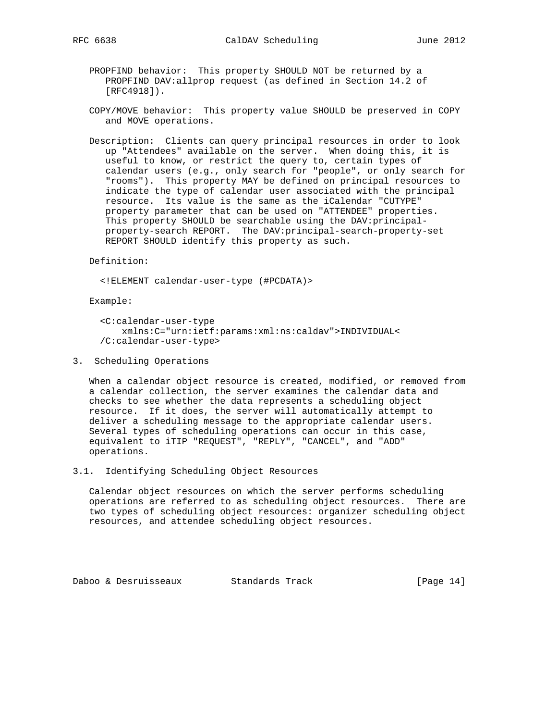- PROPFIND behavior: This property SHOULD NOT be returned by a PROPFIND DAV:allprop request (as defined in Section 14.2 of [RFC4918]).
- COPY/MOVE behavior: This property value SHOULD be preserved in COPY and MOVE operations.
- Description: Clients can query principal resources in order to look up "Attendees" available on the server. When doing this, it is useful to know, or restrict the query to, certain types of calendar users (e.g., only search for "people", or only search for "rooms"). This property MAY be defined on principal resources to indicate the type of calendar user associated with the principal resource. Its value is the same as the iCalendar "CUTYPE" property parameter that can be used on "ATTENDEE" properties. This property SHOULD be searchable using the DAV: principal property-search REPORT. The DAV:principal-search-property-set REPORT SHOULD identify this property as such.

Definition:

<!ELEMENT calendar-user-type (#PCDATA)>

Example:

```
 <C:calendar-user-type
    xmlns:C="urn:ietf:params:xml:ns:caldav">INDIVIDUAL<
/C:calendar-user-type>
```
3. Scheduling Operations

 When a calendar object resource is created, modified, or removed from a calendar collection, the server examines the calendar data and checks to see whether the data represents a scheduling object resource. If it does, the server will automatically attempt to deliver a scheduling message to the appropriate calendar users. Several types of scheduling operations can occur in this case, equivalent to iTIP "REQUEST", "REPLY", "CANCEL", and "ADD" operations.

3.1. Identifying Scheduling Object Resources

 Calendar object resources on which the server performs scheduling operations are referred to as scheduling object resources. There are two types of scheduling object resources: organizer scheduling object resources, and attendee scheduling object resources.

Daboo & Desruisseaux Standards Track [Page 14]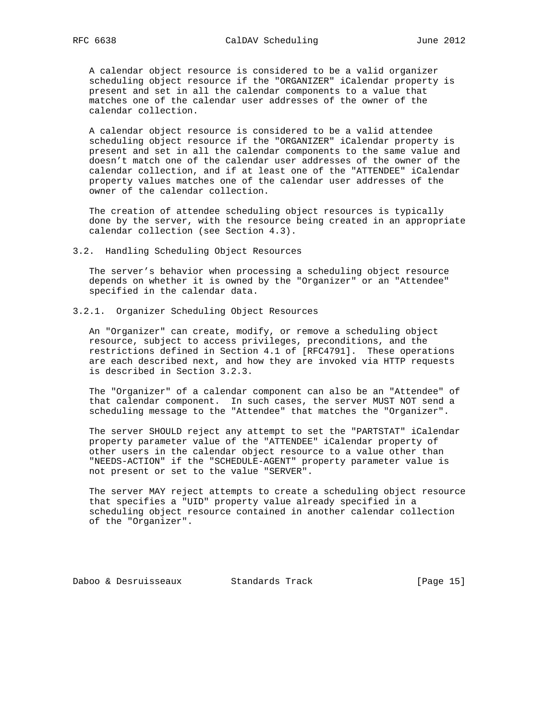A calendar object resource is considered to be a valid organizer scheduling object resource if the "ORGANIZER" iCalendar property is present and set in all the calendar components to a value that matches one of the calendar user addresses of the owner of the calendar collection.

 A calendar object resource is considered to be a valid attendee scheduling object resource if the "ORGANIZER" iCalendar property is present and set in all the calendar components to the same value and doesn't match one of the calendar user addresses of the owner of the calendar collection, and if at least one of the "ATTENDEE" iCalendar property values matches one of the calendar user addresses of the owner of the calendar collection.

 The creation of attendee scheduling object resources is typically done by the server, with the resource being created in an appropriate calendar collection (see Section 4.3).

#### 3.2. Handling Scheduling Object Resources

 The server's behavior when processing a scheduling object resource depends on whether it is owned by the "Organizer" or an "Attendee" specified in the calendar data.

3.2.1. Organizer Scheduling Object Resources

 An "Organizer" can create, modify, or remove a scheduling object resource, subject to access privileges, preconditions, and the restrictions defined in Section 4.1 of [RFC4791]. These operations are each described next, and how they are invoked via HTTP requests is described in Section 3.2.3.

 The "Organizer" of a calendar component can also be an "Attendee" of that calendar component. In such cases, the server MUST NOT send a scheduling message to the "Attendee" that matches the "Organizer".

 The server SHOULD reject any attempt to set the "PARTSTAT" iCalendar property parameter value of the "ATTENDEE" iCalendar property of other users in the calendar object resource to a value other than "NEEDS-ACTION" if the "SCHEDULE-AGENT" property parameter value is not present or set to the value "SERVER".

 The server MAY reject attempts to create a scheduling object resource that specifies a "UID" property value already specified in a scheduling object resource contained in another calendar collection of the "Organizer".

Daboo & Desruisseaux Standards Track [Page 15]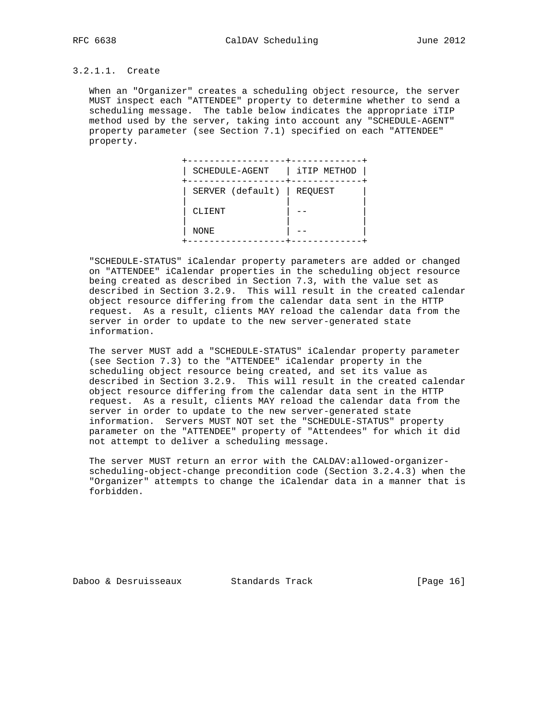## 3.2.1.1. Create

 When an "Organizer" creates a scheduling object resource, the server MUST inspect each "ATTENDEE" property to determine whether to send a scheduling message. The table below indicates the appropriate iTIP method used by the server, taking into account any "SCHEDULE-AGENT" property parameter (see Section 7.1) specified on each "ATTENDEE" property.

| SCHEDULE-AGENT   | iTIP METHOD |
|------------------|-------------|
| SERVER (default) | REQUEST     |
| CLIENT           |             |
| NONE             |             |

 "SCHEDULE-STATUS" iCalendar property parameters are added or changed on "ATTENDEE" iCalendar properties in the scheduling object resource being created as described in Section 7.3, with the value set as described in Section 3.2.9. This will result in the created calendar object resource differing from the calendar data sent in the HTTP request. As a result, clients MAY reload the calendar data from the server in order to update to the new server-generated state information.

 The server MUST add a "SCHEDULE-STATUS" iCalendar property parameter (see Section 7.3) to the "ATTENDEE" iCalendar property in the scheduling object resource being created, and set its value as described in Section 3.2.9. This will result in the created calendar object resource differing from the calendar data sent in the HTTP request. As a result, clients MAY reload the calendar data from the server in order to update to the new server-generated state information. Servers MUST NOT set the "SCHEDULE-STATUS" property parameter on the "ATTENDEE" property of "Attendees" for which it did not attempt to deliver a scheduling message.

 The server MUST return an error with the CALDAV:allowed-organizer scheduling-object-change precondition code (Section 3.2.4.3) when the "Organizer" attempts to change the iCalendar data in a manner that is forbidden.

Daboo & Desruisseaux Standards Track [Page 16]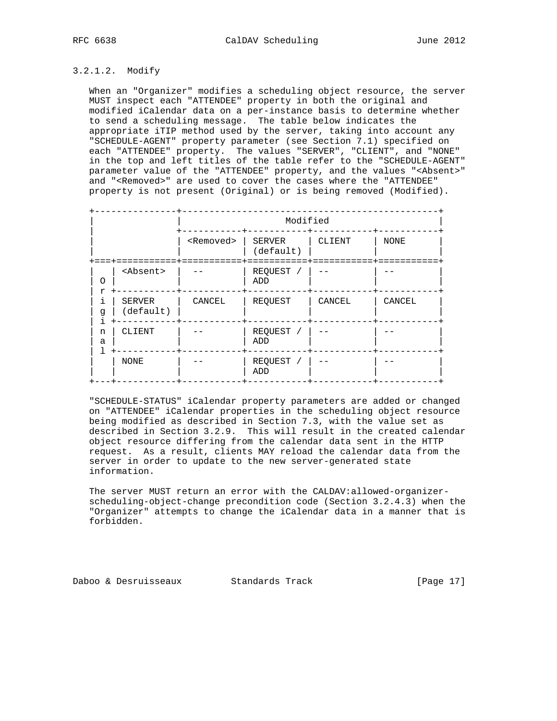## 3.2.1.2. Modify

 When an "Organizer" modifies a scheduling object resource, the server MUST inspect each "ATTENDEE" property in both the original and modified iCalendar data on a per-instance basis to determine whether to send a scheduling message. The table below indicates the appropriate iTIP method used by the server, taking into account any "SCHEDULE-AGENT" property parameter (see Section 7.1) specified on each "ATTENDEE" property. The values "SERVER", "CLIENT", and "NONE" in the top and left titles of the table refer to the "SCHEDULE-AGENT" parameter value of the "ATTENDEE" property, and the values "<Absent>" and "<Removed>" are used to cover the cases where the "ATTENDEE" property is not present (Original) or is being removed (Modified).

|                     |                     | Modified                     |        |             |
|---------------------|---------------------|------------------------------|--------|-------------|
|                     | <removed></removed> | SERVER<br>(default)          | CLIENT | <b>NONE</b> |
| <absent></absent>   |                     | REQUEST /<br>ADD             |        |             |
| SERVER<br>(default) | CANCEL              | REQUEST                      | CANCEL | CANCEL      |
| CLIENT              |                     | REQUEST /<br>ADD             |        |             |
| <b>NONE</b>         |                     | REQUEST<br>$\sqrt{2}$<br>ADD |        |             |

 "SCHEDULE-STATUS" iCalendar property parameters are added or changed on "ATTENDEE" iCalendar properties in the scheduling object resource being modified as described in Section 7.3, with the value set as described in Section 3.2.9. This will result in the created calendar object resource differing from the calendar data sent in the HTTP request. As a result, clients MAY reload the calendar data from the server in order to update to the new server-generated state information.

 The server MUST return an error with the CALDAV:allowed-organizer scheduling-object-change precondition code (Section 3.2.4.3) when the "Organizer" attempts to change the iCalendar data in a manner that is forbidden.

Daboo & Desruisseaux Standards Track [Page 17]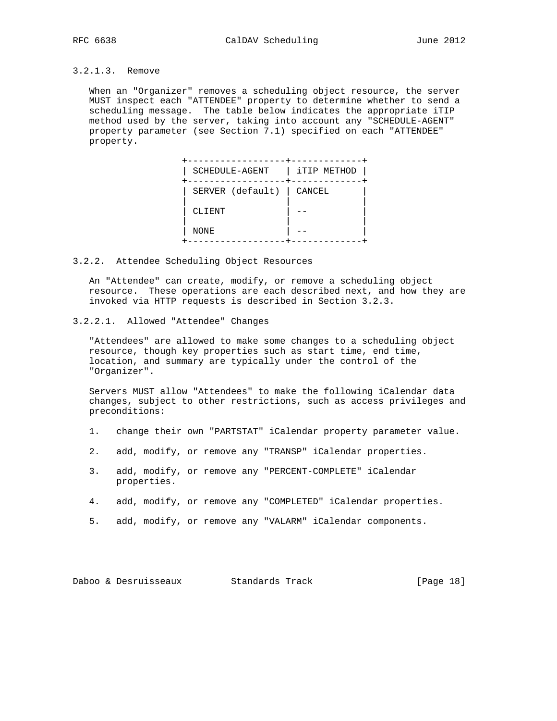## 3.2.1.3. Remove

 When an "Organizer" removes a scheduling object resource, the server MUST inspect each "ATTENDEE" property to determine whether to send a scheduling message. The table below indicates the appropriate iTIP method used by the server, taking into account any "SCHEDULE-AGENT" property parameter (see Section 7.1) specified on each "ATTENDEE" property.

| SCHEDULE-AGENT   | iTIP METHOD |
|------------------|-------------|
| SERVER (default) | CANCEL      |
| CLIENT           |             |
| NONE             |             |

3.2.2. Attendee Scheduling Object Resources

 An "Attendee" can create, modify, or remove a scheduling object resource. These operations are each described next, and how they are invoked via HTTP requests is described in Section 3.2.3.

3.2.2.1. Allowed "Attendee" Changes

 "Attendees" are allowed to make some changes to a scheduling object resource, though key properties such as start time, end time, location, and summary are typically under the control of the "Organizer".

 Servers MUST allow "Attendees" to make the following iCalendar data changes, subject to other restrictions, such as access privileges and preconditions:

- 1. change their own "PARTSTAT" iCalendar property parameter value.
- 2. add, modify, or remove any "TRANSP" iCalendar properties.
- 3. add, modify, or remove any "PERCENT-COMPLETE" iCalendar properties.
- 4. add, modify, or remove any "COMPLETED" iCalendar properties.
- 5. add, modify, or remove any "VALARM" iCalendar components.

Daboo & Desruisseaux Standards Track [Page 18]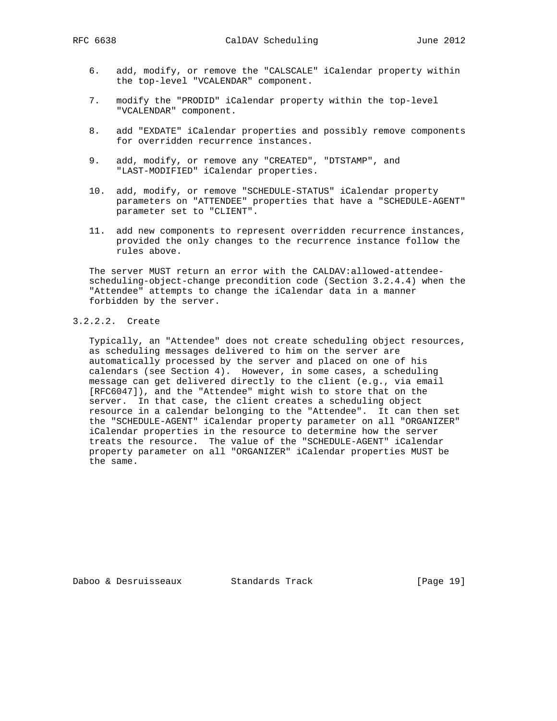- 6. add, modify, or remove the "CALSCALE" iCalendar property within the top-level "VCALENDAR" component.
- 7. modify the "PRODID" iCalendar property within the top-level "VCALENDAR" component.
- 8. add "EXDATE" iCalendar properties and possibly remove components for overridden recurrence instances.
- 9. add, modify, or remove any "CREATED", "DTSTAMP", and "LAST-MODIFIED" iCalendar properties.
- 10. add, modify, or remove "SCHEDULE-STATUS" iCalendar property parameters on "ATTENDEE" properties that have a "SCHEDULE-AGENT" parameter set to "CLIENT".
- 11. add new components to represent overridden recurrence instances, provided the only changes to the recurrence instance follow the rules above.

 The server MUST return an error with the CALDAV:allowed-attendee scheduling-object-change precondition code (Section 3.2.4.4) when the "Attendee" attempts to change the iCalendar data in a manner forbidden by the server.

## 3.2.2.2. Create

 Typically, an "Attendee" does not create scheduling object resources, as scheduling messages delivered to him on the server are automatically processed by the server and placed on one of his calendars (see Section 4). However, in some cases, a scheduling message can get delivered directly to the client (e.g., via email [RFC6047]), and the "Attendee" might wish to store that on the server. In that case, the client creates a scheduling object resource in a calendar belonging to the "Attendee". It can then set the "SCHEDULE-AGENT" iCalendar property parameter on all "ORGANIZER" iCalendar properties in the resource to determine how the server treats the resource. The value of the "SCHEDULE-AGENT" iCalendar property parameter on all "ORGANIZER" iCalendar properties MUST be the same.

Daboo & Desruisseaux Standards Track [Page 19]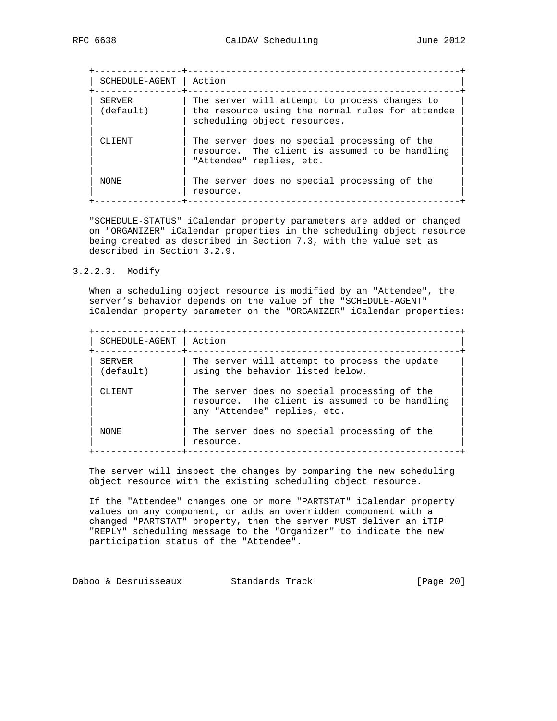+----------------+--------------------------------------------------+ | SCHEDULE-AGENT | Action | +----------------+--------------------------------------------------+ | SERVER | The server will attempt to process changes to | | (default) | the resource using the normal rules for attendee | | scheduling object resources. | | | | CLIENT | The server does no special processing of the | |  $\blacksquare$  | resource. The client is assumed to be handling | | "Attendee" replies, etc. | | | NONE | The server does no special processing of the | resource. +----------------+--------------------------------------------------+

 "SCHEDULE-STATUS" iCalendar property parameters are added or changed on "ORGANIZER" iCalendar properties in the scheduling object resource being created as described in Section 7.3, with the value set as described in Section 3.2.9.

#### 3.2.2.3. Modify

 When a scheduling object resource is modified by an "Attendee", the server's behavior depends on the value of the "SCHEDULE-AGENT" iCalendar property parameter on the "ORGANIZER" iCalendar properties:

| SCHEDULE-AGENT      | Action                                                                                                                         |
|---------------------|--------------------------------------------------------------------------------------------------------------------------------|
| SERVER<br>(default) | The server will attempt to process the update<br>using the behavior listed below.                                              |
| CLIENT              | The server does no special processing of the<br>resource. The client is assumed to be handling<br>any "Attendee" replies, etc. |
| NONE.               | The server does no special processing of the<br>resource.                                                                      |

 The server will inspect the changes by comparing the new scheduling object resource with the existing scheduling object resource.

 If the "Attendee" changes one or more "PARTSTAT" iCalendar property values on any component, or adds an overridden component with a changed "PARTSTAT" property, then the server MUST deliver an iTIP "REPLY" scheduling message to the "Organizer" to indicate the new participation status of the "Attendee".

Daboo & Desruisseaux Standards Track [Page 20]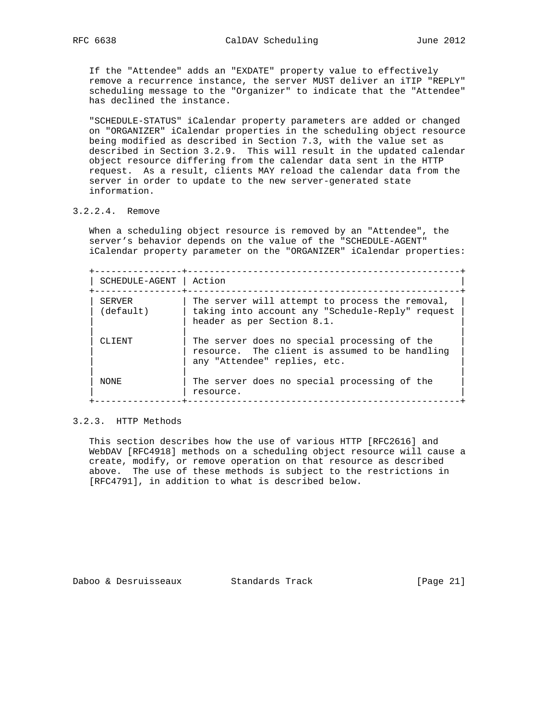If the "Attendee" adds an "EXDATE" property value to effectively remove a recurrence instance, the server MUST deliver an iTIP "REPLY" scheduling message to the "Organizer" to indicate that the "Attendee" has declined the instance.

 "SCHEDULE-STATUS" iCalendar property parameters are added or changed on "ORGANIZER" iCalendar properties in the scheduling object resource being modified as described in Section 7.3, with the value set as described in Section 3.2.9. This will result in the updated calendar object resource differing from the calendar data sent in the HTTP request. As a result, clients MAY reload the calendar data from the server in order to update to the new server-generated state information.

### 3.2.2.4. Remove

 When a scheduling object resource is removed by an "Attendee", the server's behavior depends on the value of the "SCHEDULE-AGENT" iCalendar property parameter on the "ORGANIZER" iCalendar properties:

 +----------------+--------------------------------------------------+ | SCHEDULE-AGENT | Action | +----------------+--------------------------------------------------+ | SERVER | The server will attempt to process the removal, | | (default) | taking into account any "Schedule-Reply" request | | | header as per Section 8.1. | | | | | CLIENT | The server does no special processing of the | | resource. The client is assumed to be handling | any "Attendee" replies, etc. | | | | NONE | The server does no special processing of the | | resource. +----------------+--------------------------------------------------+

#### 3.2.3. HTTP Methods

 This section describes how the use of various HTTP [RFC2616] and WebDAV [RFC4918] methods on a scheduling object resource will cause a create, modify, or remove operation on that resource as described above. The use of these methods is subject to the restrictions in [RFC4791], in addition to what is described below.

Daboo & Desruisseaux Standards Track [Page 21]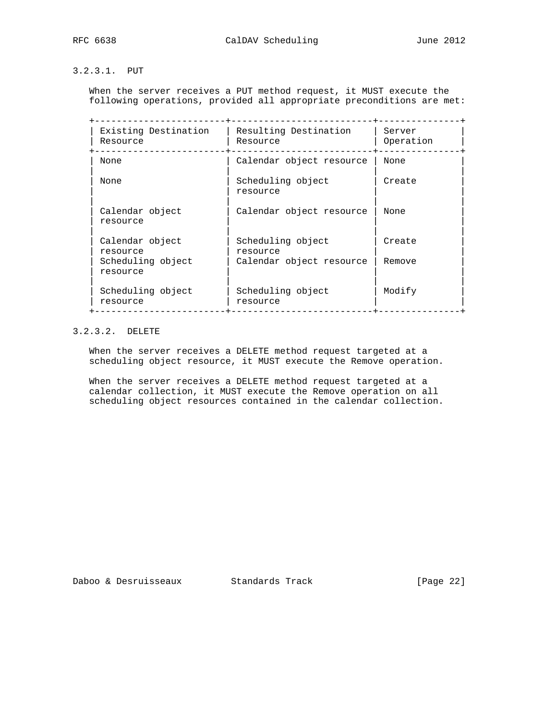## 3.2.3.1. PUT

 When the server receives a PUT method request, it MUST execute the following operations, provided all appropriate preconditions are met:

| Existing Destination<br>Resource | Resulting Destination<br>Resource | Server<br>Operation |
|----------------------------------|-----------------------------------|---------------------|
| None                             | Calendar object resource          | None                |
| None                             | Scheduling object<br>resource     | Create              |
| Calendar object<br>resource      | Calendar object resource          | None                |
| Calendar object<br>resource      | Scheduling object<br>resource     | Create              |
| Scheduling object<br>resource    | Calendar object resource          | Remove              |
| Scheduling object<br>resource    | Scheduling object<br>resource     | Modify              |

## 3.2.3.2. DELETE

 When the server receives a DELETE method request targeted at a scheduling object resource, it MUST execute the Remove operation.

 When the server receives a DELETE method request targeted at a calendar collection, it MUST execute the Remove operation on all scheduling object resources contained in the calendar collection.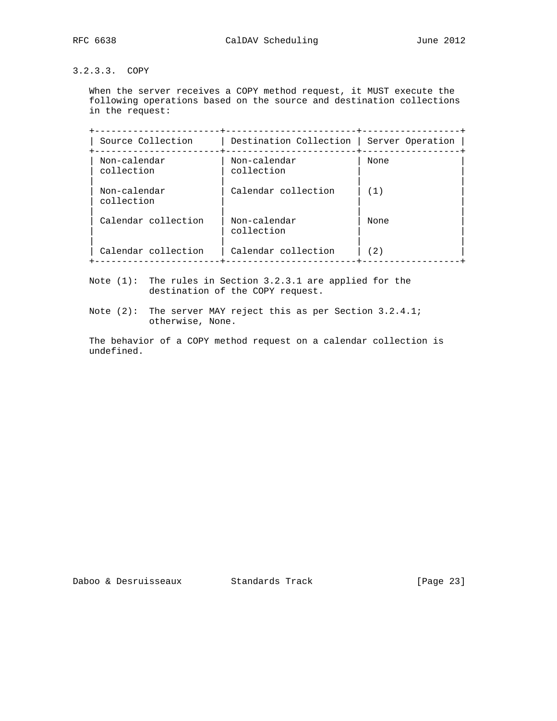## 3.2.3.3. COPY

 When the server receives a COPY method request, it MUST execute the following operations based on the source and destination collections in the request:

| Source Collection          | Destination Collection     | Server Operation |
|----------------------------|----------------------------|------------------|
| Non-calendar<br>collection | Non-calendar<br>collection | None             |
| Non-calendar<br>collection | Calendar collection        | (1)              |
| Calendar collection        | Non-calendar<br>collection | None             |
| Calendar collection        | Calendar collection        | 2)               |

 Note (1): The rules in Section 3.2.3.1 are applied for the destination of the COPY request.

 Note (2): The server MAY reject this as per Section 3.2.4.1; otherwise, None.

 The behavior of a COPY method request on a calendar collection is undefined.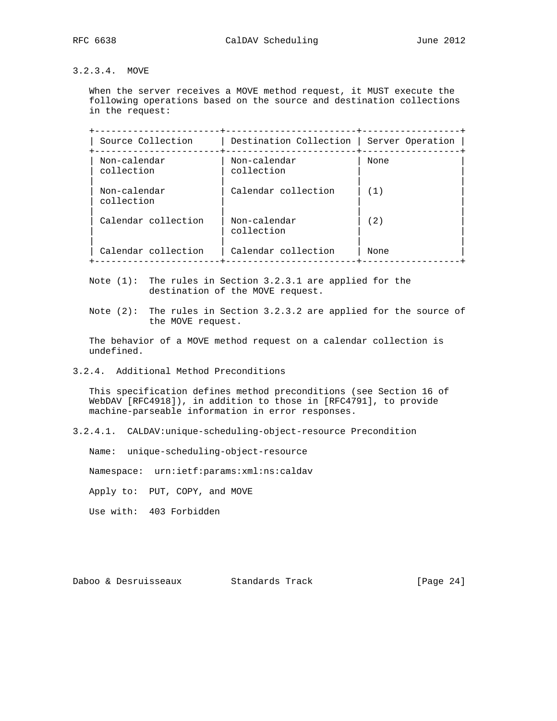## 3.2.3.4. MOVE

 When the server receives a MOVE method request, it MUST execute the following operations based on the source and destination collections in the request:

| Source Collection          | Destination Collection     | Server Operation |
|----------------------------|----------------------------|------------------|
| Non-calendar<br>collection | Non-calendar<br>collection | None             |
| Non-calendar<br>collection | Calendar collection        | (1)              |
| Calendar collection        | Non-calendar<br>collection | (2)              |
| Calendar collection        | Calendar collection        | None             |

 Note (1): The rules in Section 3.2.3.1 are applied for the destination of the MOVE request.

 Note (2): The rules in Section 3.2.3.2 are applied for the source of the MOVE request.

 The behavior of a MOVE method request on a calendar collection is undefined.

## 3.2.4. Additional Method Preconditions

 This specification defines method preconditions (see Section 16 of WebDAV [RFC4918]), in addition to those in [RFC4791], to provide machine-parseable information in error responses.

3.2.4.1. CALDAV:unique-scheduling-object-resource Precondition

Name: unique-scheduling-object-resource

Namespace: urn:ietf:params:xml:ns:caldav

Apply to: PUT, COPY, and MOVE

Use with: 403 Forbidden

Daboo & Desruisseaux Standards Track [Page 24]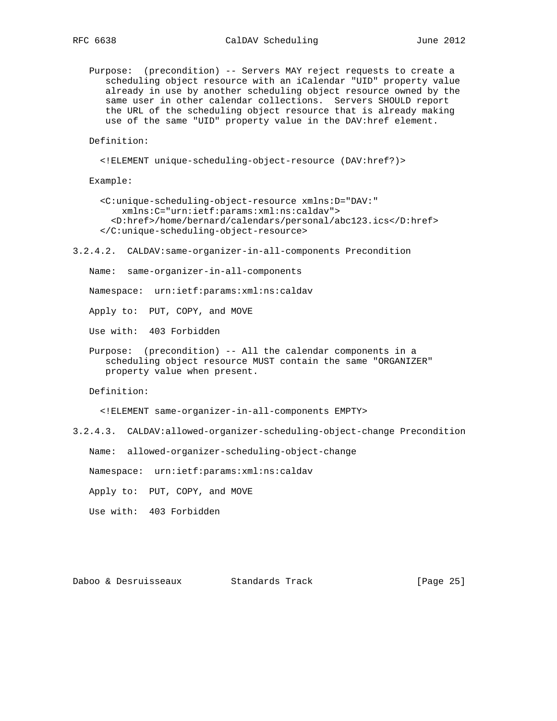Purpose: (precondition) -- Servers MAY reject requests to create a scheduling object resource with an iCalendar "UID" property value already in use by another scheduling object resource owned by the same user in other calendar collections. Servers SHOULD report the URL of the scheduling object resource that is already making use of the same "UID" property value in the DAV:href element.

Definition:

```
 <!ELEMENT unique-scheduling-object-resource (DAV:href?)>
```
Example:

```
 <C:unique-scheduling-object-resource xmlns:D="DAV:"
   xmlns:C="urn:ietf:params:xml:ns:caldav">
  <D:href>/home/bernard/calendars/personal/abc123.ics</D:href>
</C:unique-scheduling-object-resource>
```
3.2.4.2. CALDAV:same-organizer-in-all-components Precondition

Name: same-organizer-in-all-components

Namespace: urn:ietf:params:xml:ns:caldav

Apply to: PUT, COPY, and MOVE

Use with: 403 Forbidden

 Purpose: (precondition) -- All the calendar components in a scheduling object resource MUST contain the same "ORGANIZER" property value when present.

Definition:

<!ELEMENT same-organizer-in-all-components EMPTY>

3.2.4.3. CALDAV:allowed-organizer-scheduling-object-change Precondition

Name: allowed-organizer-scheduling-object-change

Namespace: urn:ietf:params:xml:ns:caldav

Apply to: PUT, COPY, and MOVE

Use with: 403 Forbidden

Daboo & Desruisseaux Standards Track [Page 25]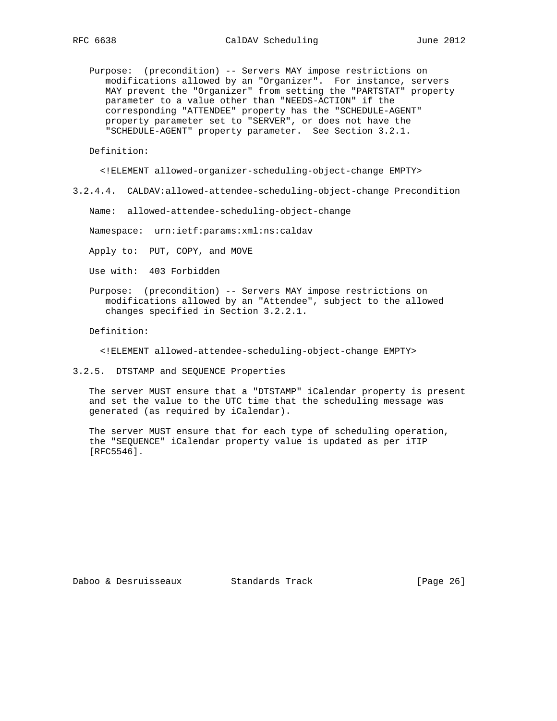Purpose: (precondition) -- Servers MAY impose restrictions on modifications allowed by an "Organizer". For instance, servers MAY prevent the "Organizer" from setting the "PARTSTAT" property parameter to a value other than "NEEDS-ACTION" if the corresponding "ATTENDEE" property has the "SCHEDULE-AGENT" property parameter set to "SERVER", or does not have the "SCHEDULE-AGENT" property parameter. See Section 3.2.1.

Definition:

<!ELEMENT allowed-organizer-scheduling-object-change EMPTY>

3.2.4.4. CALDAV:allowed-attendee-scheduling-object-change Precondition

Name: allowed-attendee-scheduling-object-change

Namespace: urn:ietf:params:xml:ns:caldav

Apply to: PUT, COPY, and MOVE

- Use with: 403 Forbidden
- Purpose: (precondition) -- Servers MAY impose restrictions on modifications allowed by an "Attendee", subject to the allowed changes specified in Section 3.2.2.1.

Definition:

<!ELEMENT allowed-attendee-scheduling-object-change EMPTY>

3.2.5. DTSTAMP and SEQUENCE Properties

 The server MUST ensure that a "DTSTAMP" iCalendar property is present and set the value to the UTC time that the scheduling message was generated (as required by iCalendar).

 The server MUST ensure that for each type of scheduling operation, the "SEQUENCE" iCalendar property value is updated as per iTIP [RFC5546].

Daboo & Desruisseaux Standards Track [Page 26]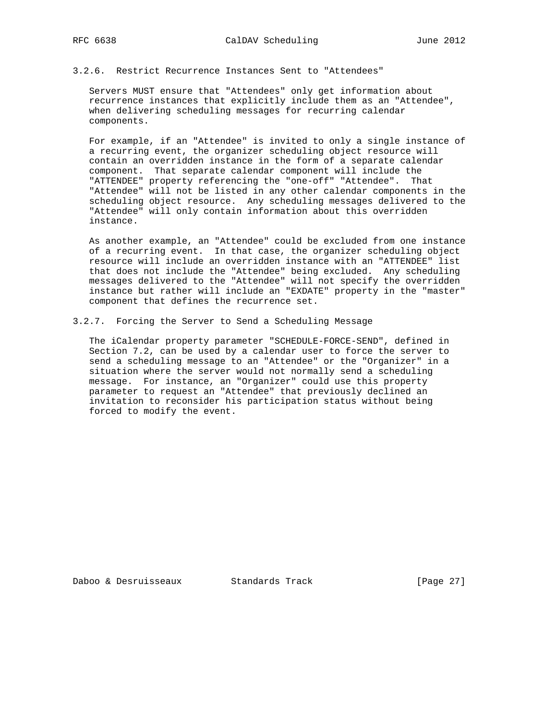#### 3.2.6. Restrict Recurrence Instances Sent to "Attendees"

 Servers MUST ensure that "Attendees" only get information about recurrence instances that explicitly include them as an "Attendee", when delivering scheduling messages for recurring calendar components.

 For example, if an "Attendee" is invited to only a single instance of a recurring event, the organizer scheduling object resource will contain an overridden instance in the form of a separate calendar component. That separate calendar component will include the "ATTENDEE" property referencing the "one-off" "Attendee". That "Attendee" will not be listed in any other calendar components in the scheduling object resource. Any scheduling messages delivered to the "Attendee" will only contain information about this overridden instance.

 As another example, an "Attendee" could be excluded from one instance of a recurring event. In that case, the organizer scheduling object resource will include an overridden instance with an "ATTENDEE" list that does not include the "Attendee" being excluded. Any scheduling messages delivered to the "Attendee" will not specify the overridden instance but rather will include an "EXDATE" property in the "master" component that defines the recurrence set.

3.2.7. Forcing the Server to Send a Scheduling Message

 The iCalendar property parameter "SCHEDULE-FORCE-SEND", defined in Section 7.2, can be used by a calendar user to force the server to send a scheduling message to an "Attendee" or the "Organizer" in a situation where the server would not normally send a scheduling message. For instance, an "Organizer" could use this property parameter to request an "Attendee" that previously declined an invitation to reconsider his participation status without being forced to modify the event.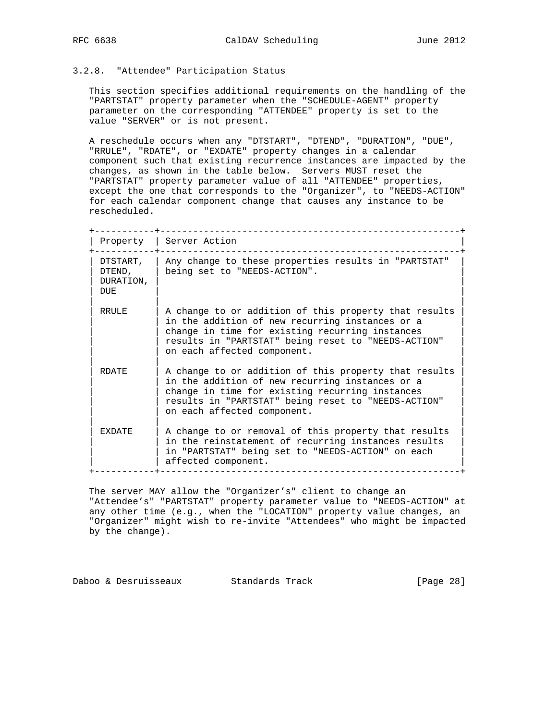## 3.2.8. "Attendee" Participation Status

 This section specifies additional requirements on the handling of the "PARTSTAT" property parameter when the "SCHEDULE-AGENT" property parameter on the corresponding "ATTENDEE" property is set to the value "SERVER" or is not present.

 A reschedule occurs when any "DTSTART", "DTEND", "DURATION", "DUE", "RRULE", "RDATE", or "EXDATE" property changes in a calendar component such that existing recurrence instances are impacted by the changes, as shown in the table below. Servers MUST reset the "PARTSTAT" property parameter value of all "ATTENDEE" properties, except the one that corresponds to the "Organizer", to "NEEDS-ACTION" for each calendar component change that causes any instance to be rescheduled.

| Property                                      | Server Action                                                                                                                                                                                                                                     |
|-----------------------------------------------|---------------------------------------------------------------------------------------------------------------------------------------------------------------------------------------------------------------------------------------------------|
| DTSTART,<br>DTEND,<br>DURATION,<br><b>DUE</b> | Any change to these properties results in "PARTSTAT"<br>being set to "NEEDS-ACTION".                                                                                                                                                              |
| RRULE                                         | A change to or addition of this property that results<br>in the addition of new recurring instances or a<br>change in time for existing recurring instances<br>results in "PARTSTAT" being reset to "NEEDS-ACTION"<br>on each affected component. |
| RDATE.                                        | A change to or addition of this property that results<br>in the addition of new recurring instances or a<br>change in time for existing recurring instances<br>results in "PARTSTAT" being reset to "NEEDS-ACTION"<br>on each affected component. |
| <b>FXDATE</b>                                 | A change to or removal of this property that results<br>in the reinstatement of recurring instances results<br>in "PARTSTAT" being set to "NEEDS-ACTION" on each<br>affected component.                                                           |

 The server MAY allow the "Organizer's" client to change an "Attendee's" "PARTSTAT" property parameter value to "NEEDS-ACTION" at any other time (e.g., when the "LOCATION" property value changes, an "Organizer" might wish to re-invite "Attendees" who might be impacted by the change).

Daboo & Desruisseaux Standards Track [Page 28]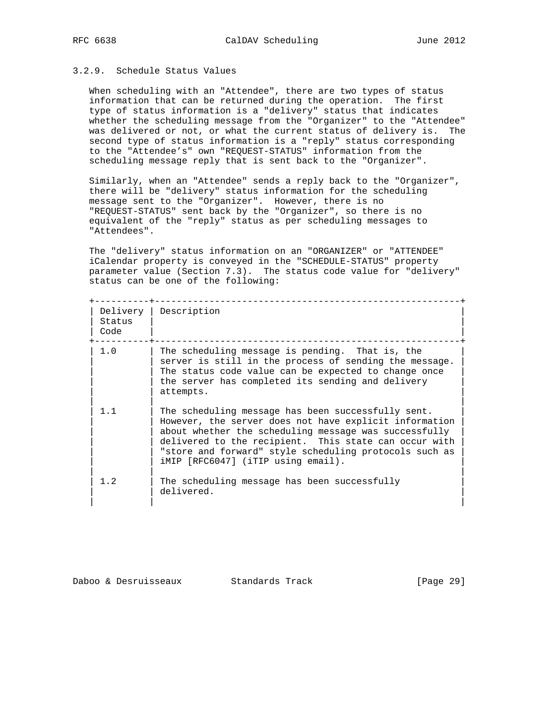## 3.2.9. Schedule Status Values

 When scheduling with an "Attendee", there are two types of status information that can be returned during the operation. The first type of status information is a "delivery" status that indicates whether the scheduling message from the "Organizer" to the "Attendee" was delivered or not, or what the current status of delivery is. The second type of status information is a "reply" status corresponding to the "Attendee's" own "REQUEST-STATUS" information from the scheduling message reply that is sent back to the "Organizer".

 Similarly, when an "Attendee" sends a reply back to the "Organizer", there will be "delivery" status information for the scheduling message sent to the "Organizer". However, there is no "REQUEST-STATUS" sent back by the "Organizer", so there is no equivalent of the "reply" status as per scheduling messages to "Attendees".

 The "delivery" status information on an "ORGANIZER" or "ATTENDEE" iCalendar property is conveyed in the "SCHEDULE-STATUS" property parameter value (Section 7.3). The status code value for "delivery" status can be one of the following:

| Delivery<br>Status<br>Code | Description                                                                                                                                                                                                                                                                                                                    |
|----------------------------|--------------------------------------------------------------------------------------------------------------------------------------------------------------------------------------------------------------------------------------------------------------------------------------------------------------------------------|
| 1.0                        | The scheduling message is pending. That is, the<br>server is still in the process of sending the message.<br>The status code value can be expected to change once<br>the server has completed its sending and delivery<br>attempts.                                                                                            |
| 1.1                        | The scheduling message has been successfully sent.<br>However, the server does not have explicit information<br>about whether the scheduling message was successfully<br>delivered to the recipient. This state can occur with<br>"store and forward" style scheduling protocols such as<br>iMIP [RFC6047] (iTIP using email). |
| 1.2                        | The scheduling message has been successfully<br>delivered.                                                                                                                                                                                                                                                                     |

## Daboo & Desruisseaux Standards Track [Page 29]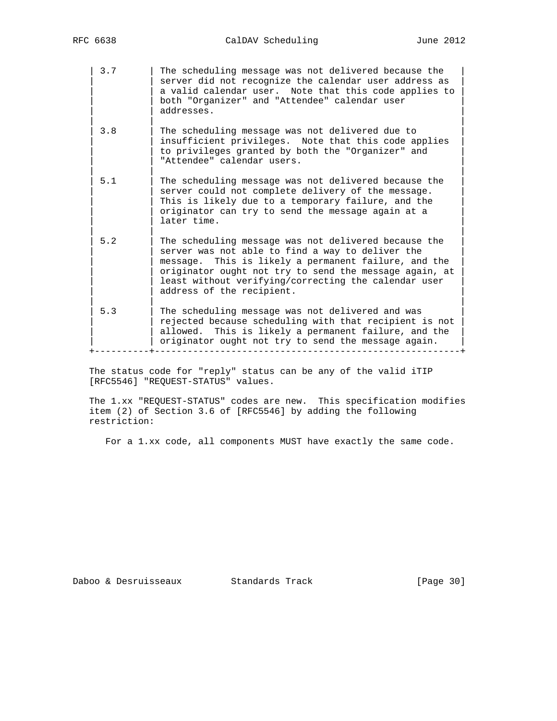| 3.7 | The scheduling message was not delivered because the | server did not recognize the calendar user address as a valid calendar user. Note that this code applies to both "Organizer" and "Attendee" calendar user addresses. | | | | 3.8 | The scheduling message was not delivered due to | insufficient privileges. Note that this code applies to privileges granted by both the "Organizer" and "Attendee" calendar users. | | | 5.1 | The scheduling message was not delivered because the server could not complete delivery of the message. This is likely due to a temporary failure, and the originator can try to send the message again at a later time. | | | 5.2 | The scheduling message was not delivered because the server was not able to find a way to deliver the message. This is likely a permanent failure, and the originator ought not try to send the message again, at least without verifying/correcting the calendar user address of the recipient. | | | 5.3 | The scheduling message was not delivered and was rejected because scheduling with that recipient is not | allowed. This is likely a permanent failure, and the | originator ought not try to send the message again. +----------+--------------------------------------------------------+

 The status code for "reply" status can be any of the valid iTIP [RFC5546] "REQUEST-STATUS" values.

 The 1.xx "REQUEST-STATUS" codes are new. This specification modifies item (2) of Section 3.6 of [RFC5546] by adding the following restriction:

For a 1.xx code, all components MUST have exactly the same code.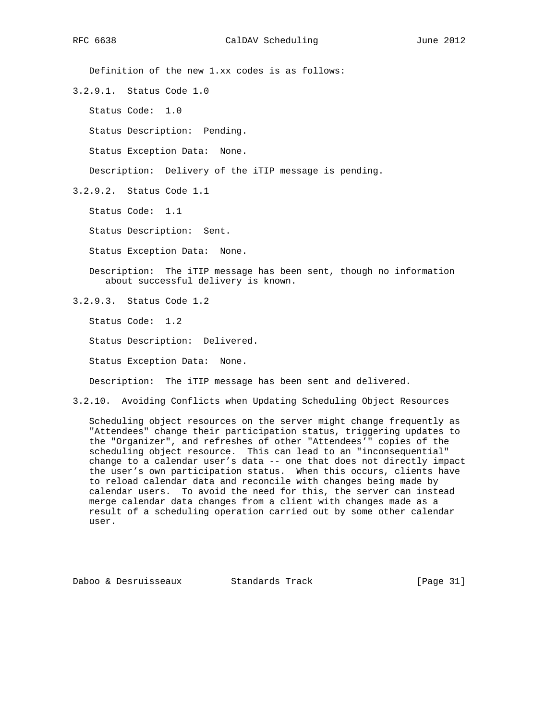Definition of the new 1.xx codes is as follows:

3.2.9.1. Status Code 1.0

Status Code: 1.0

Status Description: Pending.

Status Exception Data: None.

Description: Delivery of the iTIP message is pending.

3.2.9.2. Status Code 1.1

Status Code: 1.1

Status Description: Sent.

Status Exception Data: None.

 Description: The iTIP message has been sent, though no information about successful delivery is known.

3.2.9.3. Status Code 1.2

Status Code: 1.2

Status Description: Delivered.

Status Exception Data: None.

Description: The iTIP message has been sent and delivered.

3.2.10. Avoiding Conflicts when Updating Scheduling Object Resources

 Scheduling object resources on the server might change frequently as "Attendees" change their participation status, triggering updates to the "Organizer", and refreshes of other "Attendees'" copies of the scheduling object resource. This can lead to an "inconsequential" change to a calendar user's data -- one that does not directly impact the user's own participation status. When this occurs, clients have to reload calendar data and reconcile with changes being made by calendar users. To avoid the need for this, the server can instead merge calendar data changes from a client with changes made as a result of a scheduling operation carried out by some other calendar user.

Daboo & Desruisseaux Standards Track [Page 31]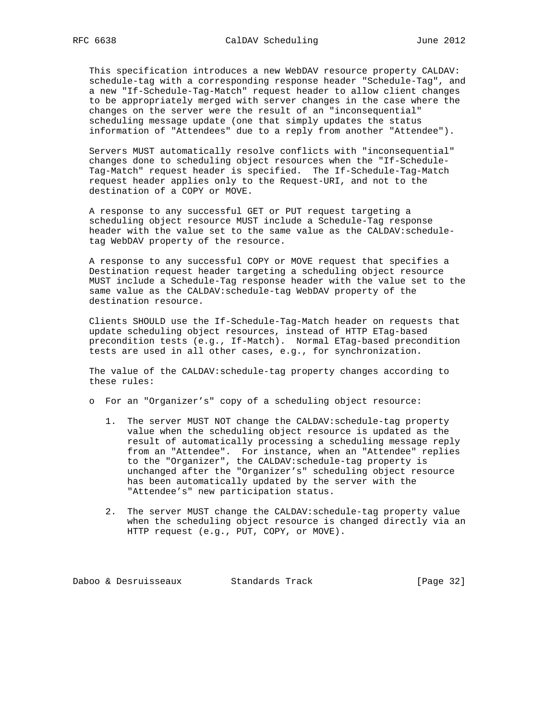This specification introduces a new WebDAV resource property CALDAV: schedule-tag with a corresponding response header "Schedule-Tag", and a new "If-Schedule-Tag-Match" request header to allow client changes to be appropriately merged with server changes in the case where the changes on the server were the result of an "inconsequential" scheduling message update (one that simply updates the status information of "Attendees" due to a reply from another "Attendee").

 Servers MUST automatically resolve conflicts with "inconsequential" changes done to scheduling object resources when the "If-Schedule- Tag-Match" request header is specified. The If-Schedule-Tag-Match request header applies only to the Request-URI, and not to the destination of a COPY or MOVE.

 A response to any successful GET or PUT request targeting a scheduling object resource MUST include a Schedule-Tag response header with the value set to the same value as the CALDAV:schedule tag WebDAV property of the resource.

 A response to any successful COPY or MOVE request that specifies a Destination request header targeting a scheduling object resource MUST include a Schedule-Tag response header with the value set to the same value as the CALDAV:schedule-tag WebDAV property of the destination resource.

 Clients SHOULD use the If-Schedule-Tag-Match header on requests that update scheduling object resources, instead of HTTP ETag-based precondition tests (e.g., If-Match). Normal ETag-based precondition tests are used in all other cases, e.g., for synchronization.

 The value of the CALDAV:schedule-tag property changes according to these rules:

- o For an "Organizer's" copy of a scheduling object resource:
	- 1. The server MUST NOT change the CALDAV:schedule-tag property value when the scheduling object resource is updated as the result of automatically processing a scheduling message reply from an "Attendee". For instance, when an "Attendee" replies to the "Organizer", the CALDAV:schedule-tag property is unchanged after the "Organizer's" scheduling object resource has been automatically updated by the server with the "Attendee's" new participation status.
	- 2. The server MUST change the CALDAV:schedule-tag property value when the scheduling object resource is changed directly via an HTTP request (e.g., PUT, COPY, or MOVE).

Daboo & Desruisseaux Standards Track [Page 32]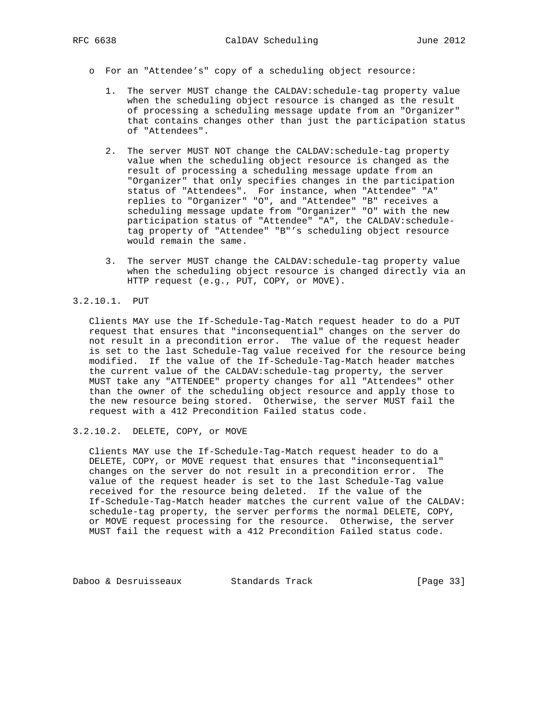- o For an "Attendee's" copy of a scheduling object resource:
	- 1. The server MUST change the CALDAV:schedule-tag property value when the scheduling object resource is changed as the result of processing a scheduling message update from an "Organizer" that contains changes other than just the participation status of "Attendees".
	- 2. The server MUST NOT change the CALDAV:schedule-tag property value when the scheduling object resource is changed as the result of processing a scheduling message update from an "Organizer" that only specifies changes in the participation status of "Attendees". For instance, when "Attendee" "A" replies to "Organizer" "O", and "Attendee" "B" receives a scheduling message update from "Organizer" "O" with the new participation status of "Attendee" "A", the CALDAV:schedule tag property of "Attendee" "B"'s scheduling object resource would remain the same.
	- 3. The server MUST change the CALDAV:schedule-tag property value when the scheduling object resource is changed directly via an HTTP request (e.g., PUT, COPY, or MOVE).

#### 3.2.10.1. PUT

 Clients MAY use the If-Schedule-Tag-Match request header to do a PUT request that ensures that "inconsequential" changes on the server do not result in a precondition error. The value of the request header is set to the last Schedule-Tag value received for the resource being modified. If the value of the If-Schedule-Tag-Match header matches the current value of the CALDAV:schedule-tag property, the server MUST take any "ATTENDEE" property changes for all "Attendees" other than the owner of the scheduling object resource and apply those to the new resource being stored. Otherwise, the server MUST fail the request with a 412 Precondition Failed status code.

3.2.10.2. DELETE, COPY, or MOVE

 Clients MAY use the If-Schedule-Tag-Match request header to do a DELETE, COPY, or MOVE request that ensures that "inconsequential" changes on the server do not result in a precondition error. The value of the request header is set to the last Schedule-Tag value received for the resource being deleted. If the value of the If-Schedule-Tag-Match header matches the current value of the CALDAV: schedule-tag property, the server performs the normal DELETE, COPY, or MOVE request processing for the resource. Otherwise, the server MUST fail the request with a 412 Precondition Failed status code.

Daboo & Desruisseaux Standards Track [Page 33]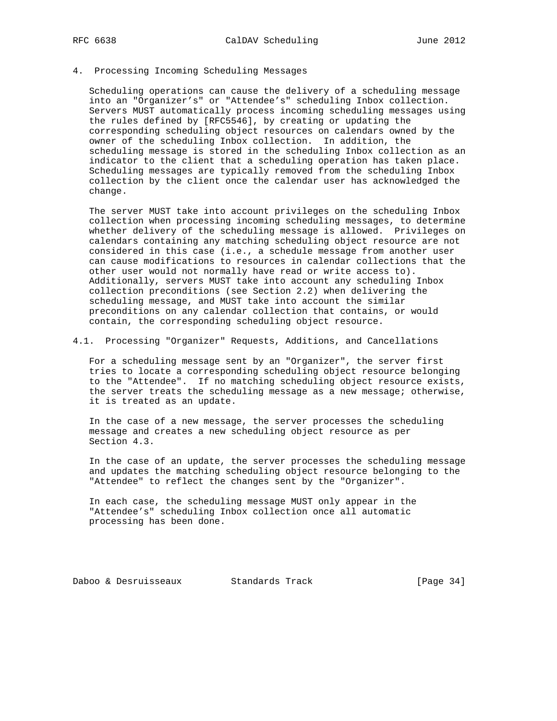#### 4. Processing Incoming Scheduling Messages

 Scheduling operations can cause the delivery of a scheduling message into an "Organizer's" or "Attendee's" scheduling Inbox collection. Servers MUST automatically process incoming scheduling messages using the rules defined by [RFC5546], by creating or updating the corresponding scheduling object resources on calendars owned by the owner of the scheduling Inbox collection. In addition, the scheduling message is stored in the scheduling Inbox collection as an indicator to the client that a scheduling operation has taken place. Scheduling messages are typically removed from the scheduling Inbox collection by the client once the calendar user has acknowledged the change.

 The server MUST take into account privileges on the scheduling Inbox collection when processing incoming scheduling messages, to determine whether delivery of the scheduling message is allowed. Privileges on calendars containing any matching scheduling object resource are not considered in this case (i.e., a schedule message from another user can cause modifications to resources in calendar collections that the other user would not normally have read or write access to). Additionally, servers MUST take into account any scheduling Inbox collection preconditions (see Section 2.2) when delivering the scheduling message, and MUST take into account the similar preconditions on any calendar collection that contains, or would contain, the corresponding scheduling object resource.

4.1. Processing "Organizer" Requests, Additions, and Cancellations

 For a scheduling message sent by an "Organizer", the server first tries to locate a corresponding scheduling object resource belonging to the "Attendee". If no matching scheduling object resource exists, the server treats the scheduling message as a new message; otherwise, it is treated as an update.

 In the case of a new message, the server processes the scheduling message and creates a new scheduling object resource as per Section 4.3.

 In the case of an update, the server processes the scheduling message and updates the matching scheduling object resource belonging to the "Attendee" to reflect the changes sent by the "Organizer".

 In each case, the scheduling message MUST only appear in the "Attendee's" scheduling Inbox collection once all automatic processing has been done.

Daboo & Desruisseaux Standards Track [Page 34]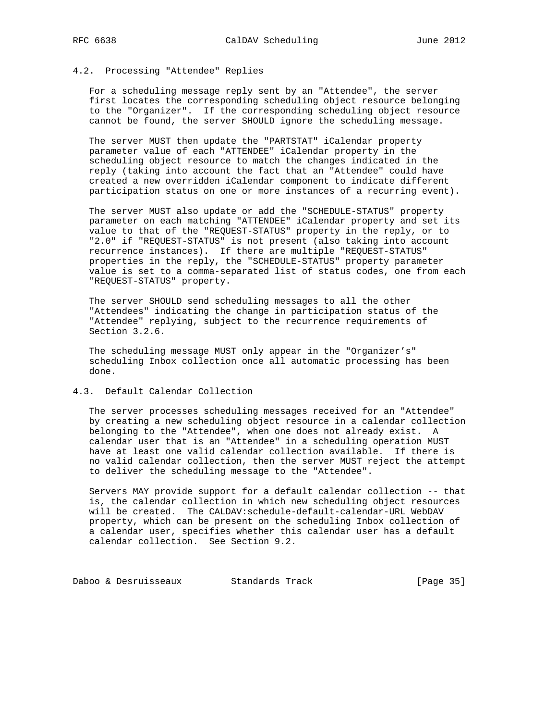### 4.2. Processing "Attendee" Replies

 For a scheduling message reply sent by an "Attendee", the server first locates the corresponding scheduling object resource belonging to the "Organizer". If the corresponding scheduling object resource cannot be found, the server SHOULD ignore the scheduling message.

 The server MUST then update the "PARTSTAT" iCalendar property parameter value of each "ATTENDEE" iCalendar property in the scheduling object resource to match the changes indicated in the reply (taking into account the fact that an "Attendee" could have created a new overridden iCalendar component to indicate different participation status on one or more instances of a recurring event).

 The server MUST also update or add the "SCHEDULE-STATUS" property parameter on each matching "ATTENDEE" iCalendar property and set its value to that of the "REQUEST-STATUS" property in the reply, or to "2.0" if "REQUEST-STATUS" is not present (also taking into account recurrence instances). If there are multiple "REQUEST-STATUS" properties in the reply, the "SCHEDULE-STATUS" property parameter value is set to a comma-separated list of status codes, one from each "REQUEST-STATUS" property.

 The server SHOULD send scheduling messages to all the other "Attendees" indicating the change in participation status of the "Attendee" replying, subject to the recurrence requirements of Section 3.2.6.

 The scheduling message MUST only appear in the "Organizer's" scheduling Inbox collection once all automatic processing has been done.

#### 4.3. Default Calendar Collection

 The server processes scheduling messages received for an "Attendee" by creating a new scheduling object resource in a calendar collection belonging to the "Attendee", when one does not already exist. A calendar user that is an "Attendee" in a scheduling operation MUST have at least one valid calendar collection available. If there is no valid calendar collection, then the server MUST reject the attempt to deliver the scheduling message to the "Attendee".

 Servers MAY provide support for a default calendar collection -- that is, the calendar collection in which new scheduling object resources will be created. The CALDAV:schedule-default-calendar-URL WebDAV property, which can be present on the scheduling Inbox collection of a calendar user, specifies whether this calendar user has a default calendar collection. See Section 9.2.

Daboo & Desruisseaux Standards Track [Page 35]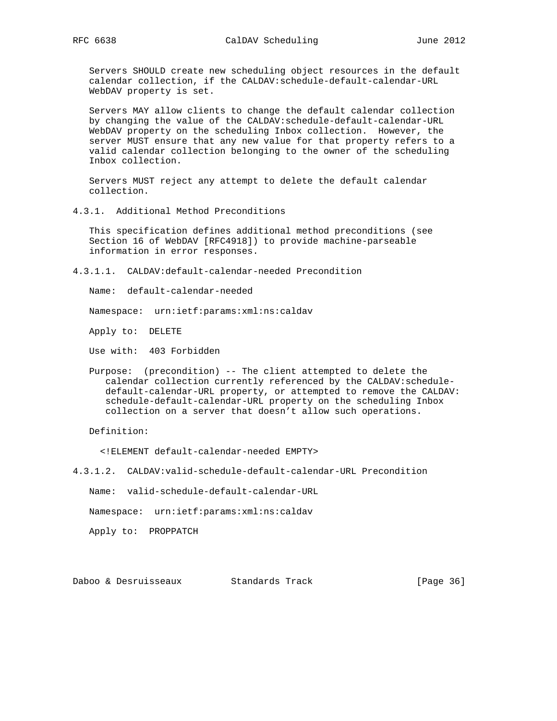Servers SHOULD create new scheduling object resources in the default calendar collection, if the CALDAV:schedule-default-calendar-URL WebDAV property is set.

 Servers MAY allow clients to change the default calendar collection by changing the value of the CALDAV:schedule-default-calendar-URL WebDAV property on the scheduling Inbox collection. However, the server MUST ensure that any new value for that property refers to a valid calendar collection belonging to the owner of the scheduling Inbox collection.

 Servers MUST reject any attempt to delete the default calendar collection.

4.3.1. Additional Method Preconditions

 This specification defines additional method preconditions (see Section 16 of WebDAV [RFC4918]) to provide machine-parseable information in error responses.

4.3.1.1. CALDAV:default-calendar-needed Precondition

Name: default-calendar-needed

Namespace: urn:ietf:params:xml:ns:caldav

Apply to: DELETE

Use with: 403 Forbidden

 Purpose: (precondition) -- The client attempted to delete the calendar collection currently referenced by the CALDAV:schedule default-calendar-URL property, or attempted to remove the CALDAV: schedule-default-calendar-URL property on the scheduling Inbox collection on a server that doesn't allow such operations.

Definition:

<!ELEMENT default-calendar-needed EMPTY>

4.3.1.2. CALDAV:valid-schedule-default-calendar-URL Precondition

Name: valid-schedule-default-calendar-URL

Namespace: urn:ietf:params:xml:ns:caldav

Apply to: PROPPATCH

Daboo & Desruisseaux Standards Track [Page 36]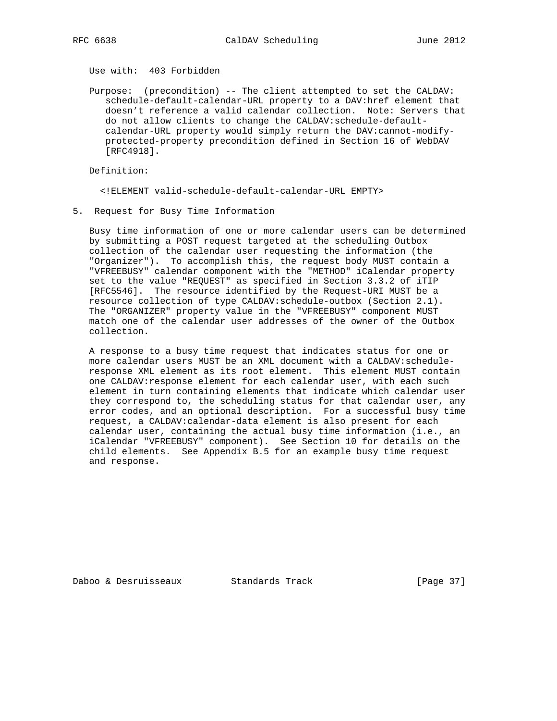Use with: 403 Forbidden

 Purpose: (precondition) -- The client attempted to set the CALDAV: schedule-default-calendar-URL property to a DAV:href element that doesn't reference a valid calendar collection. Note: Servers that do not allow clients to change the CALDAV:schedule-default calendar-URL property would simply return the DAV:cannot-modify protected-property precondition defined in Section 16 of WebDAV [RFC4918].

Definition:

<!ELEMENT valid-schedule-default-calendar-URL EMPTY>

5. Request for Busy Time Information

 Busy time information of one or more calendar users can be determined by submitting a POST request targeted at the scheduling Outbox collection of the calendar user requesting the information (the "Organizer"). To accomplish this, the request body MUST contain a "VFREEBUSY" calendar component with the "METHOD" iCalendar property set to the value "REQUEST" as specified in Section 3.3.2 of iTIP [RFC5546]. The resource identified by the Request-URI MUST be a resource collection of type CALDAV:schedule-outbox (Section 2.1). The "ORGANIZER" property value in the "VFREEBUSY" component MUST match one of the calendar user addresses of the owner of the Outbox collection.

 A response to a busy time request that indicates status for one or more calendar users MUST be an XML document with a CALDAV:schedule response XML element as its root element. This element MUST contain one CALDAV:response element for each calendar user, with each such element in turn containing elements that indicate which calendar user they correspond to, the scheduling status for that calendar user, any error codes, and an optional description. For a successful busy time request, a CALDAV:calendar-data element is also present for each calendar user, containing the actual busy time information (i.e., an iCalendar "VFREEBUSY" component). See Section 10 for details on the child elements. See Appendix B.5 for an example busy time request and response.

Daboo & Desruisseaux Standards Track [Page 37]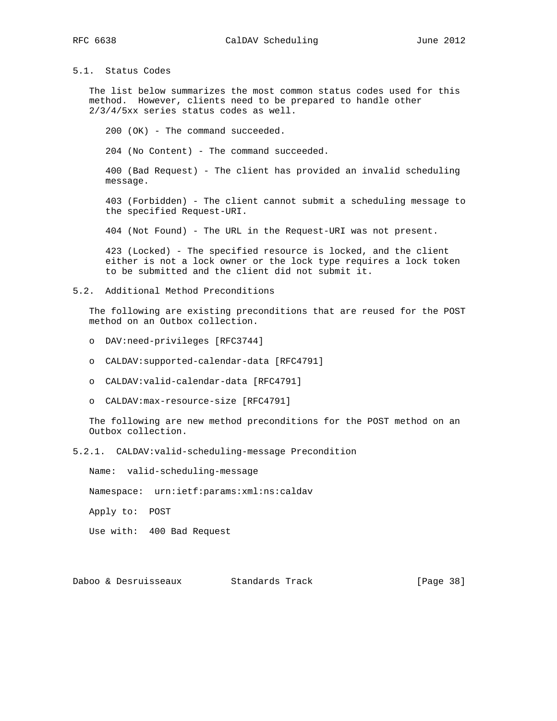## 5.1. Status Codes

 The list below summarizes the most common status codes used for this method. However, clients need to be prepared to handle other 2/3/4/5xx series status codes as well.

200 (OK) - The command succeeded.

204 (No Content) - The command succeeded.

 400 (Bad Request) - The client has provided an invalid scheduling message.

 403 (Forbidden) - The client cannot submit a scheduling message to the specified Request-URI.

404 (Not Found) - The URL in the Request-URI was not present.

 423 (Locked) - The specified resource is locked, and the client either is not a lock owner or the lock type requires a lock token to be submitted and the client did not submit it.

#### 5.2. Additional Method Preconditions

 The following are existing preconditions that are reused for the POST method on an Outbox collection.

- o DAV:need-privileges [RFC3744]
- o CALDAV:supported-calendar-data [RFC4791]
- o CALDAV:valid-calendar-data [RFC4791]
- o CALDAV:max-resource-size [RFC4791]

 The following are new method preconditions for the POST method on an Outbox collection.

5.2.1. CALDAV:valid-scheduling-message Precondition

Name: valid-scheduling-message

Namespace: urn:ietf:params:xml:ns:caldav

Apply to: POST

Use with: 400 Bad Request

Daboo & Desruisseaux Standards Track [Page 38]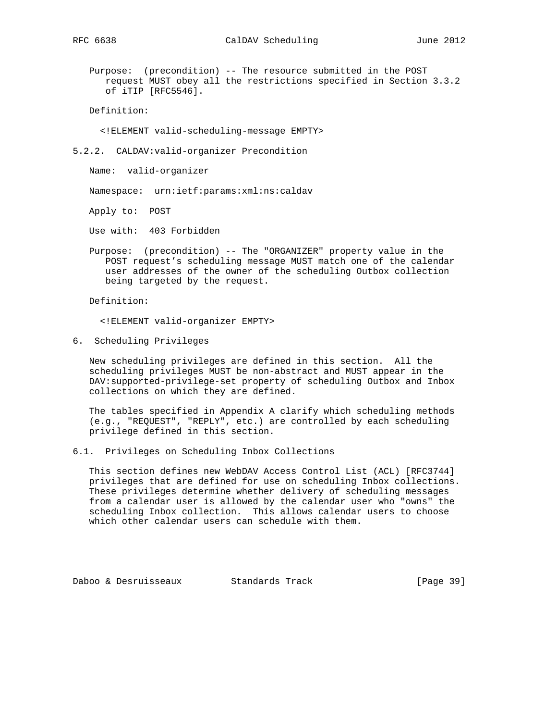Purpose: (precondition) -- The resource submitted in the POST request MUST obey all the restrictions specified in Section 3.3.2 of iTIP [RFC5546].

Definition:

<!ELEMENT valid-scheduling-message EMPTY>

5.2.2. CALDAV:valid-organizer Precondition

Name: valid-organizer

Namespace: urn:ietf:params:xml:ns:caldav

Apply to: POST

Use with: 403 Forbidden

 Purpose: (precondition) -- The "ORGANIZER" property value in the POST request's scheduling message MUST match one of the calendar user addresses of the owner of the scheduling Outbox collection being targeted by the request.

Definition:

<!ELEMENT valid-organizer EMPTY>

6. Scheduling Privileges

 New scheduling privileges are defined in this section. All the scheduling privileges MUST be non-abstract and MUST appear in the DAV:supported-privilege-set property of scheduling Outbox and Inbox collections on which they are defined.

 The tables specified in Appendix A clarify which scheduling methods (e.g., "REQUEST", "REPLY", etc.) are controlled by each scheduling privilege defined in this section.

6.1. Privileges on Scheduling Inbox Collections

 This section defines new WebDAV Access Control List (ACL) [RFC3744] privileges that are defined for use on scheduling Inbox collections. These privileges determine whether delivery of scheduling messages from a calendar user is allowed by the calendar user who "owns" the scheduling Inbox collection. This allows calendar users to choose which other calendar users can schedule with them.

Daboo & Desruisseaux Standards Track [Page 39]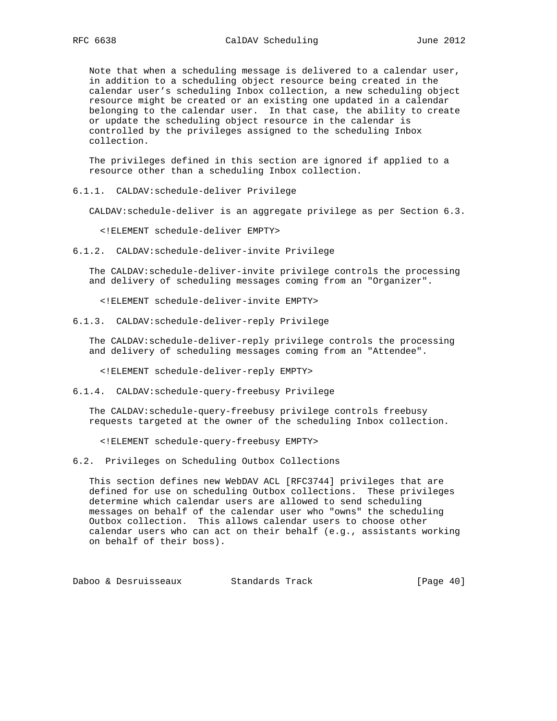Note that when a scheduling message is delivered to a calendar user, in addition to a scheduling object resource being created in the calendar user's scheduling Inbox collection, a new scheduling object resource might be created or an existing one updated in a calendar belonging to the calendar user. In that case, the ability to create or update the scheduling object resource in the calendar is controlled by the privileges assigned to the scheduling Inbox collection.

 The privileges defined in this section are ignored if applied to a resource other than a scheduling Inbox collection.

6.1.1. CALDAV:schedule-deliver Privilege

CALDAV:schedule-deliver is an aggregate privilege as per Section 6.3.

<!ELEMENT schedule-deliver EMPTY>

6.1.2. CALDAV:schedule-deliver-invite Privilege

 The CALDAV:schedule-deliver-invite privilege controls the processing and delivery of scheduling messages coming from an "Organizer".

<!ELEMENT schedule-deliver-invite EMPTY>

6.1.3. CALDAV:schedule-deliver-reply Privilege

 The CALDAV:schedule-deliver-reply privilege controls the processing and delivery of scheduling messages coming from an "Attendee".

<!ELEMENT schedule-deliver-reply EMPTY>

6.1.4. CALDAV:schedule-query-freebusy Privilege

 The CALDAV:schedule-query-freebusy privilege controls freebusy requests targeted at the owner of the scheduling Inbox collection.

<!ELEMENT schedule-query-freebusy EMPTY>

6.2. Privileges on Scheduling Outbox Collections

 This section defines new WebDAV ACL [RFC3744] privileges that are defined for use on scheduling Outbox collections. These privileges determine which calendar users are allowed to send scheduling messages on behalf of the calendar user who "owns" the scheduling Outbox collection. This allows calendar users to choose other calendar users who can act on their behalf (e.g., assistants working on behalf of their boss).

Daboo & Desruisseaux Standards Track [Page 40]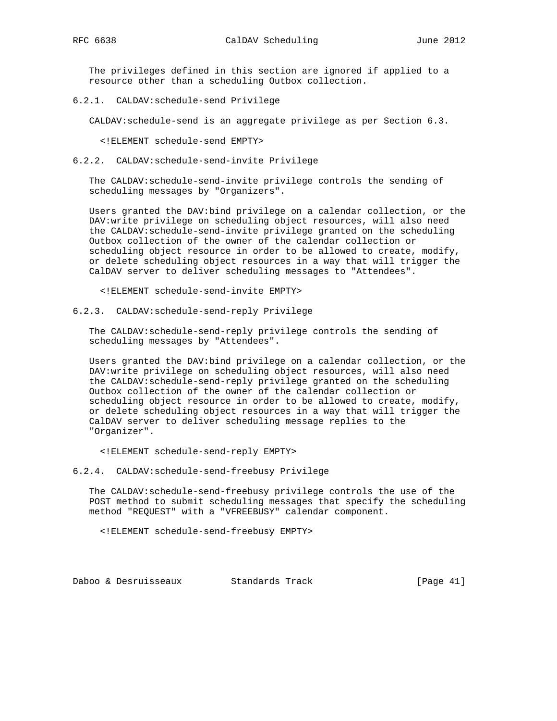The privileges defined in this section are ignored if applied to a resource other than a scheduling Outbox collection.

6.2.1. CALDAV:schedule-send Privilege

CALDAV:schedule-send is an aggregate privilege as per Section 6.3.

<!ELEMENT schedule-send EMPTY>

6.2.2. CALDAV:schedule-send-invite Privilege

 The CALDAV:schedule-send-invite privilege controls the sending of scheduling messages by "Organizers".

 Users granted the DAV:bind privilege on a calendar collection, or the DAV:write privilege on scheduling object resources, will also need the CALDAV:schedule-send-invite privilege granted on the scheduling Outbox collection of the owner of the calendar collection or scheduling object resource in order to be allowed to create, modify, or delete scheduling object resources in a way that will trigger the CalDAV server to deliver scheduling messages to "Attendees".

<!ELEMENT schedule-send-invite EMPTY>

6.2.3. CALDAV:schedule-send-reply Privilege

 The CALDAV:schedule-send-reply privilege controls the sending of scheduling messages by "Attendees".

 Users granted the DAV:bind privilege on a calendar collection, or the DAV:write privilege on scheduling object resources, will also need the CALDAV:schedule-send-reply privilege granted on the scheduling Outbox collection of the owner of the calendar collection or scheduling object resource in order to be allowed to create, modify, or delete scheduling object resources in a way that will trigger the CalDAV server to deliver scheduling message replies to the "Organizer".

<!ELEMENT schedule-send-reply EMPTY>

6.2.4. CALDAV:schedule-send-freebusy Privilege

 The CALDAV:schedule-send-freebusy privilege controls the use of the POST method to submit scheduling messages that specify the scheduling method "REQUEST" with a "VFREEBUSY" calendar component.

<!ELEMENT schedule-send-freebusy EMPTY>

Daboo & Desruisseaux Standards Track [Page 41]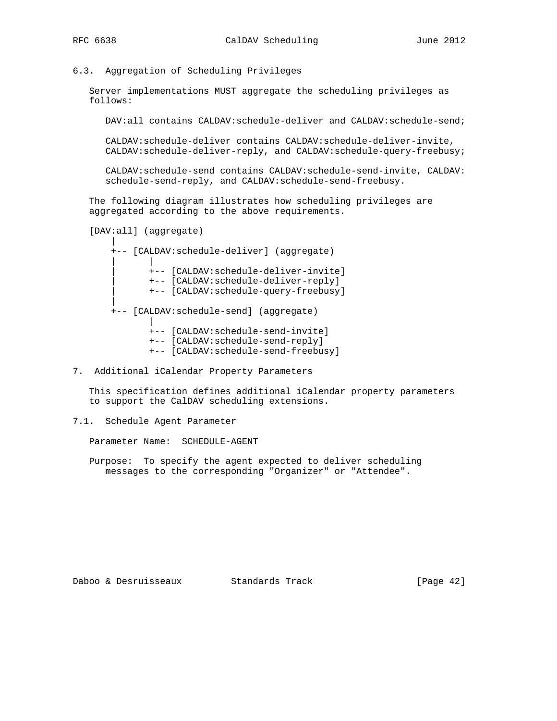### 6.3. Aggregation of Scheduling Privileges

 Server implementations MUST aggregate the scheduling privileges as follows:

DAV:all contains CALDAV:schedule-deliver and CALDAV:schedule-send;

 CALDAV:schedule-deliver contains CALDAV:schedule-deliver-invite, CALDAV:schedule-deliver-reply, and CALDAV:schedule-query-freebusy;

 CALDAV:schedule-send contains CALDAV:schedule-send-invite, CALDAV: schedule-send-reply, and CALDAV:schedule-send-freebusy.

 The following diagram illustrates how scheduling privileges are aggregated according to the above requirements.

```
 [DAV:all] (aggregate)
```
 | +-- [CALDAV:schedule-deliver] (aggregate) | | | +-- [CALDAV:schedule-deliver-invite] | +-- [CALDAV:schedule-deliver-reply] | +-- [CALDAV:schedule-query-freebusy] | +-- [CALDAV:schedule-send] (aggregate) | +-- [CALDAV:schedule-send-invite] +-- [CALDAV:schedule-send-reply] +-- [CALDAV:schedule-send-freebusy]

7. Additional iCalendar Property Parameters

 This specification defines additional iCalendar property parameters to support the CalDAV scheduling extensions.

7.1. Schedule Agent Parameter

Parameter Name: SCHEDULE-AGENT

 Purpose: To specify the agent expected to deliver scheduling messages to the corresponding "Organizer" or "Attendee".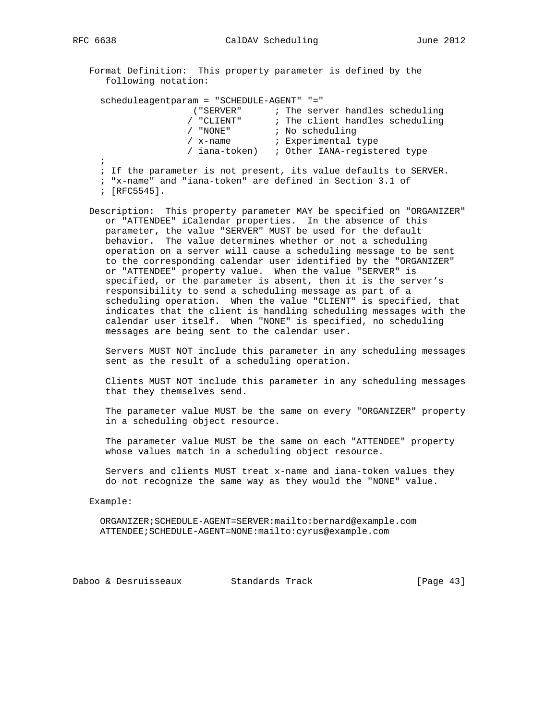Format Definition: This property parameter is defined by the following notation:

|  |  |  | scheduleagentparam = "SCHEDULE-AGENT" "="                        |  |                 |                     |                                 |  |
|--|--|--|------------------------------------------------------------------|--|-----------------|---------------------|---------------------------------|--|
|  |  |  | ( "SERVER"                                                       |  |                 |                     | ; The server handles scheduling |  |
|  |  |  | / "CLIENT"                                                       |  |                 |                     | ; The client handles scheduling |  |
|  |  |  | "NONE"                                                           |  | ; No scheduling |                     |                                 |  |
|  |  |  | x-name                                                           |  |                 | ; Experimental type |                                 |  |
|  |  |  | / iana-token) : Other IANA-registered type                       |  |                 |                     |                                 |  |
|  |  |  |                                                                  |  |                 |                     |                                 |  |
|  |  |  | ; If the parameter is not present, its value defaults to SERVER. |  |                 |                     |                                 |  |
|  |  |  | المام المالية المالم المتحدث المتحدث المتحدث المتحدث المستحدث    |  |                 |                     |                                 |  |

; "x-name" and "iana-token" are defined in Section 3.1 of

; [RFC5545].

 Description: This property parameter MAY be specified on "ORGANIZER" or "ATTENDEE" iCalendar properties. In the absence of this parameter, the value "SERVER" MUST be used for the default behavior. The value determines whether or not a scheduling operation on a server will cause a scheduling message to be sent to the corresponding calendar user identified by the "ORGANIZER" or "ATTENDEE" property value. When the value "SERVER" is specified, or the parameter is absent, then it is the server's responsibility to send a scheduling message as part of a scheduling operation. When the value "CLIENT" is specified, that indicates that the client is handling scheduling messages with the calendar user itself. When "NONE" is specified, no scheduling messages are being sent to the calendar user.

 Servers MUST NOT include this parameter in any scheduling messages sent as the result of a scheduling operation.

 Clients MUST NOT include this parameter in any scheduling messages that they themselves send.

 The parameter value MUST be the same on every "ORGANIZER" property in a scheduling object resource.

 The parameter value MUST be the same on each "ATTENDEE" property whose values match in a scheduling object resource.

 Servers and clients MUST treat x-name and iana-token values they do not recognize the same way as they would the "NONE" value.

#### Example:

 ORGANIZER;SCHEDULE-AGENT=SERVER:mailto:bernard@example.com ATTENDEE;SCHEDULE-AGENT=NONE:mailto:cyrus@example.com

Daboo & Desruisseaux Standards Track [Page 43]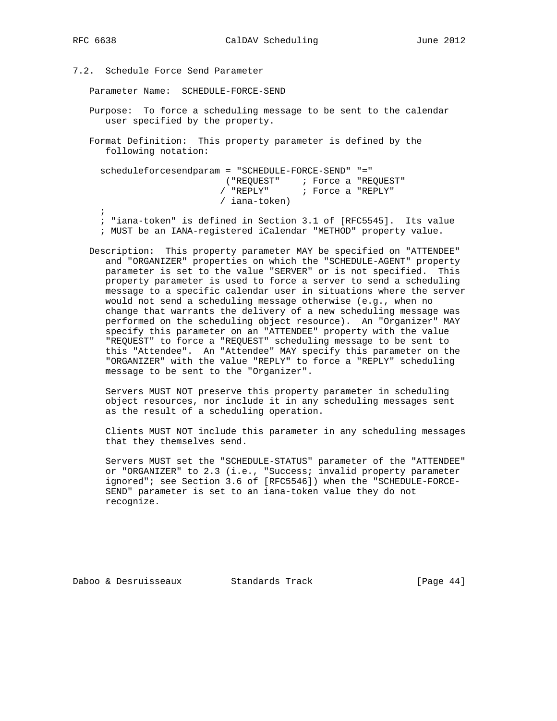7.2. Schedule Force Send Parameter

Parameter Name: SCHEDULE-FORCE-SEND

 Purpose: To force a scheduling message to be sent to the calendar user specified by the property.

 Format Definition: This property parameter is defined by the following notation:

 scheduleforcesendparam = "SCHEDULE-FORCE-SEND" "=" ("REQUEST" ; Force a "REQUEST" / "REPLY" ; Force a "REPLY" / iana-token)  $\mathbf{z}$ 

 ; "iana-token" is defined in Section 3.1 of [RFC5545]. Its value ; MUST be an IANA-registered iCalendar "METHOD" property value.

 Description: This property parameter MAY be specified on "ATTENDEE" and "ORGANIZER" properties on which the "SCHEDULE-AGENT" property parameter is set to the value "SERVER" or is not specified. This property parameter is used to force a server to send a scheduling message to a specific calendar user in situations where the server would not send a scheduling message otherwise (e.g., when no change that warrants the delivery of a new scheduling message was performed on the scheduling object resource). An "Organizer" MAY specify this parameter on an "ATTENDEE" property with the value "REQUEST" to force a "REQUEST" scheduling message to be sent to this "Attendee". An "Attendee" MAY specify this parameter on the "ORGANIZER" with the value "REPLY" to force a "REPLY" scheduling message to be sent to the "Organizer".

 Servers MUST NOT preserve this property parameter in scheduling object resources, nor include it in any scheduling messages sent as the result of a scheduling operation.

 Clients MUST NOT include this parameter in any scheduling messages that they themselves send.

 Servers MUST set the "SCHEDULE-STATUS" parameter of the "ATTENDEE" or "ORGANIZER" to 2.3 (i.e., "Success; invalid property parameter ignored"; see Section 3.6 of [RFC5546]) when the "SCHEDULE-FORCE- SEND" parameter is set to an iana-token value they do not recognize.

Daboo & Desruisseaux Standards Track [Page 44]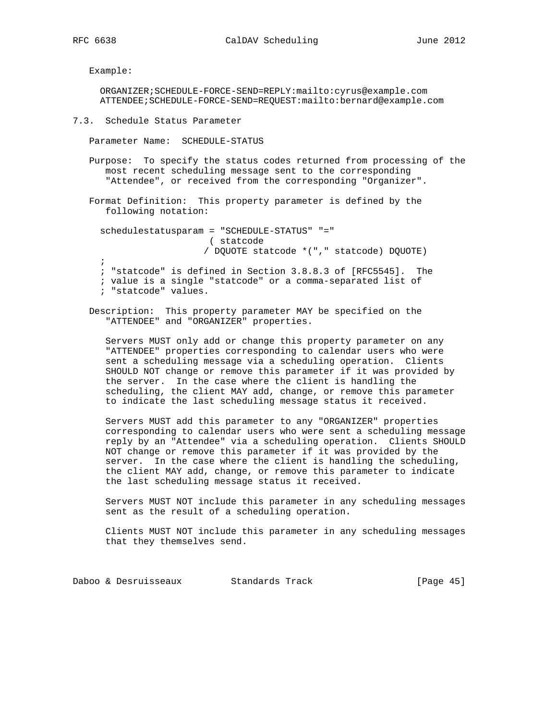Example:

 ORGANIZER;SCHEDULE-FORCE-SEND=REPLY:mailto:cyrus@example.com ATTENDEE;SCHEDULE-FORCE-SEND=REQUEST:mailto:bernard@example.com

7.3. Schedule Status Parameter

Parameter Name: SCHEDULE-STATUS

 Purpose: To specify the status codes returned from processing of the most recent scheduling message sent to the corresponding "Attendee", or received from the corresponding "Organizer".

 Format Definition: This property parameter is defined by the following notation:

 schedulestatusparam = "SCHEDULE-STATUS" "=" ( statcode / DQUOTE statcode \*("," statcode) DQUOTE) ;

 ; "statcode" is defined in Section 3.8.8.3 of [RFC5545]. The ; value is a single "statcode" or a comma-separated list of ; "statcode" values.

 Description: This property parameter MAY be specified on the "ATTENDEE" and "ORGANIZER" properties.

 Servers MUST only add or change this property parameter on any "ATTENDEE" properties corresponding to calendar users who were sent a scheduling message via a scheduling operation. Clients SHOULD NOT change or remove this parameter if it was provided by the server. In the case where the client is handling the scheduling, the client MAY add, change, or remove this parameter to indicate the last scheduling message status it received.

 Servers MUST add this parameter to any "ORGANIZER" properties corresponding to calendar users who were sent a scheduling message reply by an "Attendee" via a scheduling operation. Clients SHOULD NOT change or remove this parameter if it was provided by the server. In the case where the client is handling the scheduling, the client MAY add, change, or remove this parameter to indicate the last scheduling message status it received.

 Servers MUST NOT include this parameter in any scheduling messages sent as the result of a scheduling operation.

 Clients MUST NOT include this parameter in any scheduling messages that they themselves send.

Daboo & Desruisseaux Standards Track [Page 45]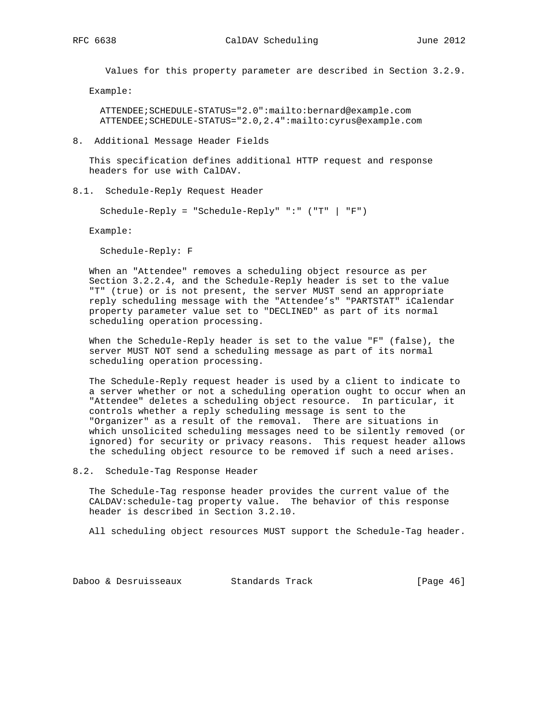Values for this property parameter are described in Section 3.2.9.

Example:

 ATTENDEE;SCHEDULE-STATUS="2.0":mailto:bernard@example.com ATTENDEE;SCHEDULE-STATUS="2.0,2.4":mailto:cyrus@example.com

8. Additional Message Header Fields

 This specification defines additional HTTP request and response headers for use with CalDAV.

8.1. Schedule-Reply Request Header

Schedule-Reply = "Schedule-Reply" ":" ("T" | "F")

Example:

Schedule-Reply: F

 When an "Attendee" removes a scheduling object resource as per Section 3.2.2.4, and the Schedule-Reply header is set to the value "T" (true) or is not present, the server MUST send an appropriate reply scheduling message with the "Attendee's" "PARTSTAT" iCalendar property parameter value set to "DECLINED" as part of its normal scheduling operation processing.

 When the Schedule-Reply header is set to the value "F" (false), the server MUST NOT send a scheduling message as part of its normal scheduling operation processing.

 The Schedule-Reply request header is used by a client to indicate to a server whether or not a scheduling operation ought to occur when an "Attendee" deletes a scheduling object resource. In particular, it controls whether a reply scheduling message is sent to the "Organizer" as a result of the removal. There are situations in which unsolicited scheduling messages need to be silently removed (or ignored) for security or privacy reasons. This request header allows the scheduling object resource to be removed if such a need arises.

8.2. Schedule-Tag Response Header

 The Schedule-Tag response header provides the current value of the CALDAV:schedule-tag property value. The behavior of this response header is described in Section 3.2.10.

All scheduling object resources MUST support the Schedule-Tag header.

Daboo & Desruisseaux Standards Track [Page 46]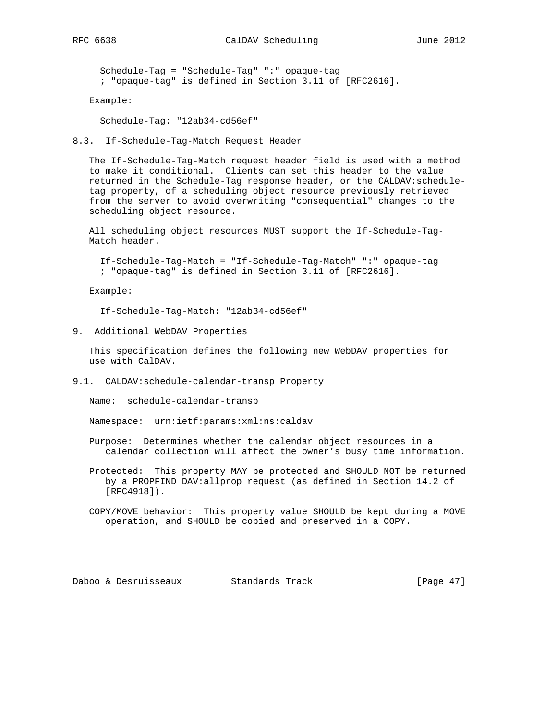Schedule-Tag = "Schedule-Tag" ":" opaque-tag ; "opaque-tag" is defined in Section 3.11 of [RFC2616].

Example:

Schedule-Tag: "12ab34-cd56ef"

8.3. If-Schedule-Tag-Match Request Header

 The If-Schedule-Tag-Match request header field is used with a method to make it conditional. Clients can set this header to the value returned in the Schedule-Tag response header, or the CALDAV:schedule tag property, of a scheduling object resource previously retrieved from the server to avoid overwriting "consequential" changes to the scheduling object resource.

 All scheduling object resources MUST support the If-Schedule-Tag- Match header.

 If-Schedule-Tag-Match = "If-Schedule-Tag-Match" ":" opaque-tag ; "opaque-tag" is defined in Section 3.11 of [RFC2616].

Example:

If-Schedule-Tag-Match: "12ab34-cd56ef"

9. Additional WebDAV Properties

 This specification defines the following new WebDAV properties for use with CalDAV.

9.1. CALDAV:schedule-calendar-transp Property

Name: schedule-calendar-transp

Namespace: urn:ietf:params:xml:ns:caldav

- Purpose: Determines whether the calendar object resources in a calendar collection will affect the owner's busy time information.
- Protected: This property MAY be protected and SHOULD NOT be returned by a PROPFIND DAV:allprop request (as defined in Section 14.2 of [RFC4918]).
- COPY/MOVE behavior: This property value SHOULD be kept during a MOVE operation, and SHOULD be copied and preserved in a COPY.

Daboo & Desruisseaux Standards Track [Page 47]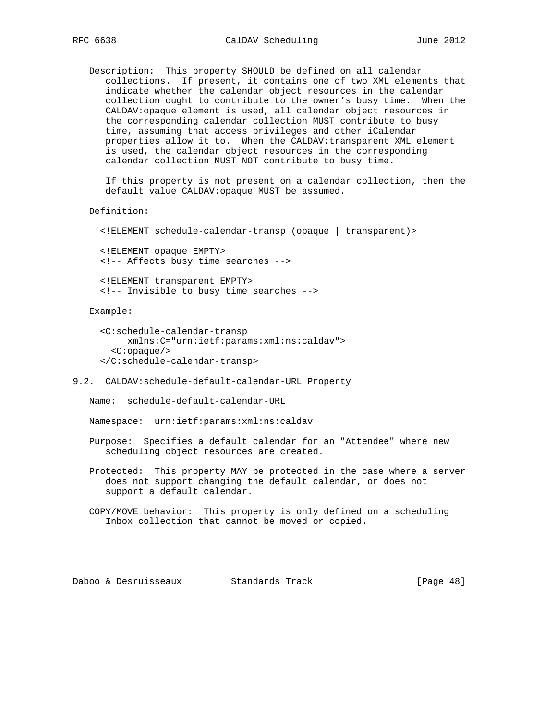Description: This property SHOULD be defined on all calendar collections. If present, it contains one of two XML elements that indicate whether the calendar object resources in the calendar collection ought to contribute to the owner's busy time. When the CALDAV:opaque element is used, all calendar object resources in the corresponding calendar collection MUST contribute to busy time, assuming that access privileges and other iCalendar properties allow it to. When the CALDAV:transparent XML element is used, the calendar object resources in the corresponding calendar collection MUST NOT contribute to busy time.

 If this property is not present on a calendar collection, then the default value CALDAV:opaque MUST be assumed.

Definition:

<!ELEMENT schedule-calendar-transp (opaque | transparent)>

 <!ELEMENT opaque EMPTY> <!-- Affects busy time searches -->

 <!ELEMENT transparent EMPTY> <!-- Invisible to busy time searches -->

Example:

```
 <C:schedule-calendar-transp
      xmlns:C="urn:ietf:params:xml:ns:caldav">
  <C:opaque/>
 </C:schedule-calendar-transp>
```
#### 9.2. CALDAV:schedule-default-calendar-URL Property

Name: schedule-default-calendar-URL

Namespace: urn:ietf:params:xml:ns:caldav

 Purpose: Specifies a default calendar for an "Attendee" where new scheduling object resources are created.

 Protected: This property MAY be protected in the case where a server does not support changing the default calendar, or does not support a default calendar.

 COPY/MOVE behavior: This property is only defined on a scheduling Inbox collection that cannot be moved or copied.

Daboo & Desruisseaux Standards Track [Page 48]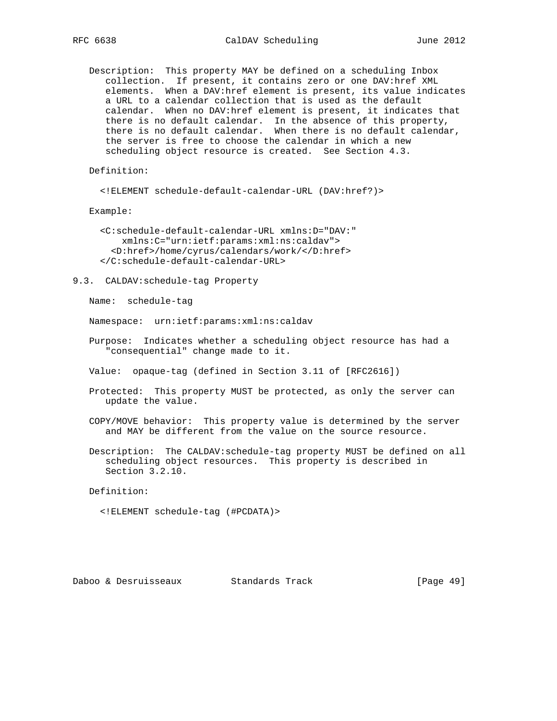Description: This property MAY be defined on a scheduling Inbox collection. If present, it contains zero or one DAV:href XML elements. When a DAV:href element is present, its value indicates a URL to a calendar collection that is used as the default calendar. When no DAV:href element is present, it indicates that there is no default calendar. In the absence of this property, there is no default calendar. When there is no default calendar, the server is free to choose the calendar in which a new scheduling object resource is created. See Section 4.3.

Definition:

<!ELEMENT schedule-default-calendar-URL (DAV:href?)>

Example:

```
 <C:schedule-default-calendar-URL xmlns:D="DAV:"
     xmlns:C="urn:ietf:params:xml:ns:caldav">
   <D:href>/home/cyrus/calendars/work/</D:href>
 </C:schedule-default-calendar-URL>
```
9.3. CALDAV:schedule-tag Property

Name: schedule-tag

Namespace: urn:ietf:params:xml:ns:caldav

- Purpose: Indicates whether a scheduling object resource has had a "consequential" change made to it.
- Value: opaque-tag (defined in Section 3.11 of [RFC2616])
- Protected: This property MUST be protected, as only the server can update the value.
- COPY/MOVE behavior: This property value is determined by the server and MAY be different from the value on the source resource.
- Description: The CALDAV:schedule-tag property MUST be defined on all scheduling object resources. This property is described in Section 3.2.10.

Definition:

<!ELEMENT schedule-tag (#PCDATA)>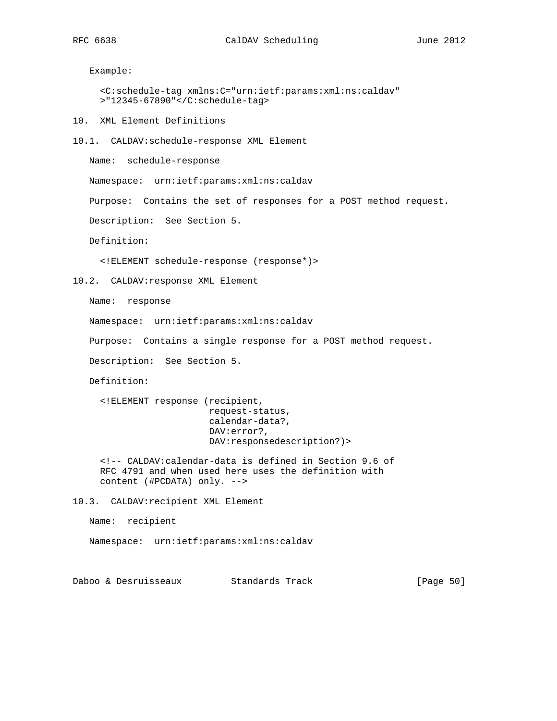Example:

```
 <C:schedule-tag xmlns:C="urn:ietf:params:xml:ns:caldav"
 >"12345-67890"</C:schedule-tag>
```
10. XML Element Definitions

10.1. CALDAV:schedule-response XML Element

Name: schedule-response

Namespace: urn:ietf:params:xml:ns:caldav

Purpose: Contains the set of responses for a POST method request.

Description: See Section 5.

Definition:

<!ELEMENT schedule-response (response\*)>

```
10.2. CALDAV:response XML Element
```
Name: response

Namespace: urn:ietf:params:xml:ns:caldav

Purpose: Contains a single response for a POST method request.

Description: See Section 5.

Definition:

 <!ELEMENT response (recipient, request-status, calendar-data?, DAV:error?, DAV:responsedescription?)>

 <!-- CALDAV:calendar-data is defined in Section 9.6 of RFC 4791 and when used here uses the definition with content (#PCDATA) only. -->

10.3. CALDAV:recipient XML Element

Name: recipient

Namespace: urn:ietf:params:xml:ns:caldav

Daboo & Desruisseaux Standards Track [Page 50]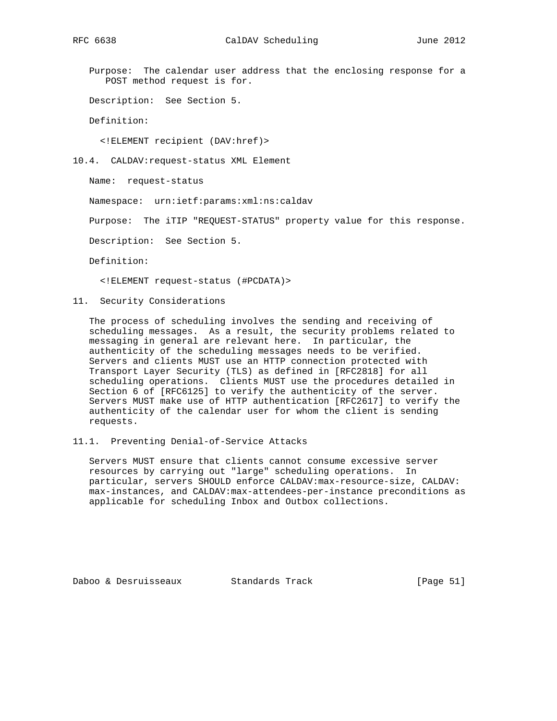Purpose: The calendar user address that the enclosing response for a POST method request is for.

Description: See Section 5.

Definition:

<!ELEMENT recipient (DAV:href)>

10.4. CALDAV:request-status XML Element

Name: request-status

Namespace: urn:ietf:params:xml:ns:caldav

Purpose: The iTIP "REQUEST-STATUS" property value for this response.

Description: See Section 5.

Definition:

<!ELEMENT request-status (#PCDATA)>

11. Security Considerations

 The process of scheduling involves the sending and receiving of scheduling messages. As a result, the security problems related to messaging in general are relevant here. In particular, the authenticity of the scheduling messages needs to be verified. Servers and clients MUST use an HTTP connection protected with Transport Layer Security (TLS) as defined in [RFC2818] for all scheduling operations. Clients MUST use the procedures detailed in Section 6 of [RFC6125] to verify the authenticity of the server. Servers MUST make use of HTTP authentication [RFC2617] to verify the authenticity of the calendar user for whom the client is sending requests.

11.1. Preventing Denial-of-Service Attacks

 Servers MUST ensure that clients cannot consume excessive server resources by carrying out "large" scheduling operations. In particular, servers SHOULD enforce CALDAV:max-resource-size, CALDAV: max-instances, and CALDAV:max-attendees-per-instance preconditions as applicable for scheduling Inbox and Outbox collections.

Daboo & Desruisseaux Standards Track [Page 51]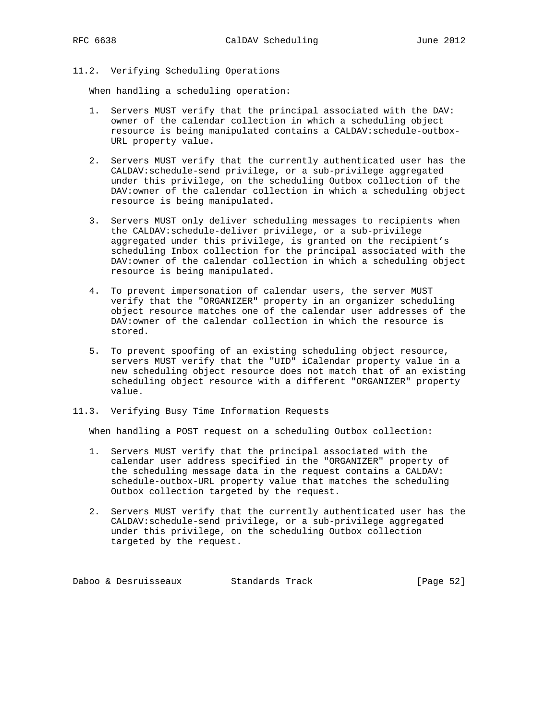## 11.2. Verifying Scheduling Operations

When handling a scheduling operation:

- 1. Servers MUST verify that the principal associated with the DAV: owner of the calendar collection in which a scheduling object resource is being manipulated contains a CALDAV:schedule-outbox- URL property value.
- 2. Servers MUST verify that the currently authenticated user has the CALDAV:schedule-send privilege, or a sub-privilege aggregated under this privilege, on the scheduling Outbox collection of the DAV:owner of the calendar collection in which a scheduling object resource is being manipulated.
- 3. Servers MUST only deliver scheduling messages to recipients when the CALDAV:schedule-deliver privilege, or a sub-privilege aggregated under this privilege, is granted on the recipient's scheduling Inbox collection for the principal associated with the DAV:owner of the calendar collection in which a scheduling object resource is being manipulated.
- 4. To prevent impersonation of calendar users, the server MUST verify that the "ORGANIZER" property in an organizer scheduling object resource matches one of the calendar user addresses of the DAV:owner of the calendar collection in which the resource is stored.
- 5. To prevent spoofing of an existing scheduling object resource, servers MUST verify that the "UID" iCalendar property value in a new scheduling object resource does not match that of an existing scheduling object resource with a different "ORGANIZER" property value.
- 11.3. Verifying Busy Time Information Requests

When handling a POST request on a scheduling Outbox collection:

- 1. Servers MUST verify that the principal associated with the calendar user address specified in the "ORGANIZER" property of the scheduling message data in the request contains a CALDAV: schedule-outbox-URL property value that matches the scheduling Outbox collection targeted by the request.
- 2. Servers MUST verify that the currently authenticated user has the CALDAV:schedule-send privilege, or a sub-privilege aggregated under this privilege, on the scheduling Outbox collection targeted by the request.

Daboo & Desruisseaux Standards Track [Page 52]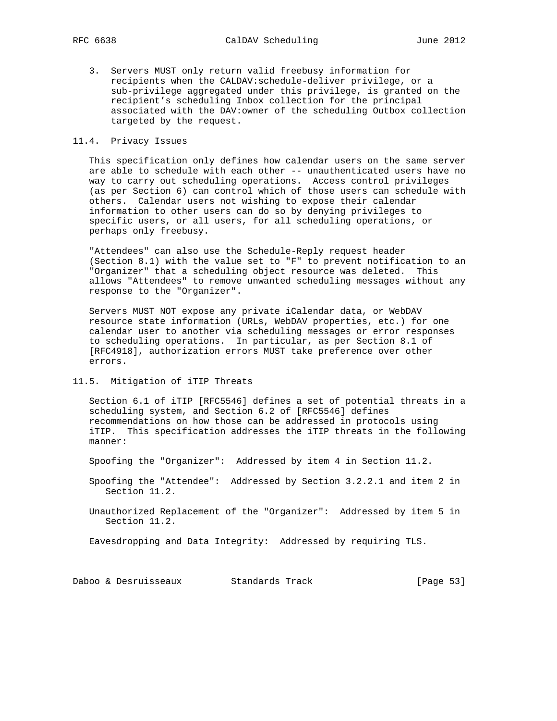3. Servers MUST only return valid freebusy information for recipients when the CALDAV:schedule-deliver privilege, or a sub-privilege aggregated under this privilege, is granted on the recipient's scheduling Inbox collection for the principal associated with the DAV:owner of the scheduling Outbox collection targeted by the request.

### 11.4. Privacy Issues

 This specification only defines how calendar users on the same server are able to schedule with each other -- unauthenticated users have no way to carry out scheduling operations. Access control privileges (as per Section 6) can control which of those users can schedule with others. Calendar users not wishing to expose their calendar information to other users can do so by denying privileges to specific users, or all users, for all scheduling operations, or perhaps only freebusy.

 "Attendees" can also use the Schedule-Reply request header (Section 8.1) with the value set to "F" to prevent notification to an "Organizer" that a scheduling object resource was deleted. This allows "Attendees" to remove unwanted scheduling messages without any response to the "Organizer".

 Servers MUST NOT expose any private iCalendar data, or WebDAV resource state information (URLs, WebDAV properties, etc.) for one calendar user to another via scheduling messages or error responses to scheduling operations. In particular, as per Section 8.1 of [RFC4918], authorization errors MUST take preference over other errors.

11.5. Mitigation of iTIP Threats

 Section 6.1 of iTIP [RFC5546] defines a set of potential threats in a scheduling system, and Section 6.2 of [RFC5546] defines recommendations on how those can be addressed in protocols using iTIP. This specification addresses the iTIP threats in the following manner:

Spoofing the "Organizer": Addressed by item 4 in Section 11.2.

 Spoofing the "Attendee": Addressed by Section 3.2.2.1 and item 2 in Section 11.2.

 Unauthorized Replacement of the "Organizer": Addressed by item 5 in Section 11.2.

Eavesdropping and Data Integrity: Addressed by requiring TLS.

Daboo & Desruisseaux Standards Track [Page 53]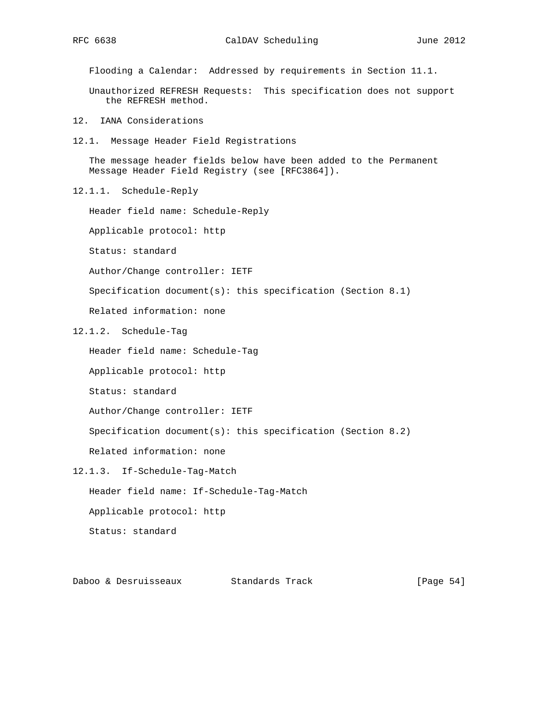Flooding a Calendar: Addressed by requirements in Section 11.1.

 Unauthorized REFRESH Requests: This specification does not support the REFRESH method.

- 12. IANA Considerations
- 12.1. Message Header Field Registrations

 The message header fields below have been added to the Permanent Message Header Field Registry (see [RFC3864]).

12.1.1. Schedule-Reply

Header field name: Schedule-Reply

Applicable protocol: http

Status: standard

Author/Change controller: IETF

Specification document(s): this specification (Section 8.1)

Related information: none

12.1.2. Schedule-Tag

Header field name: Schedule-Tag

Applicable protocol: http

Status: standard

Author/Change controller: IETF

Specification document(s): this specification (Section 8.2)

Related information: none

12.1.3. If-Schedule-Tag-Match

Header field name: If-Schedule-Tag-Match

Applicable protocol: http

Status: standard

Daboo & Desruisseaux Standards Track [Page 54]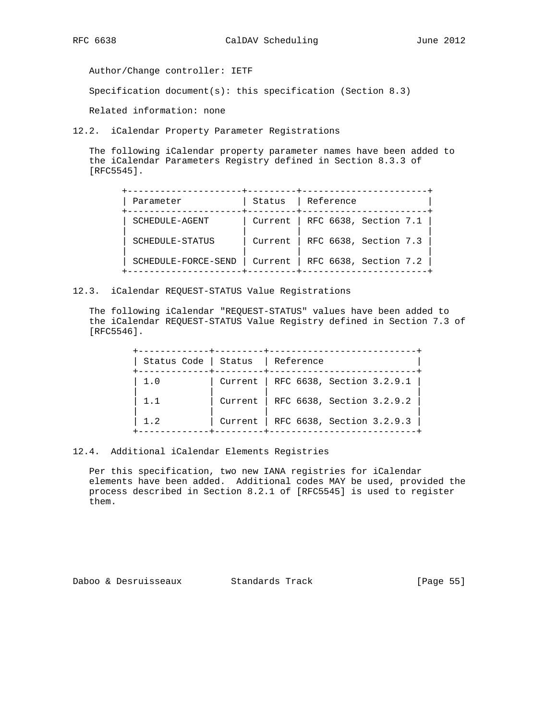Author/Change controller: IETF

Specification document(s): this specification (Section 8.3)

Related information: none

12.2. iCalendar Property Parameter Registrations

 The following iCalendar property parameter names have been added to the iCalendar Parameters Registry defined in Section 8.3.3 of [RFC5545].

| Parameter           | Status  | Reference             |
|---------------------|---------|-----------------------|
| SCHEDULE-AGENT      | Current | RFC 6638, Section 7.1 |
| SCHEDULE-STATUS     | Current | RFC 6638, Section 7.3 |
| SCHEDULE-FORCE-SEND | Current | RFC 6638, Section 7.2 |

12.3. iCalendar REQUEST-STATUS Value Registrations

 The following iCalendar "REQUEST-STATUS" values have been added to the iCalendar REQUEST-STATUS Value Registry defined in Section 7.3 of [RFC5546].

| Status Code | Status  | Reference                             |
|-------------|---------|---------------------------------------|
| 1.0         |         | Current   RFC 6638, Section $3.2.9.1$ |
| 1.1         | Current | RFC 6638, Section 3.2.9.2             |
| 1.2         |         | Current   RFC 6638, Section 3.2.9.3   |

#### 12.4. Additional iCalendar Elements Registries

 Per this specification, two new IANA registries for iCalendar elements have been added. Additional codes MAY be used, provided the process described in Section 8.2.1 of [RFC5545] is used to register them.

Daboo & Desruisseaux Standards Track [Page 55]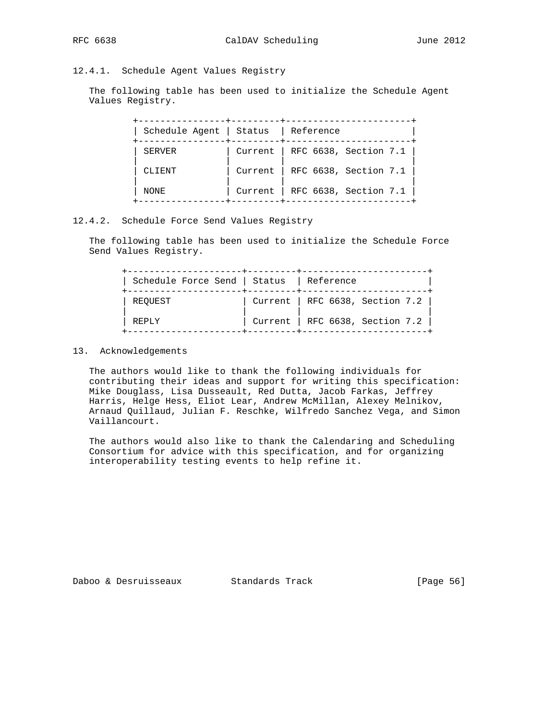## 12.4.1. Schedule Agent Values Registry

 The following table has been used to initialize the Schedule Agent Values Registry.

| Schedule Agent   Status |         | Reference             |
|-------------------------|---------|-----------------------|
| SERVER                  | Current | RFC 6638, Section 7.1 |
| CLIENT                  | Current | RFC 6638, Section 7.1 |
| NONE                    | Current | RFC 6638, Section 7.1 |

#### 12.4.2. Schedule Force Send Values Registry

 The following table has been used to initialize the Schedule Force Send Values Registry.

| Schedule Force Send   Status   Reference |                                 |  |
|------------------------------------------|---------------------------------|--|
| REOUEST                                  | Current   RFC 6638, Section 7.2 |  |
| REPLY                                    | Current   RFC 6638, Section 7.2 |  |

#### 13. Acknowledgements

 The authors would like to thank the following individuals for contributing their ideas and support for writing this specification: Mike Douglass, Lisa Dusseault, Red Dutta, Jacob Farkas, Jeffrey Harris, Helge Hess, Eliot Lear, Andrew McMillan, Alexey Melnikov, Arnaud Quillaud, Julian F. Reschke, Wilfredo Sanchez Vega, and Simon Vaillancourt.

 The authors would also like to thank the Calendaring and Scheduling Consortium for advice with this specification, and for organizing interoperability testing events to help refine it.

Daboo & Desruisseaux Standards Track [Page 56]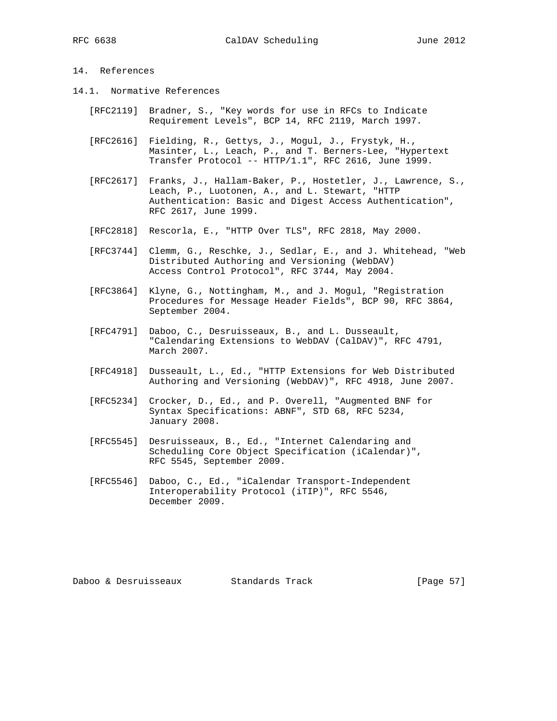- 14.1. Normative References
	- [RFC2119] Bradner, S., "Key words for use in RFCs to Indicate Requirement Levels", BCP 14, RFC 2119, March 1997.
	- [RFC2616] Fielding, R., Gettys, J., Mogul, J., Frystyk, H., Masinter, L., Leach, P., and T. Berners-Lee, "Hypertext Transfer Protocol -- HTTP/1.1", RFC 2616, June 1999.
	- [RFC2617] Franks, J., Hallam-Baker, P., Hostetler, J., Lawrence, S., Leach, P., Luotonen, A., and L. Stewart, "HTTP Authentication: Basic and Digest Access Authentication", RFC 2617, June 1999.
	- [RFC2818] Rescorla, E., "HTTP Over TLS", RFC 2818, May 2000.
	- [RFC3744] Clemm, G., Reschke, J., Sedlar, E., and J. Whitehead, "Web Distributed Authoring and Versioning (WebDAV) Access Control Protocol", RFC 3744, May 2004.
	- [RFC3864] Klyne, G., Nottingham, M., and J. Mogul, "Registration Procedures for Message Header Fields", BCP 90, RFC 3864, September 2004.
	- [RFC4791] Daboo, C., Desruisseaux, B., and L. Dusseault, "Calendaring Extensions to WebDAV (CalDAV)", RFC 4791, March 2007.
	- [RFC4918] Dusseault, L., Ed., "HTTP Extensions for Web Distributed Authoring and Versioning (WebDAV)", RFC 4918, June 2007.
	- [RFC5234] Crocker, D., Ed., and P. Overell, "Augmented BNF for Syntax Specifications: ABNF", STD 68, RFC 5234, January 2008.
	- [RFC5545] Desruisseaux, B., Ed., "Internet Calendaring and Scheduling Core Object Specification (iCalendar)", RFC 5545, September 2009.
	- [RFC5546] Daboo, C., Ed., "iCalendar Transport-Independent Interoperability Protocol (iTIP)", RFC 5546, December 2009.

Daboo & Desruisseaux Standards Track [Page 57]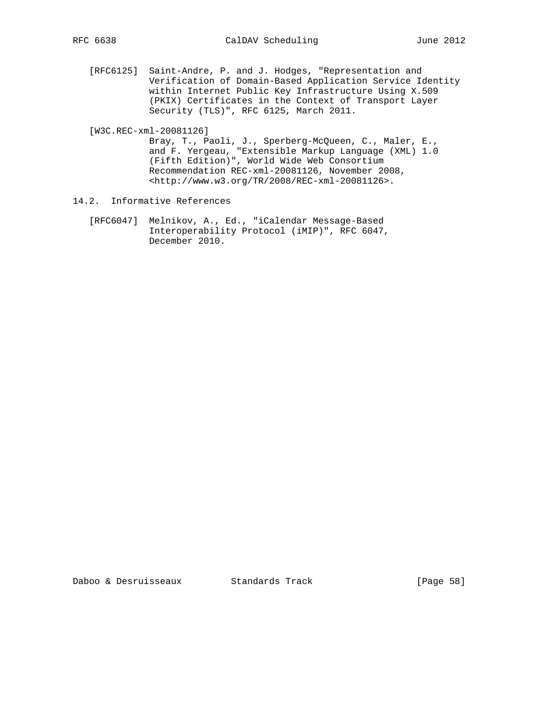[RFC6125] Saint-Andre, P. and J. Hodges, "Representation and Verification of Domain-Based Application Service Identity within Internet Public Key Infrastructure Using X.509 (PKIX) Certificates in the Context of Transport Layer Security (TLS)", RFC 6125, March 2011.

[W3C.REC-xml-20081126]

 Bray, T., Paoli, J., Sperberg-McQueen, C., Maler, E., and F. Yergeau, "Extensible Markup Language (XML) 1.0 (Fifth Edition)", World Wide Web Consortium Recommendation REC-xml-20081126, November 2008, <http://www.w3.org/TR/2008/REC-xml-20081126>.

- 14.2. Informative References
	- [RFC6047] Melnikov, A., Ed., "iCalendar Message-Based Interoperability Protocol (iMIP)", RFC 6047, December 2010.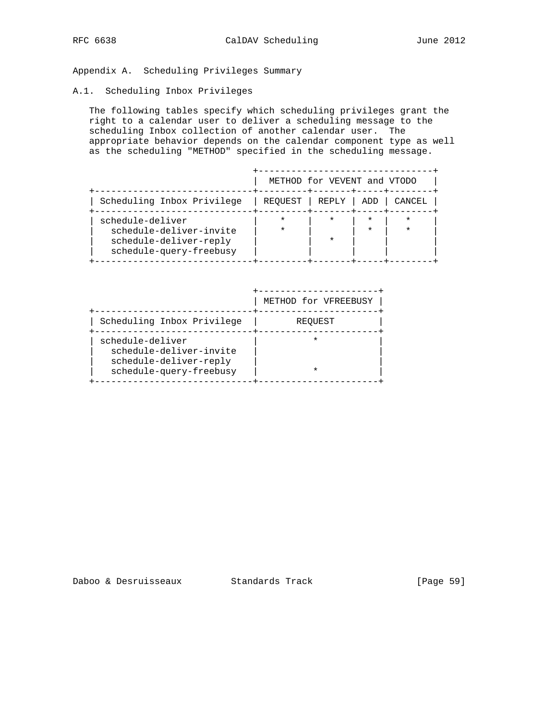Appendix A. Scheduling Privileges Summary

### A.1. Scheduling Inbox Privileges

 The following tables specify which scheduling privileges grant the right to a calendar user to deliver a scheduling message to the scheduling Inbox collection of another calendar user. The appropriate behavior depends on the calendar component type as well as the scheduling "METHOD" specified in the scheduling message.

|                                                                                                  |         | METHOD for VEVENT and VTODO |                    |        |
|--------------------------------------------------------------------------------------------------|---------|-----------------------------|--------------------|--------|
| Scheduling Inbox Privilege                                                                       | REOUEST | REPLY                       | ADD                | CANCEL |
| schedule-deliver<br>schedule-deliver-invite<br>schedule-deliver-reply<br>schedule-query-freebusy |         | $\star$<br>$\star$          | $\star$<br>$\star$ |        |

|                                                                                                  | METHOD for VFREEBUSY |
|--------------------------------------------------------------------------------------------------|----------------------|
| Scheduling Inbox Privilege                                                                       | REOUEST              |
| schedule-deliver<br>schedule-deliver-invite<br>schedule-deliver-reply<br>schedule-query-freebusy |                      |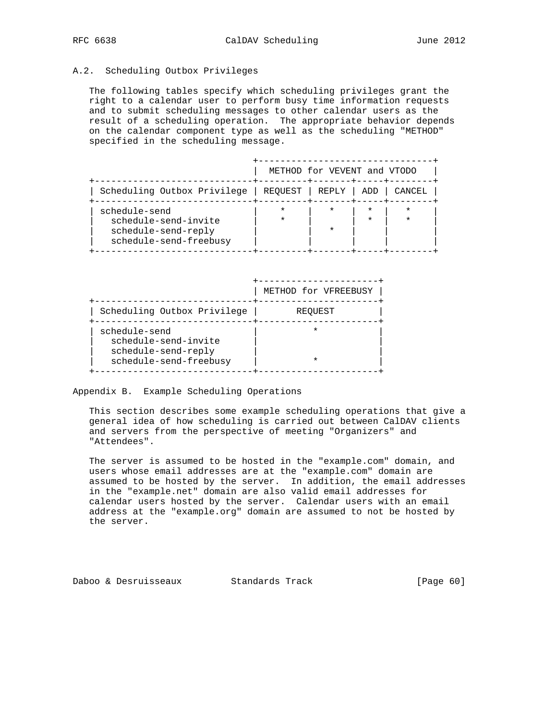## A.2. Scheduling Outbox Privileges

 The following tables specify which scheduling privileges grant the right to a calendar user to perform busy time information requests and to submit scheduling messages to other calendar users as the result of a scheduling operation. The appropriate behavior depends on the calendar component type as well as the scheduling "METHOD" specified in the scheduling message.

|                                                                                        |                 | METHOD for VEVENT and VTODO |         |        |
|----------------------------------------------------------------------------------------|-----------------|-----------------------------|---------|--------|
| Scheduling Outbox Privilege                                                            | REOUEST   REPLY |                             | ADD     | CANCEL |
| schedule-send<br>schedule-send-invite<br>schedule-send-reply<br>schedule-send-freebusy | $\star$         |                             | $\star$ |        |

|                                                                                        | METHOD for VFREEBUSY |
|----------------------------------------------------------------------------------------|----------------------|
| Scheduling Outbox Privilege                                                            | <b>REOUEST</b>       |
| schedule-send<br>schedule-send-invite<br>schedule-send-reply<br>schedule-send-freebusy |                      |

Appendix B. Example Scheduling Operations

 This section describes some example scheduling operations that give a general idea of how scheduling is carried out between CalDAV clients and servers from the perspective of meeting "Organizers" and "Attendees".

 The server is assumed to be hosted in the "example.com" domain, and users whose email addresses are at the "example.com" domain are assumed to be hosted by the server. In addition, the email addresses in the "example.net" domain are also valid email addresses for calendar users hosted by the server. Calendar users with an email address at the "example.org" domain are assumed to not be hosted by the server.

|  | Daboo & Desruisseaux | Standards Track | [Page 60] |
|--|----------------------|-----------------|-----------|
|--|----------------------|-----------------|-----------|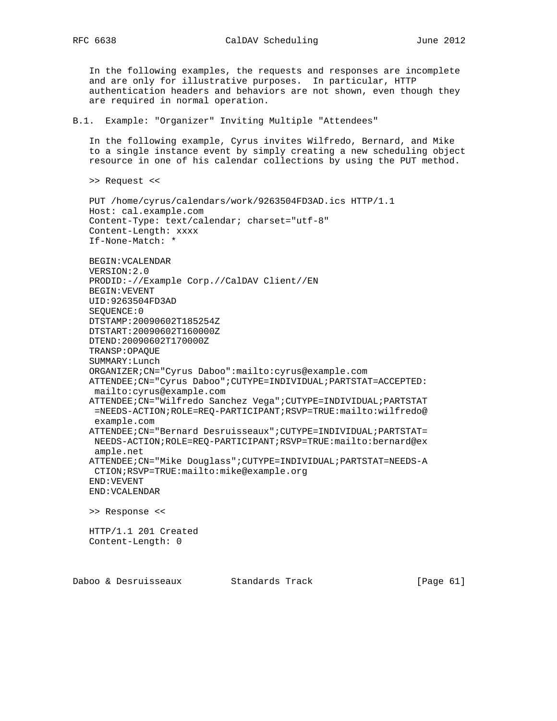In the following examples, the requests and responses are incomplete and are only for illustrative purposes. In particular, HTTP authentication headers and behaviors are not shown, even though they are required in normal operation.

#### B.1. Example: "Organizer" Inviting Multiple "Attendees"

 In the following example, Cyrus invites Wilfredo, Bernard, and Mike to a single instance event by simply creating a new scheduling object resource in one of his calendar collections by using the PUT method.

>> Request <<

 PUT /home/cyrus/calendars/work/9263504FD3AD.ics HTTP/1.1 Host: cal.example.com Content-Type: text/calendar; charset="utf-8" Content-Length: xxxx If-None-Match: \*

 BEGIN:VCALENDAR VERSION:2.0 PRODID:-//Example Corp.//CalDAV Client//EN BEGIN:VEVENT UID:9263504FD3AD SEQUENCE:0 DTSTAMP:20090602T185254Z DTSTART:20090602T160000Z DTEND:20090602T170000Z TRANSP:OPAQUE SUMMARY:Lunch ORGANIZER;CN="Cyrus Daboo":mailto:cyrus@example.com ATTENDEE;CN="Cyrus Daboo";CUTYPE=INDIVIDUAL;PARTSTAT=ACCEPTED: mailto:cyrus@example.com ATTENDEE;CN="Wilfredo Sanchez Vega";CUTYPE=INDIVIDUAL;PARTSTAT =NEEDS-ACTION;ROLE=REQ-PARTICIPANT;RSVP=TRUE:mailto:wilfredo@ example.com ATTENDEE;CN="Bernard Desruisseaux";CUTYPE=INDIVIDUAL;PARTSTAT= NEEDS-ACTION;ROLE=REQ-PARTICIPANT;RSVP=TRUE:mailto:bernard@ex ample.net ATTENDEE;CN="Mike Douglass";CUTYPE=INDIVIDUAL;PARTSTAT=NEEDS-A CTION;RSVP=TRUE:mailto:mike@example.org END:VEVENT END:VCALENDAR >> Response <<

 HTTP/1.1 201 Created Content-Length: 0

Daboo & Desruisseaux Standards Track [Page 61]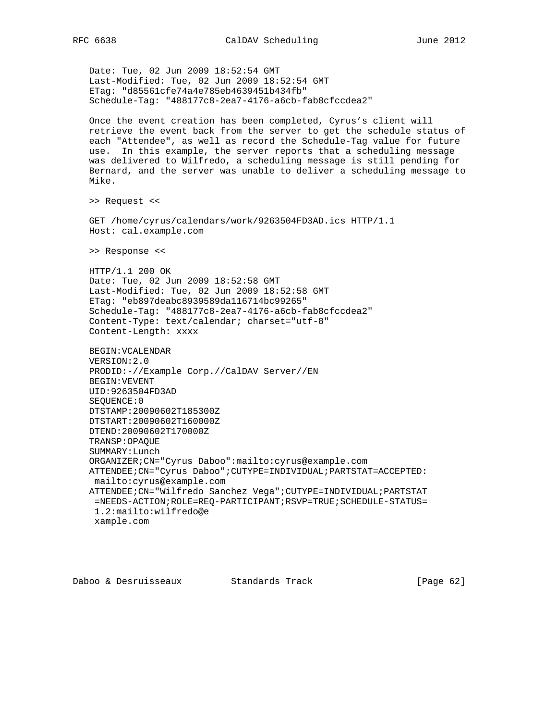Date: Tue, 02 Jun 2009 18:52:54 GMT Last-Modified: Tue, 02 Jun 2009 18:52:54 GMT ETag: "d85561cfe74a4e785eb4639451b434fb" Schedule-Tag: "488177c8-2ea7-4176-a6cb-fab8cfccdea2" Once the event creation has been completed, Cyrus's client will retrieve the event back from the server to get the schedule status of each "Attendee", as well as record the Schedule-Tag value for future use. In this example, the server reports that a scheduling message was delivered to Wilfredo, a scheduling message is still pending for Bernard, and the server was unable to deliver a scheduling message to Mike. >> Request << GET /home/cyrus/calendars/work/9263504FD3AD.ics HTTP/1.1 Host: cal.example.com >> Response << HTTP/1.1 200 OK Date: Tue, 02 Jun 2009 18:52:58 GMT Last-Modified: Tue, 02 Jun 2009 18:52:58 GMT ETag: "eb897deabc8939589da116714bc99265" Schedule-Tag: "488177c8-2ea7-4176-a6cb-fab8cfccdea2" Content-Type: text/calendar; charset="utf-8" Content-Length: xxxx BEGIN:VCALENDAR VERSION:2.0 PRODID:-//Example Corp.//CalDAV Server//EN BEGIN:VEVENT UID:9263504FD3AD SEQUENCE:0 DTSTAMP:20090602T185300Z DTSTART:20090602T160000Z DTEND:20090602T170000Z TRANSP:OPAQUE SUMMARY:Lunch ORGANIZER;CN="Cyrus Daboo":mailto:cyrus@example.com ATTENDEE;CN="Cyrus Daboo";CUTYPE=INDIVIDUAL;PARTSTAT=ACCEPTED: mailto:cyrus@example.com ATTENDEE;CN="Wilfredo Sanchez Vega";CUTYPE=INDIVIDUAL;PARTSTAT =NEEDS-ACTION;ROLE=REQ-PARTICIPANT;RSVP=TRUE;SCHEDULE-STATUS= 1.2:mailto:wilfredo@e xample.com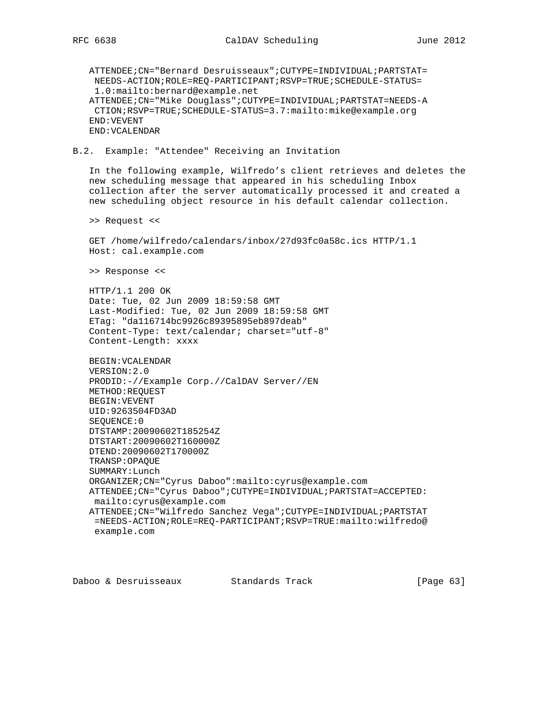ATTENDEE;CN="Bernard Desruisseaux";CUTYPE=INDIVIDUAL;PARTSTAT= NEEDS-ACTION;ROLE=REQ-PARTICIPANT;RSVP=TRUE;SCHEDULE-STATUS= 1.0:mailto:bernard@example.net ATTENDEE;CN="Mike Douglass";CUTYPE=INDIVIDUAL;PARTSTAT=NEEDS-A CTION;RSVP=TRUE;SCHEDULE-STATUS=3.7:mailto:mike@example.org END:VEVENT END:VCALENDAR B.2. Example: "Attendee" Receiving an Invitation In the following example, Wilfredo's client retrieves and deletes the new scheduling message that appeared in his scheduling Inbox collection after the server automatically processed it and created a new scheduling object resource in his default calendar collection. >> Request << GET /home/wilfredo/calendars/inbox/27d93fc0a58c.ics HTTP/1.1 Host: cal.example.com >> Response << HTTP/1.1 200 OK Date: Tue, 02 Jun 2009 18:59:58 GMT Last-Modified: Tue, 02 Jun 2009 18:59:58 GMT ETag: "da116714bc9926c89395895eb897deab" Content-Type: text/calendar; charset="utf-8" Content-Length: xxxx BEGIN:VCALENDAR VERSION:2.0 PRODID:-//Example Corp.//CalDAV Server//EN METHOD:REQUEST BEGIN:VEVENT UID:9263504FD3AD SEQUENCE:0 DTSTAMP:20090602T185254Z DTSTART:20090602T160000Z DTEND:20090602T170000Z TRANSP:OPAQUE SUMMARY:Lunch ORGANIZER;CN="Cyrus Daboo":mailto:cyrus@example.com ATTENDEE;CN="Cyrus Daboo";CUTYPE=INDIVIDUAL;PARTSTAT=ACCEPTED: mailto:cyrus@example.com ATTENDEE;CN="Wilfredo Sanchez Vega";CUTYPE=INDIVIDUAL;PARTSTAT =NEEDS-ACTION;ROLE=REQ-PARTICIPANT;RSVP=TRUE:mailto:wilfredo@ example.com

Daboo & Desruisseaux Standards Track [Page 63]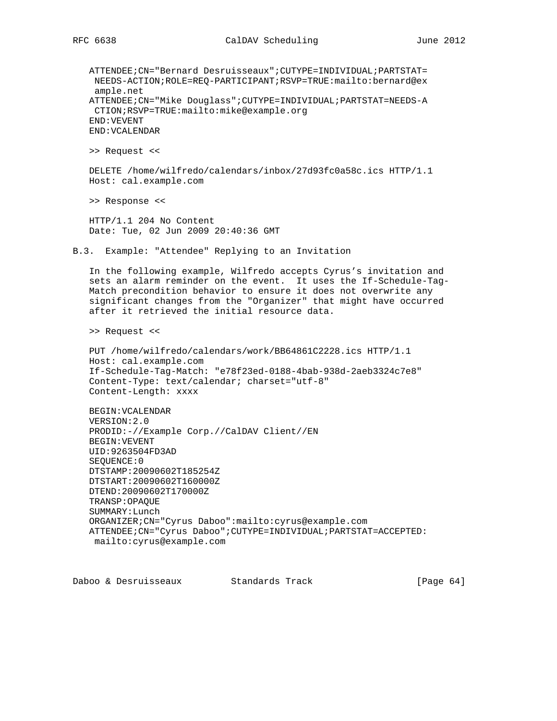ATTENDEE;CN="Bernard Desruisseaux";CUTYPE=INDIVIDUAL;PARTSTAT= NEEDS-ACTION;ROLE=REQ-PARTICIPANT;RSVP=TRUE:mailto:bernard@ex ample.net ATTENDEE;CN="Mike Douglass";CUTYPE=INDIVIDUAL;PARTSTAT=NEEDS-A CTION;RSVP=TRUE:mailto:mike@example.org END:VEVENT END:VCALENDAR >> Request << DELETE /home/wilfredo/calendars/inbox/27d93fc0a58c.ics HTTP/1.1 Host: cal.example.com >> Response << HTTP/1.1 204 No Content Date: Tue, 02 Jun 2009 20:40:36 GMT B.3. Example: "Attendee" Replying to an Invitation In the following example, Wilfredo accepts Cyrus's invitation and sets an alarm reminder on the event. It uses the If-Schedule-Tag- Match precondition behavior to ensure it does not overwrite any significant changes from the "Organizer" that might have occurred after it retrieved the initial resource data. >> Request << PUT /home/wilfredo/calendars/work/BB64861C2228.ics HTTP/1.1 Host: cal.example.com If-Schedule-Tag-Match: "e78f23ed-0188-4bab-938d-2aeb3324c7e8" Content-Type: text/calendar; charset="utf-8" Content-Length: xxxx BEGIN:VCALENDAR VERSION:2.0 PRODID:-//Example Corp.//CalDAV Client//EN BEGIN:VEVENT UID:9263504FD3AD SEQUENCE:0 DTSTAMP:20090602T185254Z DTSTART:20090602T160000Z DTEND:20090602T170000Z TRANSP:OPAQUE SUMMARY:Lunch ORGANIZER;CN="Cyrus Daboo":mailto:cyrus@example.com ATTENDEE;CN="Cyrus Daboo";CUTYPE=INDIVIDUAL;PARTSTAT=ACCEPTED: mailto:cyrus@example.com

Daboo & Desruisseaux Standards Track [Page 64]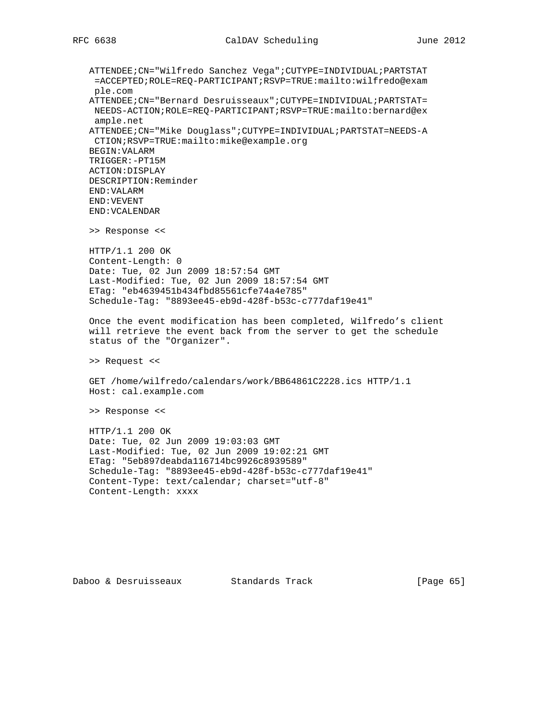ATTENDEE;CN="Wilfredo Sanchez Vega";CUTYPE=INDIVIDUAL;PARTSTAT =ACCEPTED;ROLE=REQ-PARTICIPANT;RSVP=TRUE:mailto:wilfredo@exam ple.com ATTENDEE;CN="Bernard Desruisseaux";CUTYPE=INDIVIDUAL;PARTSTAT= NEEDS-ACTION;ROLE=REQ-PARTICIPANT;RSVP=TRUE:mailto:bernard@ex ample.net ATTENDEE;CN="Mike Douglass";CUTYPE=INDIVIDUAL;PARTSTAT=NEEDS-A CTION;RSVP=TRUE:mailto:mike@example.org BEGIN:VALARM TRIGGER:-PT15M ACTION:DISPLAY DESCRIPTION:Reminder END:VALARM END:VEVENT END:VCALENDAR >> Response << HTTP/1.1 200 OK Content-Length: 0 Date: Tue, 02 Jun 2009 18:57:54 GMT Last-Modified: Tue, 02 Jun 2009 18:57:54 GMT ETag: "eb4639451b434fbd85561cfe74a4e785" Schedule-Tag: "8893ee45-eb9d-428f-b53c-c777daf19e41" Once the event modification has been completed, Wilfredo's client will retrieve the event back from the server to get the schedule status of the "Organizer". >> Request << GET /home/wilfredo/calendars/work/BB64861C2228.ics HTTP/1.1 Host: cal.example.com >> Response << HTTP/1.1 200 OK Date: Tue, 02 Jun 2009 19:03:03 GMT Last-Modified: Tue, 02 Jun 2009 19:02:21 GMT

 ETag: "5eb897deabda116714bc9926c8939589" Schedule-Tag: "8893ee45-eb9d-428f-b53c-c777daf19e41" Content-Type: text/calendar; charset="utf-8" Content-Length: xxxx

Daboo & Desruisseaux Standards Track [Page 65]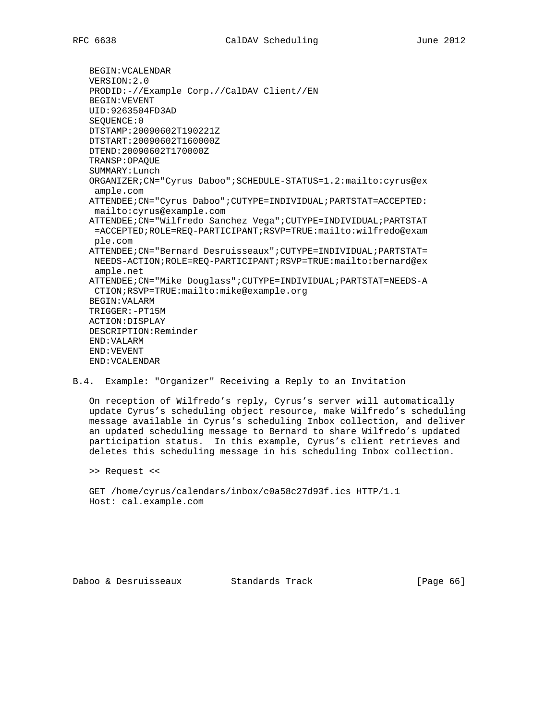BEGIN:VCALENDAR VERSION:2.0 PRODID:-//Example Corp.//CalDAV Client//EN BEGIN:VEVENT UID:9263504FD3AD SEQUENCE:0 DTSTAMP:20090602T190221Z DTSTART:20090602T160000Z DTEND:20090602T170000Z TRANSP:OPAQUE SUMMARY:Lunch ORGANIZER;CN="Cyrus Daboo";SCHEDULE-STATUS=1.2:mailto:cyrus@ex ample.com ATTENDEE;CN="Cyrus Daboo";CUTYPE=INDIVIDUAL;PARTSTAT=ACCEPTED: mailto:cyrus@example.com ATTENDEE;CN="Wilfredo Sanchez Vega";CUTYPE=INDIVIDUAL;PARTSTAT =ACCEPTED;ROLE=REQ-PARTICIPANT;RSVP=TRUE:mailto:wilfredo@exam ple.com ATTENDEE;CN="Bernard Desruisseaux";CUTYPE=INDIVIDUAL;PARTSTAT= NEEDS-ACTION;ROLE=REQ-PARTICIPANT;RSVP=TRUE:mailto:bernard@ex ample.net ATTENDEE;CN="Mike Douglass";CUTYPE=INDIVIDUAL;PARTSTAT=NEEDS-A CTION;RSVP=TRUE:mailto:mike@example.org BEGIN:VALARM TRIGGER:-PT15M ACTION:DISPLAY DESCRIPTION:Reminder END:VALARM END:VEVENT END:VCALENDAR

B.4. Example: "Organizer" Receiving a Reply to an Invitation

 On reception of Wilfredo's reply, Cyrus's server will automatically update Cyrus's scheduling object resource, make Wilfredo's scheduling message available in Cyrus's scheduling Inbox collection, and deliver an updated scheduling message to Bernard to share Wilfredo's updated participation status. In this example, Cyrus's client retrieves and deletes this scheduling message in his scheduling Inbox collection.

>> Request <<

 GET /home/cyrus/calendars/inbox/c0a58c27d93f.ics HTTP/1.1 Host: cal.example.com

Daboo & Desruisseaux Standards Track [Page 66]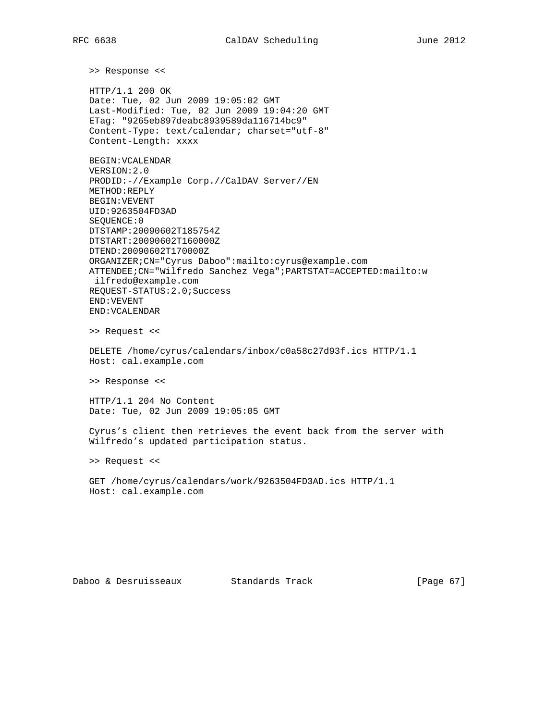>> Response <<

 HTTP/1.1 200 OK Date: Tue, 02 Jun 2009 19:05:02 GMT Last-Modified: Tue, 02 Jun 2009 19:04:20 GMT ETag: "9265eb897deabc8939589da116714bc9" Content-Type: text/calendar; charset="utf-8" Content-Length: xxxx

 BEGIN:VCALENDAR VERSION:2.0 PRODID:-//Example Corp.//CalDAV Server//EN METHOD:REPLY BEGIN:VEVENT UID:9263504FD3AD SEQUENCE:0 DTSTAMP:20090602T185754Z DTSTART:20090602T160000Z DTEND:20090602T170000Z ORGANIZER;CN="Cyrus Daboo":mailto:cyrus@example.com ATTENDEE;CN="Wilfredo Sanchez Vega";PARTSTAT=ACCEPTED:mailto:w ilfredo@example.com REQUEST-STATUS:2.0;Success END:VEVENT END:VCALENDAR

>> Request <<

 DELETE /home/cyrus/calendars/inbox/c0a58c27d93f.ics HTTP/1.1 Host: cal.example.com

>> Response <<

 HTTP/1.1 204 No Content Date: Tue, 02 Jun 2009 19:05:05 GMT

 Cyrus's client then retrieves the event back from the server with Wilfredo's updated participation status.

>> Request <<

 GET /home/cyrus/calendars/work/9263504FD3AD.ics HTTP/1.1 Host: cal.example.com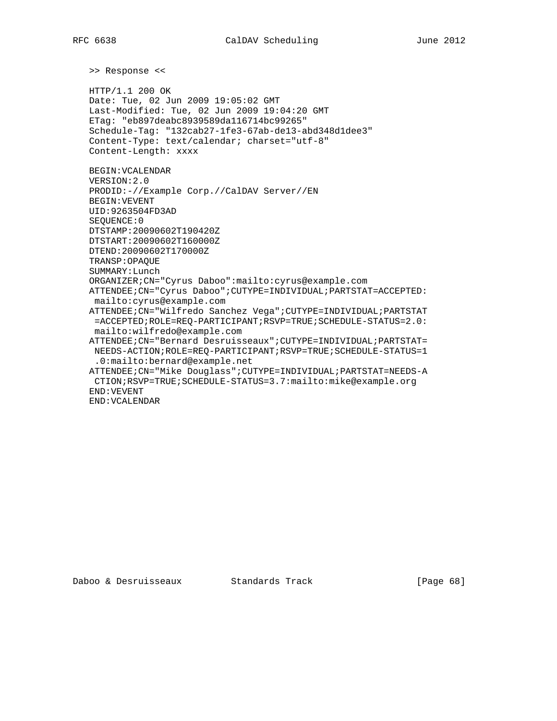>> Response <<

 HTTP/1.1 200 OK Date: Tue, 02 Jun 2009 19:05:02 GMT Last-Modified: Tue, 02 Jun 2009 19:04:20 GMT ETag: "eb897deabc8939589da116714bc99265" Schedule-Tag: "132cab27-1fe3-67ab-de13-abd348d1dee3" Content-Type: text/calendar; charset="utf-8" Content-Length: xxxx BEGIN:VCALENDAR VERSION:2.0 PRODID:-//Example Corp.//CalDAV Server//EN BEGIN:VEVENT UID:9263504FD3AD SEQUENCE:0 DTSTAMP:20090602T190420Z DTSTART:20090602T160000Z DTEND:20090602T170000Z TRANSP:OPAQUE SUMMARY:Lunch ORGANIZER;CN="Cyrus Daboo":mailto:cyrus@example.com ATTENDEE;CN="Cyrus Daboo";CUTYPE=INDIVIDUAL;PARTSTAT=ACCEPTED: mailto:cyrus@example.com ATTENDEE;CN="Wilfredo Sanchez Vega";CUTYPE=INDIVIDUAL;PARTSTAT =ACCEPTED;ROLE=REQ-PARTICIPANT;RSVP=TRUE;SCHEDULE-STATUS=2.0: mailto:wilfredo@example.com ATTENDEE;CN="Bernard Desruisseaux";CUTYPE=INDIVIDUAL;PARTSTAT= NEEDS-ACTION;ROLE=REQ-PARTICIPANT;RSVP=TRUE;SCHEDULE-STATUS=1 .0:mailto:bernard@example.net ATTENDEE;CN="Mike Douglass";CUTYPE=INDIVIDUAL;PARTSTAT=NEEDS-A CTION;RSVP=TRUE;SCHEDULE-STATUS=3.7:mailto:mike@example.org END:VEVENT END:VCALENDAR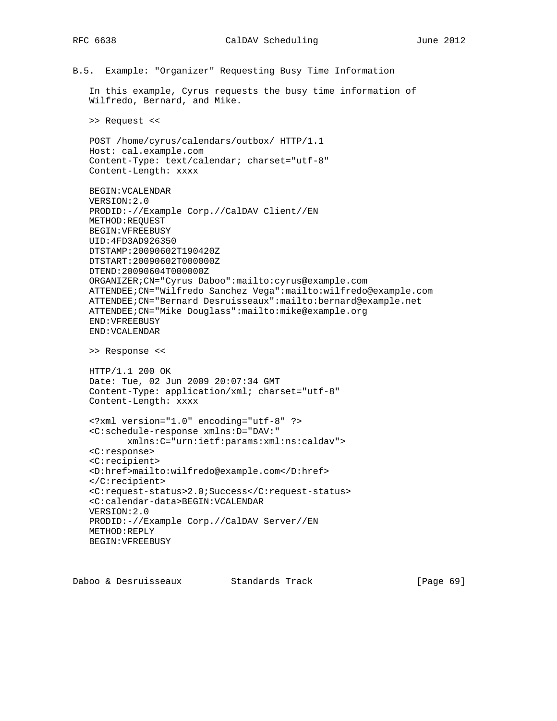B.5. Example: "Organizer" Requesting Busy Time Information

In this example, Cyrus requests the busy time information of

```
 Wilfredo, Bernard, and Mike.
 >> Request <<
 POST /home/cyrus/calendars/outbox/ HTTP/1.1
 Host: cal.example.com
 Content-Type: text/calendar; charset="utf-8"
 Content-Length: xxxx
 BEGIN:VCALENDAR
 VERSION:2.0
 PRODID:-//Example Corp.//CalDAV Client//EN
 METHOD:REQUEST
 BEGIN:VFREEBUSY
 UID:4FD3AD926350
 DTSTAMP:20090602T190420Z
 DTSTART:20090602T000000Z
 DTEND:20090604T000000Z
 ORGANIZER;CN="Cyrus Daboo":mailto:cyrus@example.com
 ATTENDEE;CN="Wilfredo Sanchez Vega":mailto:wilfredo@example.com
 ATTENDEE;CN="Bernard Desruisseaux":mailto:bernard@example.net
 ATTENDEE;CN="Mike Douglass":mailto:mike@example.org
 END:VFREEBUSY
 END:VCALENDAR
 >> Response <<
 HTTP/1.1 200 OK
 Date: Tue, 02 Jun 2009 20:07:34 GMT
 Content-Type: application/xml; charset="utf-8"
 Content-Length: xxxx
 <?xml version="1.0" encoding="utf-8" ?>
 <C:schedule-response xmlns:D="DAV:"
       xmlns:C="urn:ietf:params:xml:ns:caldav">
 <C:response>
 <C:recipient>
 <D:href>mailto:wilfredo@example.com</D:href>
 </C:recipient>
 <C:request-status>2.0;Success</C:request-status>
 <C:calendar-data>BEGIN:VCALENDAR
 VERSION:2.0
 PRODID:-//Example Corp.//CalDAV Server//EN
 METHOD:REPLY
 BEGIN:VFREEBUSY
```
Daboo & Desruisseaux Standards Track [Page 69]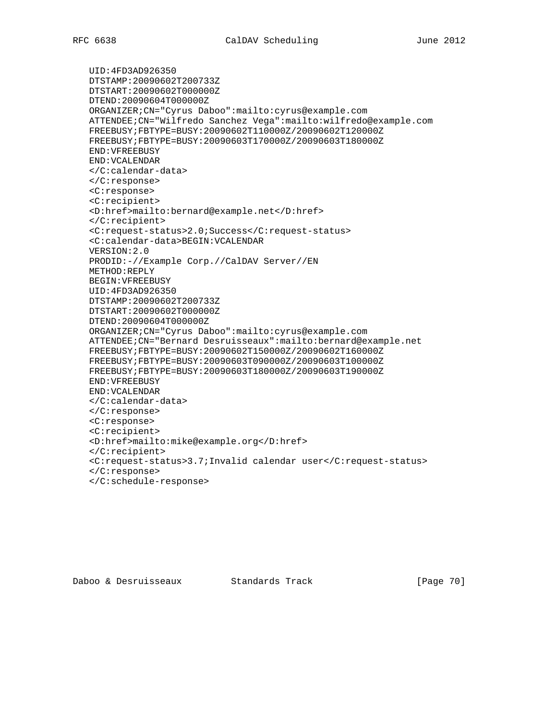UID:4FD3AD926350 DTSTAMP:20090602T200733Z DTSTART:20090602T000000Z DTEND:20090604T000000Z ORGANIZER;CN="Cyrus Daboo":mailto:cyrus@example.com ATTENDEE;CN="Wilfredo Sanchez Vega":mailto:wilfredo@example.com FREEBUSY;FBTYPE=BUSY:20090602T110000Z/20090602T120000Z FREEBUSY;FBTYPE=BUSY:20090603T170000Z/20090603T180000Z END:VFREEBUSY END:VCALENDAR </C:calendar-data> </C:response> <C:response> <C:recipient> <D:href>mailto:bernard@example.net</D:href> </C:recipient> <C:request-status>2.0;Success</C:request-status> <C:calendar-data>BEGIN:VCALENDAR VERSION:2.0 PRODID:-//Example Corp.//CalDAV Server//EN METHOD:REPLY BEGIN:VFREEBUSY UID:4FD3AD926350 DTSTAMP:20090602T200733Z DTSTART:20090602T000000Z DTEND:20090604T000000Z ORGANIZER;CN="Cyrus Daboo":mailto:cyrus@example.com ATTENDEE;CN="Bernard Desruisseaux":mailto:bernard@example.net FREEBUSY;FBTYPE=BUSY:20090602T150000Z/20090602T160000Z FREEBUSY;FBTYPE=BUSY:20090603T090000Z/20090603T100000Z FREEBUSY;FBTYPE=BUSY:20090603T180000Z/20090603T190000Z END:VFREEBUSY END:VCALENDAR </C:calendar-data> </C:response> <C:response> <C:recipient> <D:href>mailto:mike@example.org</D:href> </C:recipient> <C:request-status>3.7;Invalid calendar user</C:request-status> </C:response> </C:schedule-response>

Daboo & Desruisseaux Standards Track [Page 70]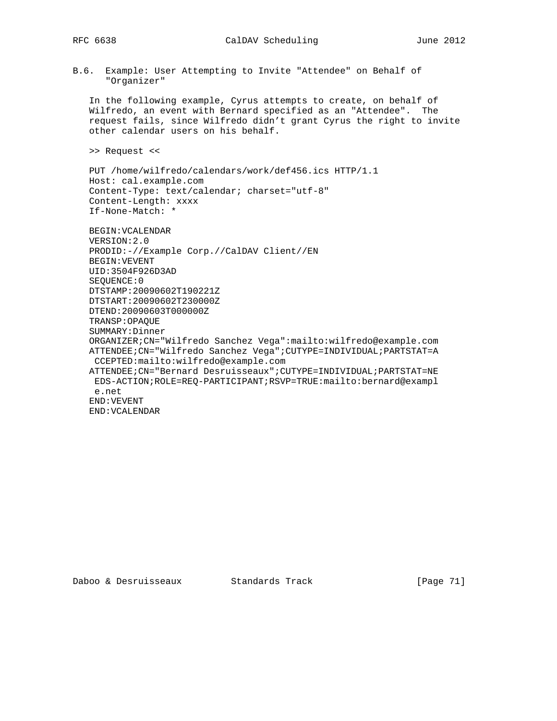# RFC 6638 CalDAV Scheduling June 2012

B.6. Example: User Attempting to Invite "Attendee" on Behalf of "Organizer"

 In the following example, Cyrus attempts to create, on behalf of Wilfredo, an event with Bernard specified as an "Attendee". The request fails, since Wilfredo didn't grant Cyrus the right to invite other calendar users on his behalf.

>> Request <<

 PUT /home/wilfredo/calendars/work/def456.ics HTTP/1.1 Host: cal.example.com Content-Type: text/calendar; charset="utf-8" Content-Length: xxxx If-None-Match: \*

 BEGIN:VCALENDAR VERSION:2.0 PRODID:-//Example Corp.//CalDAV Client//EN BEGIN:VEVENT UID:3504F926D3AD SEQUENCE:0 DTSTAMP:20090602T190221Z DTSTART:20090602T230000Z DTEND:20090603T000000Z TRANSP:OPAQUE SUMMARY:Dinner ORGANIZER;CN="Wilfredo Sanchez Vega":mailto:wilfredo@example.com ATTENDEE;CN="Wilfredo Sanchez Vega";CUTYPE=INDIVIDUAL;PARTSTAT=A CCEPTED:mailto:wilfredo@example.com ATTENDEE;CN="Bernard Desruisseaux";CUTYPE=INDIVIDUAL;PARTSTAT=NE EDS-ACTION;ROLE=REQ-PARTICIPANT;RSVP=TRUE:mailto:bernard@exampl e.net END:VEVENT END:VCALENDAR

Daboo & Desruisseaux Standards Track [Page 71]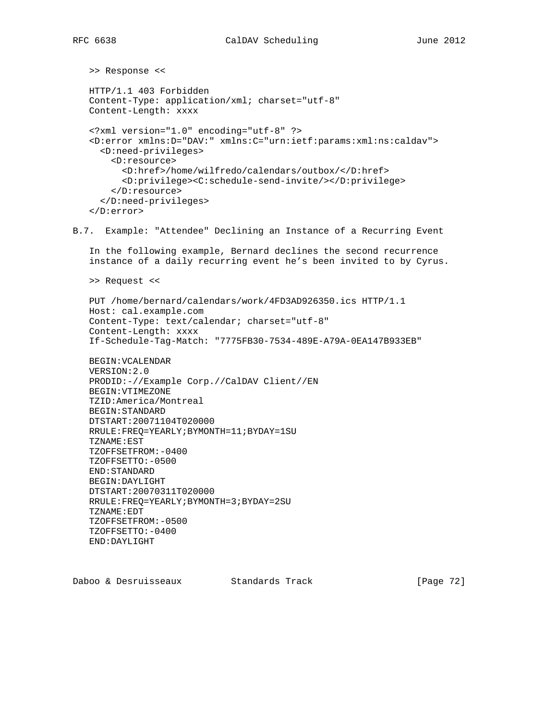```
 >> Response <<
   HTTP/1.1 403 Forbidden
   Content-Type: application/xml; charset="utf-8"
   Content-Length: xxxx
    <?xml version="1.0" encoding="utf-8" ?>
    <D:error xmlns:D="DAV:" xmlns:C="urn:ietf:params:xml:ns:caldav">
      <D:need-privileges>
        <D:resource>
          <D:href>/home/wilfredo/calendars/outbox/</D:href>
          <D:privilege><C:schedule-send-invite/></D:privilege>
        </D:resource>
      </D:need-privileges>
    </D:error>
B.7. Example: "Attendee" Declining an Instance of a Recurring Event
    In the following example, Bernard declines the second recurrence
    instance of a daily recurring event he's been invited to by Cyrus.
   >> Request <<
   PUT /home/bernard/calendars/work/4FD3AD926350.ics HTTP/1.1
   Host: cal.example.com
    Content-Type: text/calendar; charset="utf-8"
    Content-Length: xxxx
    If-Schedule-Tag-Match: "7775FB30-7534-489E-A79A-0EA147B933EB"
   BEGIN:VCALENDAR
   VERSION:2.0
   PRODID:-//Example Corp.//CalDAV Client//EN
   BEGIN:VTIMEZONE
   TZID:America/Montreal
   BEGIN:STANDARD
   DTSTART:20071104T020000
   RRULE:FREQ=YEARLY;BYMONTH=11;BYDAY=1SU
    TZNAME:EST
    TZOFFSETFROM:-0400
    TZOFFSETTO:-0500
   END:STANDARD
   BEGIN:DAYLIGHT
   DTSTART:20070311T020000
   RRULE:FREQ=YEARLY;BYMONTH=3;BYDAY=2SU
   TZNAME:EDT
   TZOFFSETFROM:-0500
   TZOFFSETTO:-0400
   END:DAYLIGHT
Daboo & Desruisseaux Standards Track [Page 72]
```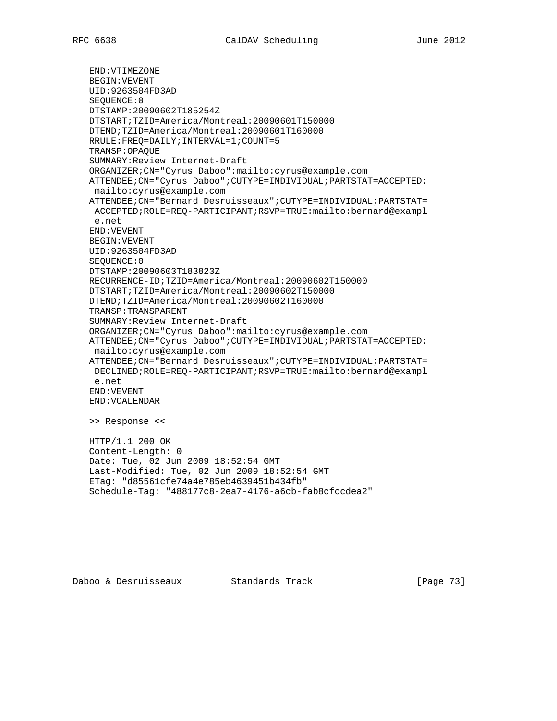END:VTIMEZONE BEGIN:VEVENT UID:9263504FD3AD SEQUENCE:0 DTSTAMP:20090602T185254Z DTSTART;TZID=America/Montreal:20090601T150000 DTEND;TZID=America/Montreal:20090601T160000 RRULE:FREQ=DAILY;INTERVAL=1;COUNT=5 TRANSP:OPAQUE SUMMARY:Review Internet-Draft ORGANIZER;CN="Cyrus Daboo":mailto:cyrus@example.com ATTENDEE;CN="Cyrus Daboo";CUTYPE=INDIVIDUAL;PARTSTAT=ACCEPTED: mailto:cyrus@example.com ATTENDEE;CN="Bernard Desruisseaux";CUTYPE=INDIVIDUAL;PARTSTAT= ACCEPTED;ROLE=REQ-PARTICIPANT;RSVP=TRUE:mailto:bernard@exampl e.net END:VEVENT BEGIN:VEVENT UID:9263504FD3AD SEQUENCE:0 DTSTAMP:20090603T183823Z RECURRENCE-ID;TZID=America/Montreal:20090602T150000 DTSTART;TZID=America/Montreal:20090602T150000 DTEND;TZID=America/Montreal:20090602T160000 TRANSP:TRANSPARENT SUMMARY:Review Internet-Draft ORGANIZER;CN="Cyrus Daboo":mailto:cyrus@example.com ATTENDEE;CN="Cyrus Daboo";CUTYPE=INDIVIDUAL;PARTSTAT=ACCEPTED: mailto:cyrus@example.com ATTENDEE;CN="Bernard Desruisseaux";CUTYPE=INDIVIDUAL;PARTSTAT= DECLINED;ROLE=REQ-PARTICIPANT;RSVP=TRUE:mailto:bernard@exampl e.net END:VEVENT END:VCALENDAR >> Response << HTTP/1.1 200 OK Content-Length: 0 Date: Tue, 02 Jun 2009 18:52:54 GMT Last-Modified: Tue, 02 Jun 2009 18:52:54 GMT ETag: "d85561cfe74a4e785eb4639451b434fb" Schedule-Tag: "488177c8-2ea7-4176-a6cb-fab8cfccdea2"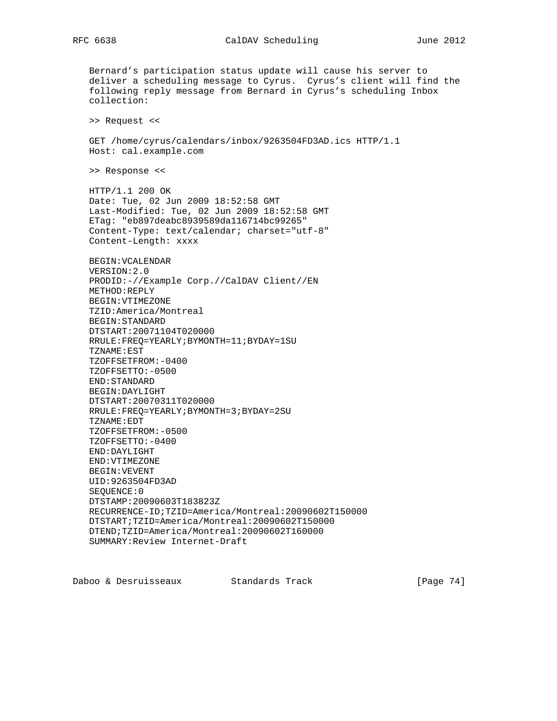Bernard's participation status update will cause his server to deliver a scheduling message to Cyrus. Cyrus's client will find the following reply message from Bernard in Cyrus's scheduling Inbox collection: >> Request << GET /home/cyrus/calendars/inbox/9263504FD3AD.ics HTTP/1.1 Host: cal.example.com >> Response << HTTP/1.1 200 OK Date: Tue, 02 Jun 2009 18:52:58 GMT Last-Modified: Tue, 02 Jun 2009 18:52:58 GMT ETag: "eb897deabc8939589da116714bc99265" Content-Type: text/calendar; charset="utf-8" Content-Length: xxxx BEGIN:VCALENDAR VERSION:2.0 PRODID:-//Example Corp.//CalDAV Client//EN METHOD:REPLY BEGIN:VTIMEZONE TZID:America/Montreal BEGIN:STANDARD DTSTART:20071104T020000 RRULE:FREQ=YEARLY;BYMONTH=11;BYDAY=1SU TZNAME:EST TZOFFSETFROM:-0400 TZOFFSETTO:-0500 END:STANDARD BEGIN:DAYLIGHT DTSTART:20070311T020000 RRULE:FREQ=YEARLY;BYMONTH=3;BYDAY=2SU TZNAME:EDT TZOFFSETFROM:-0500 TZOFFSETTO:-0400 END:DAYLIGHT END:VTIMEZONE BEGIN:VEVENT UID:9263504FD3AD SEQUENCE:0 DTSTAMP:20090603T183823Z RECURRENCE-ID;TZID=America/Montreal:20090602T150000 DTSTART;TZID=America/Montreal:20090602T150000 DTEND;TZID=America/Montreal:20090602T160000 SUMMARY:Review Internet-Draft

Daboo & Desruisseaux Standards Track [Page 74]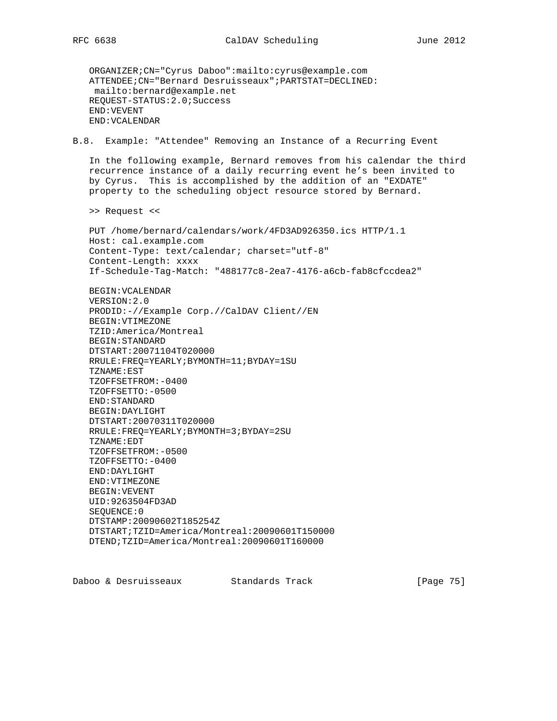ORGANIZER;CN="Cyrus Daboo":mailto:cyrus@example.com ATTENDEE;CN="Bernard Desruisseaux";PARTSTAT=DECLINED: mailto:bernard@example.net REQUEST-STATUS:2.0;Success END:VEVENT END:VCALENDAR

B.8. Example: "Attendee" Removing an Instance of a Recurring Event

 In the following example, Bernard removes from his calendar the third recurrence instance of a daily recurring event he's been invited to by Cyrus. This is accomplished by the addition of an "EXDATE" property to the scheduling object resource stored by Bernard.

>> Request <<

 PUT /home/bernard/calendars/work/4FD3AD926350.ics HTTP/1.1 Host: cal.example.com Content-Type: text/calendar; charset="utf-8" Content-Length: xxxx If-Schedule-Tag-Match: "488177c8-2ea7-4176-a6cb-fab8cfccdea2"

 BEGIN:VCALENDAR VERSION:2.0 PRODID:-//Example Corp.//CalDAV Client//EN BEGIN:VTIMEZONE TZID:America/Montreal BEGIN:STANDARD DTSTART:20071104T020000 RRULE:FREQ=YEARLY;BYMONTH=11;BYDAY=1SU TZNAME:EST TZOFFSETFROM:-0400 TZOFFSETTO:-0500 END:STANDARD BEGIN:DAYLIGHT DTSTART:20070311T020000 RRULE:FREQ=YEARLY;BYMONTH=3;BYDAY=2SU TZNAME:EDT TZOFFSETFROM:-0500 TZOFFSETTO:-0400 END:DAYLIGHT END:VTIMEZONE BEGIN:VEVENT UID:9263504FD3AD SEQUENCE:0 DTSTAMP:20090602T185254Z DTSTART;TZID=America/Montreal:20090601T150000 DTEND;TZID=America/Montreal:20090601T160000

Daboo & Desruisseaux Standards Track [Page 75]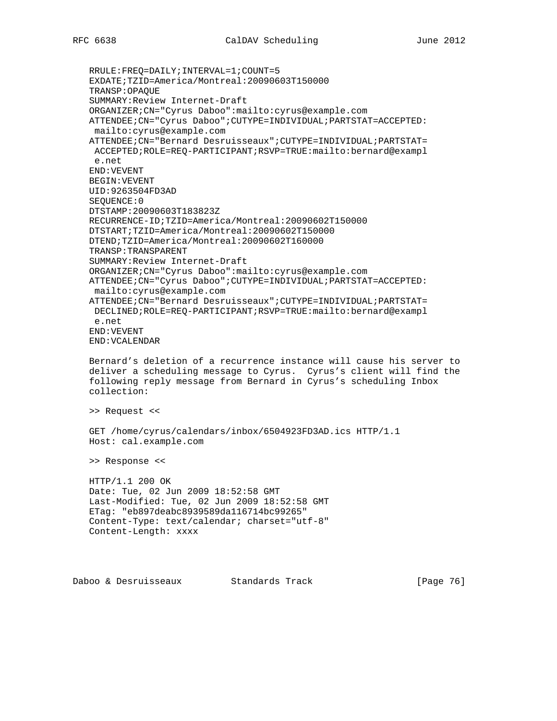RRULE:FREQ=DAILY;INTERVAL=1;COUNT=5 EXDATE;TZID=America/Montreal:20090603T150000 TRANSP:OPAQUE SUMMARY:Review Internet-Draft ORGANIZER;CN="Cyrus Daboo":mailto:cyrus@example.com ATTENDEE;CN="Cyrus Daboo";CUTYPE=INDIVIDUAL;PARTSTAT=ACCEPTED: mailto:cyrus@example.com ATTENDEE;CN="Bernard Desruisseaux";CUTYPE=INDIVIDUAL;PARTSTAT= ACCEPTED;ROLE=REQ-PARTICIPANT;RSVP=TRUE:mailto:bernard@exampl e.net END:VEVENT BEGIN:VEVENT UID:9263504FD3AD SEQUENCE:0 DTSTAMP:20090603T183823Z RECURRENCE-ID;TZID=America/Montreal:20090602T150000 DTSTART;TZID=America/Montreal:20090602T150000 DTEND;TZID=America/Montreal:20090602T160000 TRANSP:TRANSPARENT SUMMARY:Review Internet-Draft ORGANIZER;CN="Cyrus Daboo":mailto:cyrus@example.com ATTENDEE;CN="Cyrus Daboo";CUTYPE=INDIVIDUAL;PARTSTAT=ACCEPTED: mailto:cyrus@example.com ATTENDEE;CN="Bernard Desruisseaux";CUTYPE=INDIVIDUAL;PARTSTAT= DECLINED;ROLE=REQ-PARTICIPANT;RSVP=TRUE:mailto:bernard@exampl e.net END:VEVENT END:VCALENDAR Bernard's deletion of a recurrence instance will cause his server to deliver a scheduling message to Cyrus. Cyrus's client will find the following reply message from Bernard in Cyrus's scheduling Inbox collection: >> Request <<

 GET /home/cyrus/calendars/inbox/6504923FD3AD.ics HTTP/1.1 Host: cal.example.com

>> Response <<

 HTTP/1.1 200 OK Date: Tue, 02 Jun 2009 18:52:58 GMT Last-Modified: Tue, 02 Jun 2009 18:52:58 GMT ETag: "eb897deabc8939589da116714bc99265" Content-Type: text/calendar; charset="utf-8" Content-Length: xxxx

Daboo & Desruisseaux Standards Track [Page 76]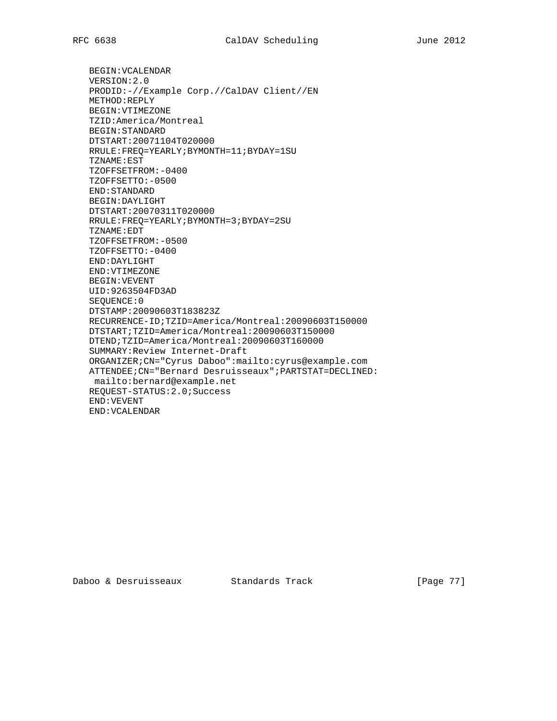BEGIN:VCALENDAR VERSION:2.0 PRODID:-//Example Corp.//CalDAV Client//EN METHOD:REPLY BEGIN:VTIMEZONE TZID:America/Montreal BEGIN:STANDARD DTSTART:20071104T020000 RRULE:FREQ=YEARLY;BYMONTH=11;BYDAY=1SU TZNAME:EST TZOFFSETFROM:-0400 TZOFFSETTO:-0500 END:STANDARD BEGIN:DAYLIGHT DTSTART:20070311T020000 RRULE:FREQ=YEARLY;BYMONTH=3;BYDAY=2SU TZNAME:EDT TZOFFSETFROM:-0500 TZOFFSETTO:-0400 END:DAYLIGHT END:VTIMEZONE BEGIN:VEVENT UID:9263504FD3AD SEQUENCE:0 DTSTAMP:20090603T183823Z RECURRENCE-ID;TZID=America/Montreal:20090603T150000 DTSTART;TZID=America/Montreal:20090603T150000 DTEND;TZID=America/Montreal:20090603T160000 SUMMARY:Review Internet-Draft ORGANIZER;CN="Cyrus Daboo":mailto:cyrus@example.com ATTENDEE;CN="Bernard Desruisseaux";PARTSTAT=DECLINED: mailto:bernard@example.net REQUEST-STATUS:2.0;Success END:VEVENT END:VCALENDAR